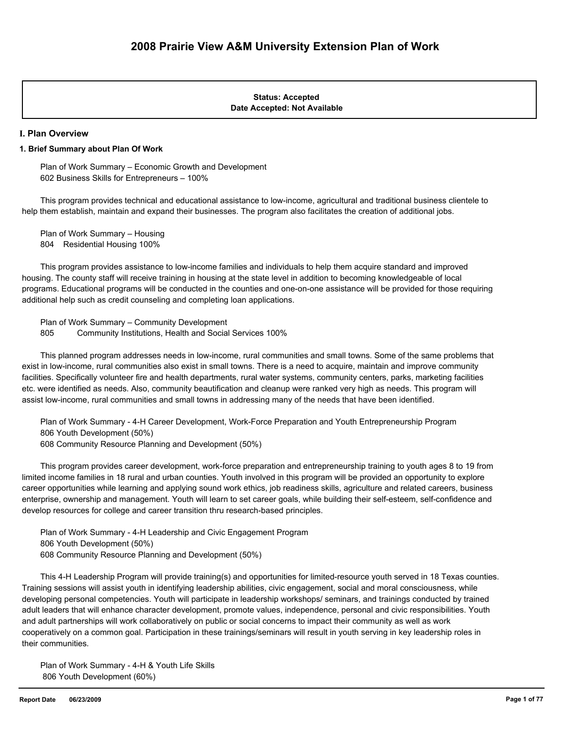#### **Date Accepted: Not Available Status: Accepted**

#### **I. Plan Overview**

#### **1. Brief Summary about Plan Of Work**

 Plan of Work Summary – Economic Growth and Development 602 Business Skills for Entrepreneurs – 100%

 This program provides technical and educational assistance to low-income, agricultural and traditional business clientele to help them establish, maintain and expand their businesses. The program also facilitates the creation of additional jobs.

 Plan of Work Summary – Housing 804 Residential Housing 100%

 This program provides assistance to low-income families and individuals to help them acquire standard and improved housing. The county staff will receive training in housing at the state level in addition to becoming knowledgeable of local programs. Educational programs will be conducted in the counties and one-on-one assistance will be provided for those requiring additional help such as credit counseling and completing loan applications.

 Plan of Work Summary – Community Development 805 Community Institutions, Health and Social Services 100%

 This planned program addresses needs in low-income, rural communities and small towns. Some of the same problems that exist in low-income, rural communities also exist in small towns. There is a need to acquire, maintain and improve community facilities. Specifically volunteer fire and health departments, rural water systems, community centers, parks, marketing facilities etc. were identified as needs. Also, community beautification and cleanup were ranked very high as needs. This program will assist low-income, rural communities and small towns in addressing many of the needs that have been identified.

 Plan of Work Summary - 4-H Career Development, Work-Force Preparation and Youth Entrepreneurship Program 806 Youth Development (50%)

608 Community Resource Planning and Development (50%)

 This program provides career development, work-force preparation and entrepreneurship training to youth ages 8 to 19 from limited income families in 18 rural and urban counties. Youth involved in this program will be provided an opportunity to explore career opportunities while learning and applying sound work ethics, job readiness skills, agriculture and related careers, business enterprise, ownership and management. Youth will learn to set career goals, while building their self-esteem, self-confidence and develop resources for college and career transition thru research-based principles.

 Plan of Work Summary - 4-H Leadership and Civic Engagement Program 806 Youth Development (50%) 608 Community Resource Planning and Development (50%)

 This 4-H Leadership Program will provide training(s) and opportunities for limited-resource youth served in 18 Texas counties. Training sessions will assist youth in identifying leadership abilities, civic engagement, social and moral consciousness, while developing personal competencies. Youth will participate in leadership workshops/ seminars, and trainings conducted by trained adult leaders that will enhance character development, promote values, independence, personal and civic responsibilities. Youth and adult partnerships will work collaboratively on public or social concerns to impact their community as well as work cooperatively on a common goal. Participation in these trainings/seminars will result in youth serving in key leadership roles in their communities.

 Plan of Work Summary - 4-H & Youth Life Skills 806 Youth Development (60%)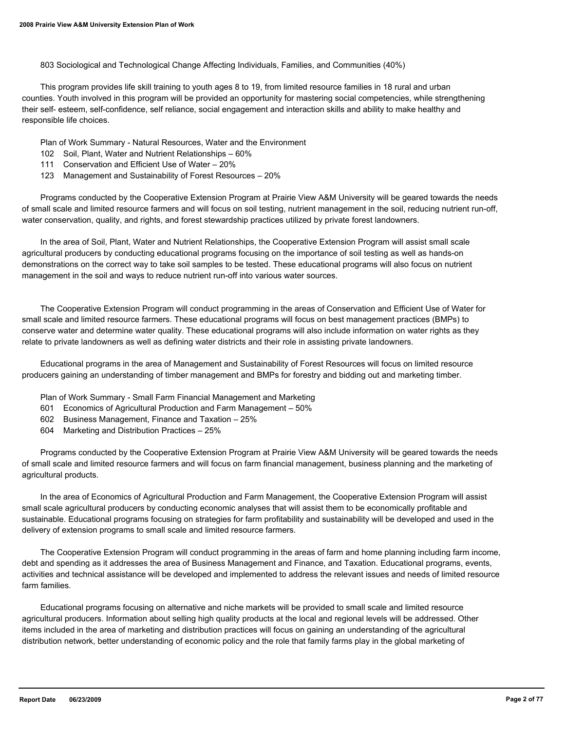803 Sociological and Technological Change Affecting Individuals, Families, and Communities (40%)

 This program provides life skill training to youth ages 8 to 19, from limited resource families in 18 rural and urban counties. Youth involved in this program will be provided an opportunity for mastering social competencies, while strengthening their self- esteem, self-confidence, self reliance, social engagement and interaction skills and ability to make healthy and responsible life choices.

Plan of Work Summary - Natural Resources, Water and the Environment

- 102 Soil, Plant, Water and Nutrient Relationships 60%
- 111 Conservation and Efficient Use of Water 20%
- 123 Management and Sustainability of Forest Resources 20%

 Programs conducted by the Cooperative Extension Program at Prairie View A&M University will be geared towards the needs of small scale and limited resource farmers and will focus on soil testing, nutrient management in the soil, reducing nutrient run-off, water conservation, quality, and rights, and forest stewardship practices utilized by private forest landowners.

 In the area of Soil, Plant, Water and Nutrient Relationships, the Cooperative Extension Program will assist small scale agricultural producers by conducting educational programs focusing on the importance of soil testing as well as hands-on demonstrations on the correct way to take soil samples to be tested. These educational programs will also focus on nutrient management in the soil and ways to reduce nutrient run-off into various water sources.

 The Cooperative Extension Program will conduct programming in the areas of Conservation and Efficient Use of Water for small scale and limited resource farmers. These educational programs will focus on best management practices (BMPs) to conserve water and determine water quality. These educational programs will also include information on water rights as they relate to private landowners as well as defining water districts and their role in assisting private landowners.

 Educational programs in the area of Management and Sustainability of Forest Resources will focus on limited resource producers gaining an understanding of timber management and BMPs for forestry and bidding out and marketing timber.

- Plan of Work Summary Small Farm Financial Management and Marketing
- 601 Economics of Agricultural Production and Farm Management 50%
- 602 Business Management, Finance and Taxation 25%
- 604 Marketing and Distribution Practices 25%

 Programs conducted by the Cooperative Extension Program at Prairie View A&M University will be geared towards the needs of small scale and limited resource farmers and will focus on farm financial management, business planning and the marketing of agricultural products.

 In the area of Economics of Agricultural Production and Farm Management, the Cooperative Extension Program will assist small scale agricultural producers by conducting economic analyses that will assist them to be economically profitable and sustainable. Educational programs focusing on strategies for farm profitability and sustainability will be developed and used in the delivery of extension programs to small scale and limited resource farmers.

 The Cooperative Extension Program will conduct programming in the areas of farm and home planning including farm income, debt and spending as it addresses the area of Business Management and Finance, and Taxation. Educational programs, events, activities and technical assistance will be developed and implemented to address the relevant issues and needs of limited resource farm families.

 Educational programs focusing on alternative and niche markets will be provided to small scale and limited resource agricultural producers. Information about selling high quality products at the local and regional levels will be addressed. Other items included in the area of marketing and distribution practices will focus on gaining an understanding of the agricultural distribution network, better understanding of economic policy and the role that family farms play in the global marketing of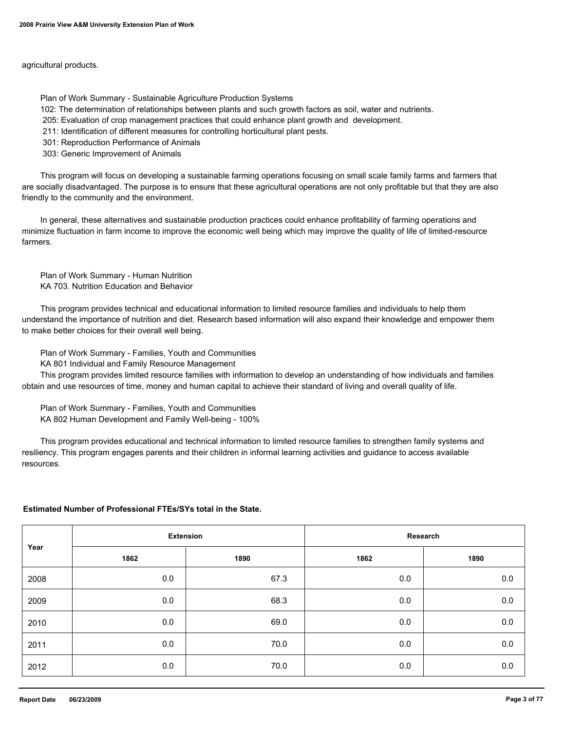agricultural products.

Plan of Work Summary - Sustainable Agriculture Production Systems

102: The determination of relationships between plants and such growth factors as soil, water and nutrients.

205: Evaluation of crop management practices that could enhance plant growth and development.

211: Identification of different measures for controlling horticultural plant pests.

301: Reproduction Performance of Animals

303: Generic Improvement of Animals

 This program will focus on developing a sustainable farming operations focusing on small scale family farms and farmers that are socially disadvantaged. The purpose is to ensure that these agricultural operations are not only profitable but that they are also friendly to the community and the environment.

 In general, these alternatives and sustainable production practices could enhance profitability of farming operations and minimize fluctuation in farm income to improve the economic well being which may improve the quality of life of limited-resource farmers.

 Plan of Work Summary - Human Nutrition KA 703. Nutrition Education and Behavior

 This program provides technical and educational information to limited resource families and individuals to help them understand the importance of nutrition and diet. Research based information will also expand their knowledge and empower them to make better choices for their overall well being.

Plan of Work Summary - Families, Youth and Communities

KA 801 Individual and Family Resource Management

 This program provides limited resource families with information to develop an understanding of how individuals and families obtain and use resources of time, money and human capital to achieve their standard of living and overall quality of life.

 Plan of Work Summary - Families, Youth and Communities KA 802 Human Development and Family Well-being - 100%

 This program provides educational and technical information to limited resource families to strengthen family systems and resiliency. This program engages parents and their children in informal learning activities and guidance to access available resources.

#### **Estimated Number of Professional FTEs/SYs total in the State.**

| Year | <b>Extension</b> |      | Research |         |  |
|------|------------------|------|----------|---------|--|
|      | 1862             | 1890 | 1862     | 1890    |  |
| 2008 | 0.0              | 67.3 | 0.0      | $0.0\,$ |  |
| 2009 | 0.0              | 68.3 | 0.0      | $0.0\,$ |  |
| 2010 | 0.0              | 69.0 | 0.0      | $0.0\,$ |  |
| 2011 | 0.0              | 70.0 | 0.0      | $0.0\,$ |  |
| 2012 | 0.0              | 70.0 | 0.0      | $0.0\,$ |  |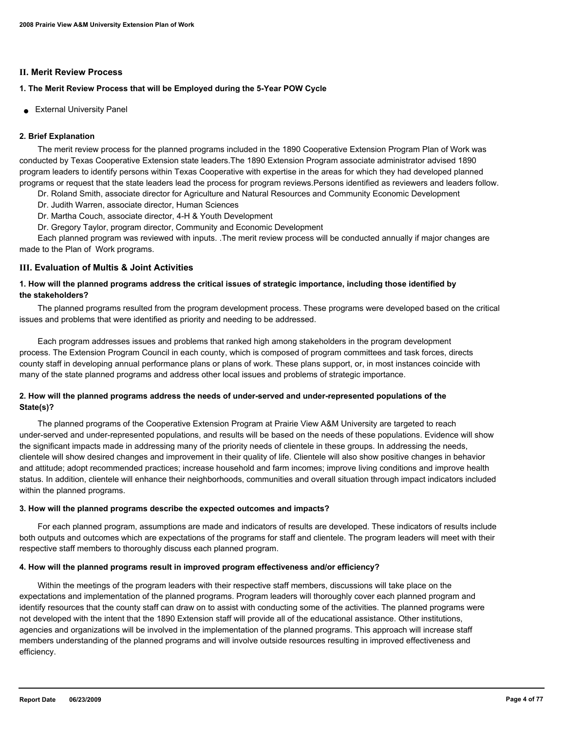#### **II. Merit Review Process**

### **1. The Merit Review Process that will be Employed during the 5-Year POW Cycle**

● External University Panel

### **2. Brief Explanation**

 The merit review process for the planned programs included in the 1890 Cooperative Extension Program Plan of Work was conducted by Texas Cooperative Extension state leaders.The 1890 Extension Program associate administrator advised 1890 program leaders to identify persons within Texas Cooperative with expertise in the areas for which they had developed planned programs or request that the state leaders lead the process for program reviews.Persons identified as reviewers and leaders follow.

- Dr. Roland Smith, associate director for Agriculture and Natural Resources and Community Economic Development
- Dr. Judith Warren, associate director, Human Sciences
- Dr. Martha Couch, associate director, 4-H & Youth Development
- Dr. Gregory Taylor, program director, Community and Economic Development

 Each planned program was reviewed with inputs. .The merit review process will be conducted annually if major changes are made to the Plan of Work programs.

### **III. Evaluation of Multis & Joint Activities**

### **1. How will the planned programs address the critical issues of strategic importance, including those identified by the stakeholders?**

 The planned programs resulted from the program development process. These programs were developed based on the critical issues and problems that were identified as priority and needing to be addressed.

 Each program addresses issues and problems that ranked high among stakeholders in the program development process. The Extension Program Council in each county, which is composed of program committees and task forces, directs county staff in developing annual performance plans or plans of work. These plans support, or, in most instances coincide with many of the state planned programs and address other local issues and problems of strategic importance.

### **2. How will the planned programs address the needs of under-served and under-represented populations of the State(s)?**

 The planned programs of the Cooperative Extension Program at Prairie View A&M University are targeted to reach under-served and under-represented populations, and results will be based on the needs of these populations. Evidence will show the significant impacts made in addressing many of the priority needs of clientele in these groups. In addressing the needs, clientele will show desired changes and improvement in their quality of life. Clientele will also show positive changes in behavior and attitude; adopt recommended practices; increase household and farm incomes; improve living conditions and improve health status. In addition, clientele will enhance their neighborhoods, communities and overall situation through impact indicators included within the planned programs.

### **3. How will the planned programs describe the expected outcomes and impacts?**

 For each planned program, assumptions are made and indicators of results are developed. These indicators of results include both outputs and outcomes which are expectations of the programs for staff and clientele. The program leaders will meet with their respective staff members to thoroughly discuss each planned program.

### **4. How will the planned programs result in improved program effectiveness and/or efficiency?**

 Within the meetings of the program leaders with their respective staff members, discussions will take place on the expectations and implementation of the planned programs. Program leaders will thoroughly cover each planned program and identify resources that the county staff can draw on to assist with conducting some of the activities. The planned programs were not developed with the intent that the 1890 Extension staff will provide all of the educational assistance. Other institutions, agencies and organizations will be involved in the implementation of the planned programs. This approach will increase staff members understanding of the planned programs and will involve outside resources resulting in improved effectiveness and efficiency.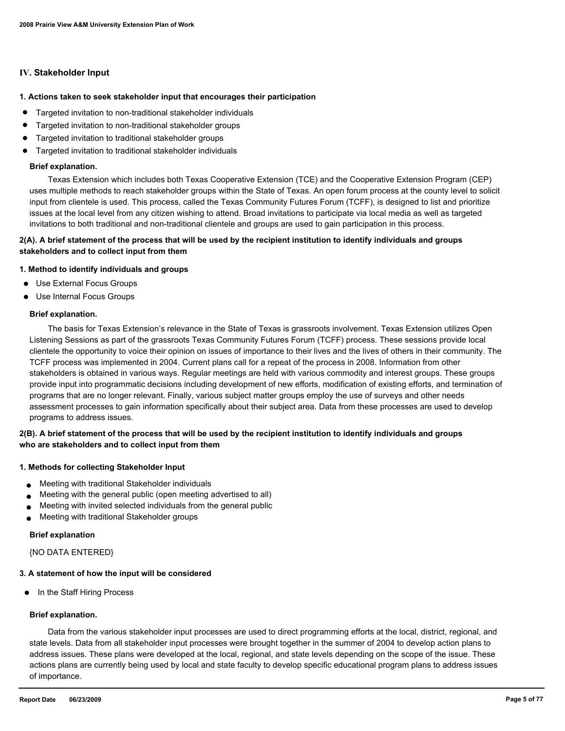#### **IV. Stakeholder Input**

#### **1. Actions taken to seek stakeholder input that encourages their participation**

- Targeted invitation to non-traditional stakeholder individuals
- Targeted invitation to non-traditional stakeholder groups
- Targeted invitation to traditional stakeholder groups
- Targeted invitation to traditional stakeholder individuals

#### **Brief explanation.**

 Texas Extension which includes both Texas Cooperative Extension (TCE) and the Cooperative Extension Program (CEP) uses multiple methods to reach stakeholder groups within the State of Texas. An open forum process at the county level to solicit input from clientele is used. This process, called the Texas Community Futures Forum (TCFF), is designed to list and prioritize issues at the local level from any citizen wishing to attend. Broad invitations to participate via local media as well as targeted invitations to both traditional and non-traditional clientele and groups are used to gain participation in this process.

#### **2(A). A brief statement of the process that will be used by the recipient institution to identify individuals and groups stakeholders and to collect input from them**

#### **1. Method to identify individuals and groups**

- Use External Focus Groups
- Use Internal Focus Groups

#### **Brief explanation.**

 The basis for Texas Extension's relevance in the State of Texas is grassroots involvement. Texas Extension utilizes Open Listening Sessions as part of the grassroots Texas Community Futures Forum (TCFF) process. These sessions provide local clientele the opportunity to voice their opinion on issues of importance to their lives and the lives of others in their community. The TCFF process was implemented in 2004. Current plans call for a repeat of the process in 2008. Information from other stakeholders is obtained in various ways. Regular meetings are held with various commodity and interest groups. These groups provide input into programmatic decisions including development of new efforts, modification of existing efforts, and termination of programs that are no longer relevant. Finally, various subject matter groups employ the use of surveys and other needs assessment processes to gain information specifically about their subject area. Data from these processes are used to develop programs to address issues.

### **2(B). A brief statement of the process that will be used by the recipient institution to identify individuals and groups who are stakeholders and to collect input from them**

#### **1. Methods for collecting Stakeholder Input**

- Meeting with traditional Stakeholder individuals
- Meeting with the general public (open meeting advertised to all)
- Meeting with invited selected individuals from the general public
- Meeting with traditional Stakeholder groups

#### **Brief explanation**

{NO DATA ENTERED}

#### **3. A statement of how the input will be considered**

● In the Staff Hiring Process

#### **Brief explanation.**

 Data from the various stakeholder input processes are used to direct programming efforts at the local, district, regional, and state levels. Data from all stakeholder input processes were brought together in the summer of 2004 to develop action plans to address issues. These plans were developed at the local, regional, and state levels depending on the scope of the issue. These actions plans are currently being used by local and state faculty to develop specific educational program plans to address issues of importance.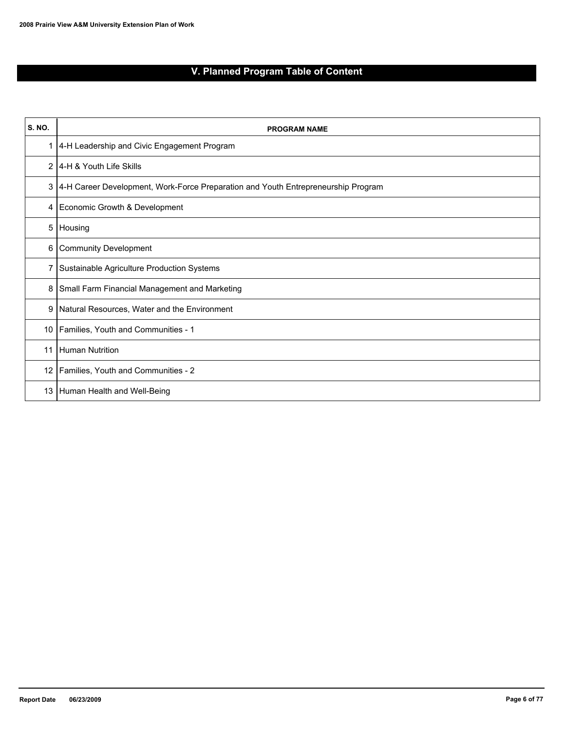# **V. Planned Program Table of Content**

| <b>S. NO.</b>  | <b>PROGRAM NAME</b>                                                               |
|----------------|-----------------------------------------------------------------------------------|
| 1              | 4-H Leadership and Civic Engagement Program                                       |
| $\overline{2}$ | 14-H & Youth Life Skills                                                          |
| 3              | 4-H Career Development, Work-Force Preparation and Youth Entrepreneurship Program |
| 4              | Economic Growth & Development                                                     |
| 5              | Housing                                                                           |
| 6              | Community Development                                                             |
| 7              | Sustainable Agriculture Production Systems                                        |
| 8              | Small Farm Financial Management and Marketing                                     |
| 9              | Natural Resources, Water and the Environment                                      |
| 10             | Families, Youth and Communities - 1                                               |
| 11             | Human Nutrition                                                                   |
| 12             | Families, Youth and Communities - 2                                               |
| 13             | Human Health and Well-Being                                                       |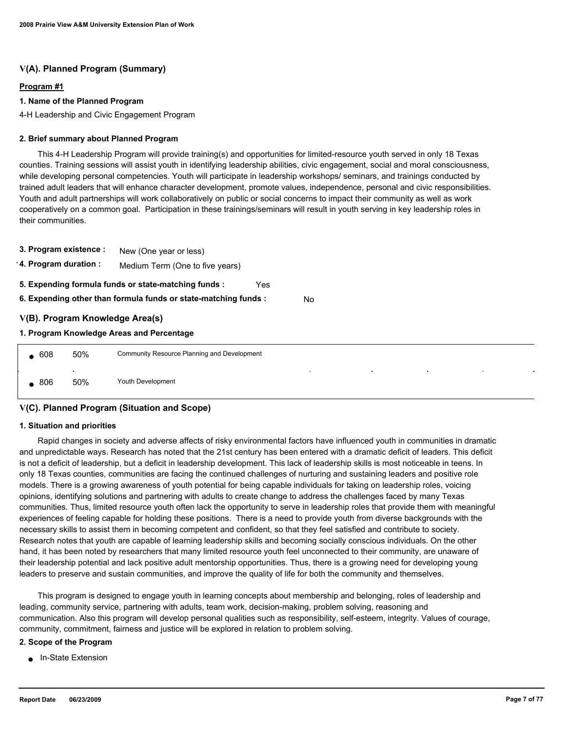### **V(A). Planned Program (Summary)**

#### **Program #1**

#### **1. Name of the Planned Program**

4-H Leadership and Civic Engagement Program

#### **2. Brief summary about Planned Program**

 This 4-H Leadership Program will provide training(s) and opportunities for limited-resource youth served in only 18 Texas counties. Training sessions will assist youth in identifying leadership abilities, civic engagement, social and moral consciousness, while developing personal competencies. Youth will participate in leadership workshops/ seminars, and trainings conducted by trained adult leaders that will enhance character development, promote values, independence, personal and civic responsibilities. Youth and adult partnerships will work collaboratively on public or social concerns to impact their community as well as work cooperatively on a common goal. Participation in these trainings/seminars will result in youth serving in key leadership roles in their communities.

| 3. Program existence : |                                                                       | New (One year or less)                                      |  |  |  |  |  |  |  |
|------------------------|-----------------------------------------------------------------------|-------------------------------------------------------------|--|--|--|--|--|--|--|
| 4. Program duration :  |                                                                       | Medium Term (One to five years)                             |  |  |  |  |  |  |  |
|                        |                                                                       | 5. Expending formula funds or state-matching funds :<br>Yes |  |  |  |  |  |  |  |
|                        | 6. Expending other than formula funds or state-matching funds :<br>No |                                                             |  |  |  |  |  |  |  |
|                        |                                                                       | V(B). Program Knowledge Area(s)                             |  |  |  |  |  |  |  |
|                        |                                                                       | 1. Program Knowledge Areas and Percentage                   |  |  |  |  |  |  |  |
| $\bullet$ 608          | 50%                                                                   | Community Resource Planning and Development                 |  |  |  |  |  |  |  |
|                        |                                                                       | $\bullet$<br>$\sim$<br>٠                                    |  |  |  |  |  |  |  |

### **V(C). Planned Program (Situation and Scope)**

806 50% Youth Development

#### **1. Situation and priorities**

 Rapid changes in society and adverse affects of risky environmental factors have influenced youth in communities in dramatic and unpredictable ways. Research has noted that the 21st century has been entered with a dramatic deficit of leaders. This deficit is not a deficit of leadership, but a deficit in leadership development. This lack of leadership skills is most noticeable in teens. In only 18 Texas counties, communities are facing the continued challenges of nurturing and sustaining leaders and positive role models. There is a growing awareness of youth potential for being capable individuals for taking on leadership roles, voicing opinions, identifying solutions and partnering with adults to create change to address the challenges faced by many Texas communities. Thus, limited resource youth often lack the opportunity to serve in leadership roles that provide them with meaningful experiences of feeling capable for holding these positions. There is a need to provide youth from diverse backgrounds with the necessary skills to assist them in becoming competent and confident, so that they feel satisfied and contribute to society. Research notes that youth are capable of learning leadership skills and becoming socially conscious individuals. On the other hand, it has been noted by researchers that many limited resource youth feel unconnected to their community, are unaware of their leadership potential and lack positive adult mentorship opportunities. Thus, there is a growing need for developing young leaders to preserve and sustain communities, and improve the quality of life for both the community and themselves.

 This program is designed to engage youth in learning concepts about membership and belonging, roles of leadership and leading, community service, partnering with adults, team work, decision-making, problem solving, reasoning and communication. Also this program will develop personal qualities such as responsibility, self-esteem, integrity. Values of courage, community, commitment, fairness and justice will be explored in relation to problem solving.

#### **2. Scope of the Program**

**In-State Extension**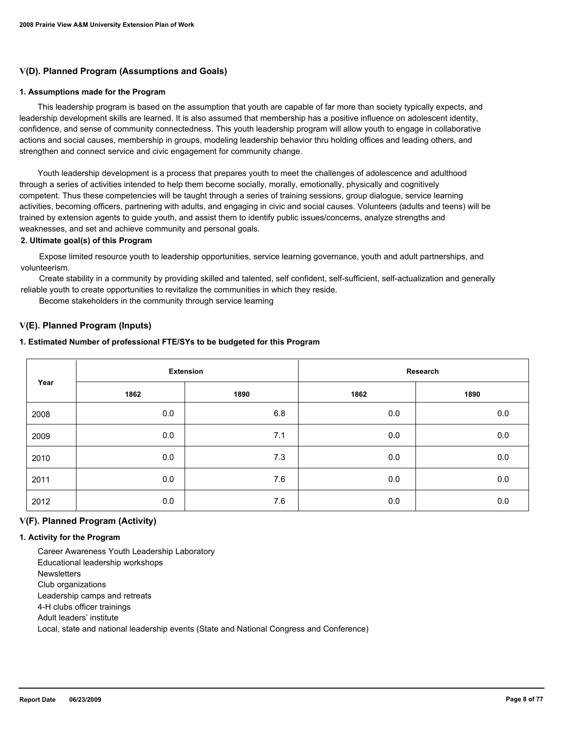### **V(D). Planned Program (Assumptions and Goals)**

#### **1. Assumptions made for the Program**

 This leadership program is based on the assumption that youth are capable of far more than society typically expects, and leadership development skills are learned. It is also assumed that membership has a positive influence on adolescent identity, confidence, and sense of community connectedness. This youth leadership program will allow youth to engage in collaborative actions and social causes, membership in groups, modeling leadership behavior thru holding offices and leading others, and strengthen and connect service and civic engagement for community change.

 Youth leadership development is a process that prepares youth to meet the challenges of adolescence and adulthood through a series of activities intended to help them become socially, morally, emotionally, physically and cognitively competent. Thus these competencies will be taught through a series of training sessions, group dialogue, service learning activities, becoming officers, partnering with adults, and engaging in civic and social causes. Volunteers (adults and teens) will be trained by extension agents to guide youth, and assist them to identify public issues/concerns, analyze strengths and weaknesses, and set and achieve community and personal goals.

#### **2. Ultimate goal(s) of this Program**

 Expose limited resource youth to leadership opportunities, service learning governance, youth and adult partnerships, and volunteerism.

 Create stability in a community by providing skilled and talented, self confident, self-sufficient, self-actualization and generally reliable youth to create opportunities to revitalize the communities in which they reside.

Become stakeholders in the community through service learning

#### **V(E). Planned Program (Inputs)**

#### **1. Estimated Number of professional FTE/SYs to be budgeted for this Program**

| Year | <b>Extension</b> |      | Research |      |  |
|------|------------------|------|----------|------|--|
|      | 1862             | 1890 | 1862     | 1890 |  |
| 2008 | 0.0              | 6.8  | 0.0      | 0.0  |  |
| 2009 | 0.0              | 7.1  | 0.0      | 0.0  |  |
| 2010 | 0.0              | 7.3  | 0.0      | 0.0  |  |
| 2011 | 0.0              | 7.6  | 0.0      | 0.0  |  |
| 2012 | 0.0              | 7.6  | 0.0      | 0.0  |  |

### **V(F). Planned Program (Activity)**

#### **1. Activity for the Program**

 Career Awareness Youth Leadership Laboratory Educational leadership workshops **Newsletters**  Club organizations Leadership camps and retreats 4-H clubs officer trainings Adult leaders' institute Local, state and national leadership events (State and National Congress and Conference)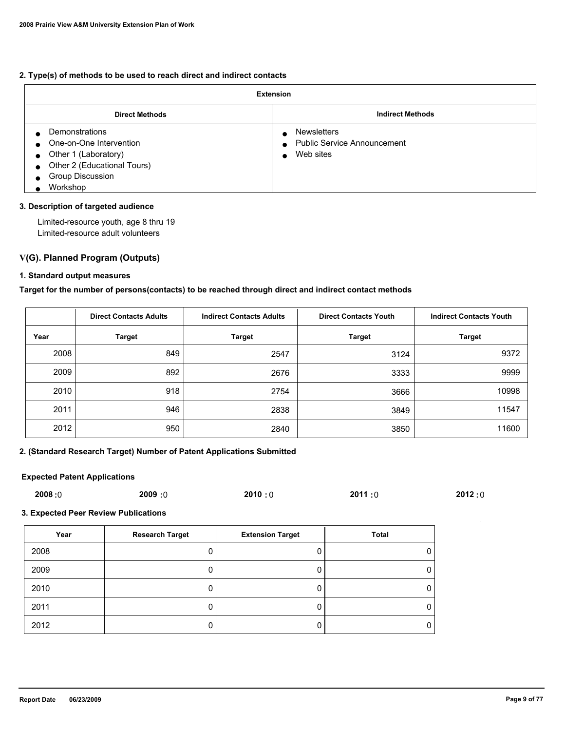#### **2. Type(s) of methods to be used to reach direct and indirect contacts**

| <b>Extension</b>                                                                                                                        |                                                                       |  |  |  |  |
|-----------------------------------------------------------------------------------------------------------------------------------------|-----------------------------------------------------------------------|--|--|--|--|
| <b>Direct Methods</b>                                                                                                                   | <b>Indirect Methods</b>                                               |  |  |  |  |
| Demonstrations<br>One-on-One Intervention<br>Other 1 (Laboratory)<br>Other 2 (Educational Tours)<br><b>Group Discussion</b><br>Workshop | <b>Newsletters</b><br><b>Public Service Announcement</b><br>Web sites |  |  |  |  |

#### **3. Description of targeted audience**

 Limited-resource youth, age 8 thru 19 Limited-resource adult volunteers

#### **V(G). Planned Program (Outputs)**

#### **1. Standard output measures**

**Target for the number of persons(contacts) to be reached through direct and indirect contact methods**

|      | <b>Direct Contacts Adults</b> | <b>Indirect Contacts Adults</b> | <b>Direct Contacts Youth</b> | <b>Indirect Contacts Youth</b> |  |
|------|-------------------------------|---------------------------------|------------------------------|--------------------------------|--|
| Year | <b>Target</b>                 | <b>Target</b>                   | <b>Target</b>                | <b>Target</b>                  |  |
| 2008 | 849                           | 2547                            | 3124                         | 9372                           |  |
| 2009 | 892                           | 2676                            | 3333                         | 9999                           |  |
| 2010 | 918                           | 2754                            | 3666                         | 10998                          |  |
| 2011 | 946                           | 2838                            | 3849                         | 11547                          |  |
| 2012 | 950                           | 2840                            | 3850                         | 11600                          |  |

### **2. (Standard Research Target) Number of Patent Applications Submitted**

### **Expected Patent Applications**

| 2008:0 | 2009 :0 | 2010:0 | 2011:0 | 2012:0 |
|--------|---------|--------|--------|--------|
|--------|---------|--------|--------|--------|

### **3. Expected Peer Review Publications**

| Year | <b>Research Target</b> | <b>Extension Target</b> | Total |
|------|------------------------|-------------------------|-------|
| 2008 |                        |                         |       |
| 2009 |                        |                         |       |
| 2010 |                        |                         |       |
| 2011 |                        |                         |       |
| 2012 |                        |                         |       |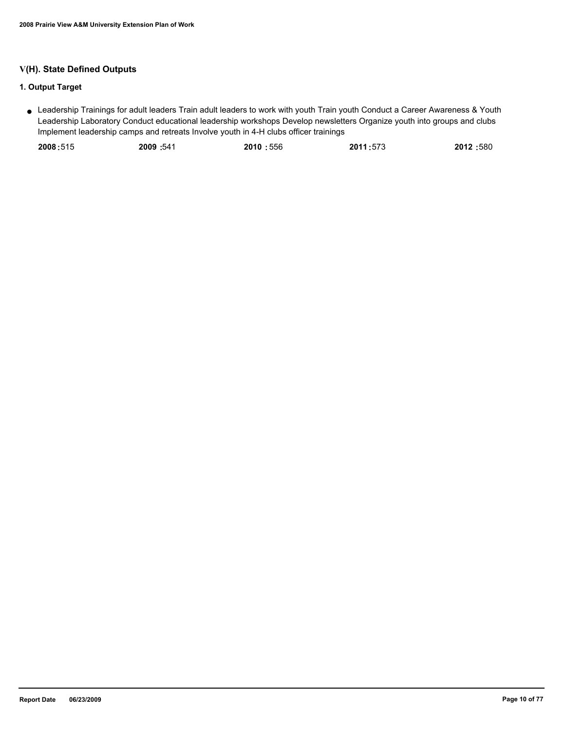### **V(H). State Defined Outputs**

### **1. Output Target**

Leadership Trainings for adult leaders Train adult leaders to work with youth Train youth Conduct a Career Awareness & Youth ● Leadership Laboratory Conduct educational leadership workshops Develop newsletters Organize youth into groups and clubs Implement leadership camps and retreats Involve youth in 4-H clubs officer trainings

| 2009:541<br>2010:556<br>2008:515 | 2012:580<br>2011:573 |
|----------------------------------|----------------------|
|----------------------------------|----------------------|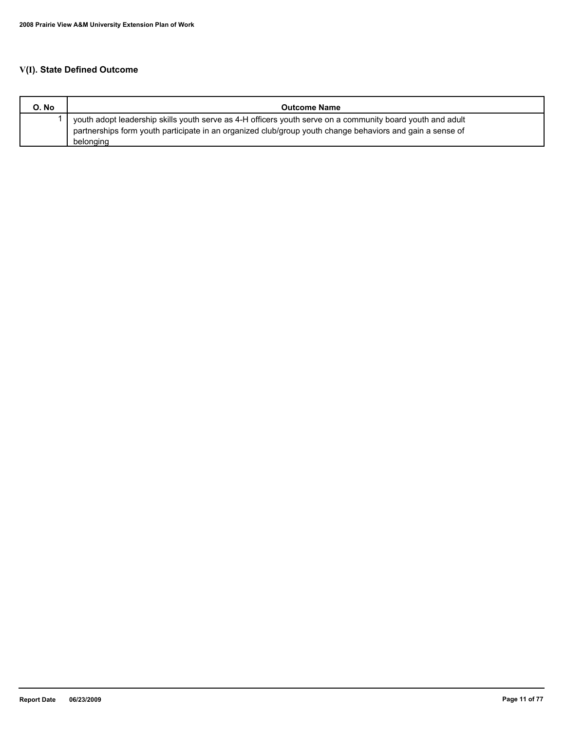# **V(I). State Defined Outcome**

| O. No | <b>Outcome Name</b>                                                                                                                                                                                                     |
|-------|-------------------------------------------------------------------------------------------------------------------------------------------------------------------------------------------------------------------------|
|       | youth adopt leadership skills youth serve as 4-H officers youth serve on a community board youth and adult<br>partnerships form youth participate in an organized club/group youth change behaviors and gain a sense of |
|       | belonging                                                                                                                                                                                                               |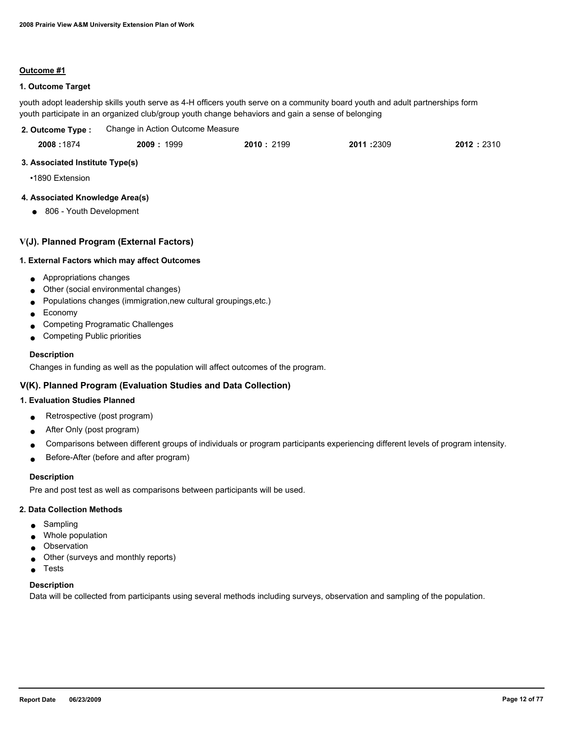#### **Outcome #1**

### **1. Outcome Target**

youth adopt leadership skills youth serve as 4-H officers youth serve on a community board youth and adult partnerships form youth participate in an organized club/group youth change behaviors and gain a sense of belonging

| 2. Outcome Type : | Change in Action Outcome Measure |           |           |           |
|-------------------|----------------------------------|-----------|-----------|-----------|
| 2008:1874         | 2009 : 1999                      | 2010:2199 | 2011:2309 | 2012:2310 |

#### **3. Associated Institute Type(s)**

•1890 Extension

### **4. Associated Knowledge Area(s)**

● 806 - Youth Development

#### **V(J). Planned Program (External Factors)**

#### **1. External Factors which may affect Outcomes**

- Appropriations changes
- Other (social environmental changes)
- Populations changes (immigration,new cultural groupings,etc.)
- Economy
- Competing Programatic Challenges
- Competing Public priorities

#### **Description**

Changes in funding as well as the population will affect outcomes of the program.

### **V(K). Planned Program (Evaluation Studies and Data Collection)**

#### **1. Evaluation Studies Planned**

- Retrospective (post program)
- After Only (post program)
- Comparisons between different groups of individuals or program participants experiencing different levels of program intensity.
- Before-After (before and after program)

### **Description**

Pre and post test as well as comparisons between participants will be used.

#### **2. Data Collection Methods**

- Sampling
- Whole population
- **Observation**
- Other (surveys and monthly reports)
- Tests

#### **Description**

Data will be collected from participants using several methods including surveys, observation and sampling of the population.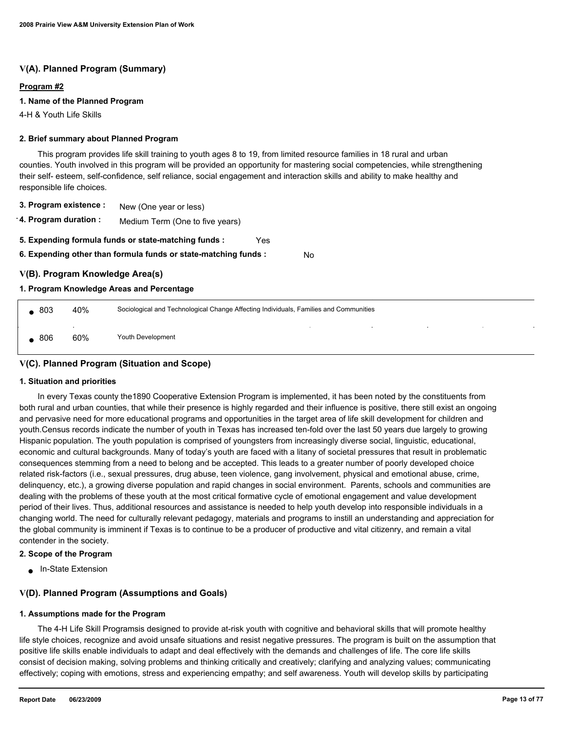### **V(A). Planned Program (Summary)**

#### **Program #2**

#### **1. Name of the Planned Program**

4-H & Youth Life Skills

#### **2. Brief summary about Planned Program**

 This program provides life skill training to youth ages 8 to 19, from limited resource families in 18 rural and urban counties. Youth involved in this program will be provided an opportunity for mastering social competencies, while strengthening their self- esteem, self-confidence, self reliance, social engagement and interaction skills and ability to make healthy and responsible life choices.

- **3. Program existence :** New (One year or less)
- **4. Program duration :** Medium Term (One to five years)
- **5. Expending formula funds or state-matching funds :** Yes
- **6. Expending other than formula funds or state-matching funds :** No

### **V(B). Program Knowledge Area(s)**

#### **1. Program Knowledge Areas and Percentage**

| $\bullet$ 803 | 40% | Sociological and Technological Change Affecting Individuals, Families and Communities |        |                          |        |  |  |
|---------------|-----|---------------------------------------------------------------------------------------|--------|--------------------------|--------|--|--|
| , 806         | 60% | Youth Development                                                                     | $\sim$ | the contract of the con- | $\sim$ |  |  |

### **V(C). Planned Program (Situation and Scope)**

#### **1. Situation and priorities**

 In every Texas county the1890 Cooperative Extension Program is implemented, it has been noted by the constituents from both rural and urban counties, that while their presence is highly regarded and their influence is positive, there still exist an ongoing and pervasive need for more educational programs and opportunities in the target area of life skill development for children and youth.Census records indicate the number of youth in Texas has increased ten-fold over the last 50 years due largely to growing Hispanic population. The youth population is comprised of youngsters from increasingly diverse social, linguistic, educational, economic and cultural backgrounds. Many of today's youth are faced with a litany of societal pressures that result in problematic consequences stemming from a need to belong and be accepted. This leads to a greater number of poorly developed choice related risk-factors (i.e., sexual pressures, drug abuse, teen violence, gang involvement, physical and emotional abuse, crime, delinquency, etc.), a growing diverse population and rapid changes in social environment. Parents, schools and communities are dealing with the problems of these youth at the most critical formative cycle of emotional engagement and value development period of their lives. Thus, additional resources and assistance is needed to help youth develop into responsible individuals in a changing world. The need for culturally relevant pedagogy, materials and programs to instill an understanding and appreciation for the global community is imminent if Texas is to continue to be a producer of productive and vital citizenry, and remain a vital contender in the society.

#### **2. Scope of the Program**

● In-State Extension

### **V(D). Planned Program (Assumptions and Goals)**

#### **1. Assumptions made for the Program**

 The 4-H Life Skill Programsis designed to provide at-risk youth with cognitive and behavioral skills that will promote healthy life style choices, recognize and avoid unsafe situations and resist negative pressures. The program is built on the assumption that positive life skills enable individuals to adapt and deal effectively with the demands and challenges of life. The core life skills consist of decision making, solving problems and thinking critically and creatively; clarifying and analyzing values; communicating effectively; coping with emotions, stress and experiencing empathy; and self awareness. Youth will develop skills by participating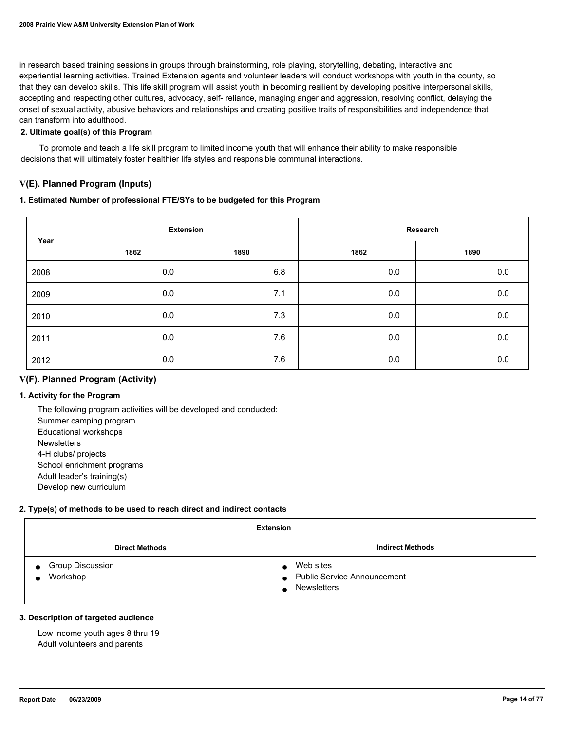in research based training sessions in groups through brainstorming, role playing, storytelling, debating, interactive and experiential learning activities. Trained Extension agents and volunteer leaders will conduct workshops with youth in the county, so that they can develop skills. This life skill program will assist youth in becoming resilient by developing positive interpersonal skills, accepting and respecting other cultures, advocacy, self- reliance, managing anger and aggression, resolving conflict, delaying the onset of sexual activity, abusive behaviors and relationships and creating positive traits of responsibilities and independence that can transform into adulthood.

### **2. Ultimate goal(s) of this Program**

 To promote and teach a life skill program to limited income youth that will enhance their ability to make responsible decisions that will ultimately foster healthier life styles and responsible communal interactions.

### **V(E). Planned Program (Inputs)**

#### **1. Estimated Number of professional FTE/SYs to be budgeted for this Program**

| Year | <b>Extension</b> |      | Research |         |
|------|------------------|------|----------|---------|
|      | 1862             | 1890 | 1862     | 1890    |
| 2008 | 0.0              | 6.8  | 0.0      | 0.0     |
| 2009 | 0.0              | 7.1  | 0.0      | 0.0     |
| 2010 | 0.0              | 7.3  | 0.0      | 0.0     |
| 2011 | 0.0              | 7.6  | 0.0      | $0.0\,$ |
| 2012 | 0.0              | 7.6  | 0.0      | 0.0     |

### **V(F). Planned Program (Activity)**

### **1. Activity for the Program**

 The following program activities will be developed and conducted: Summer camping program Educational workshops **Newsletters**  4-H clubs/ projects School enrichment programs Adult leader's training(s) Develop new curriculum

#### **2. Type(s) of methods to be used to reach direct and indirect contacts**

| <b>Extension</b>                    |                                                                                    |  |  |
|-------------------------------------|------------------------------------------------------------------------------------|--|--|
| <b>Direct Methods</b>               | <b>Indirect Methods</b>                                                            |  |  |
| <b>Group Discussion</b><br>Workshop | Web sites<br><b>Public Service Announcement</b><br>$\bullet$<br><b>Newsletters</b> |  |  |

#### **3. Description of targeted audience**

 Low income youth ages 8 thru 19 Adult volunteers and parents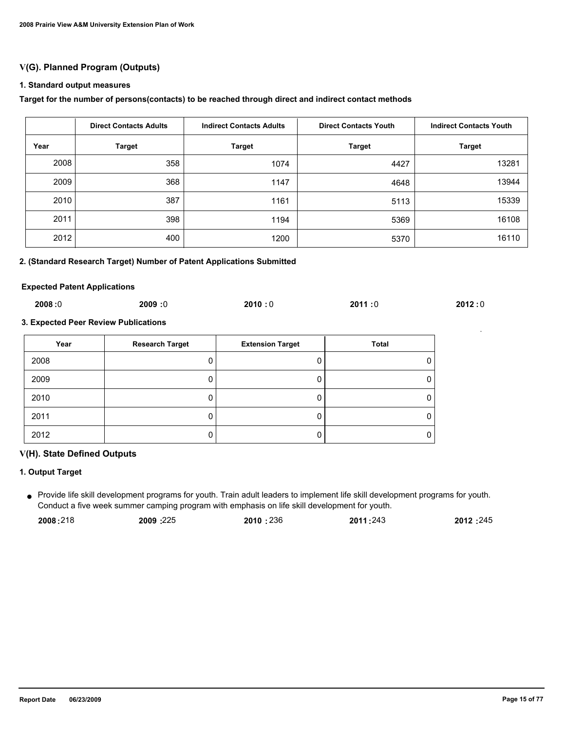### **V(G). Planned Program (Outputs)**

#### **1. Standard output measures**

#### **Target for the number of persons(contacts) to be reached through direct and indirect contact methods**

|      | <b>Direct Contacts Adults</b> | <b>Indirect Contacts Adults</b> | <b>Direct Contacts Youth</b> | <b>Indirect Contacts Youth</b> |
|------|-------------------------------|---------------------------------|------------------------------|--------------------------------|
| Year | <b>Target</b>                 | <b>Target</b>                   | <b>Target</b>                | <b>Target</b>                  |
| 2008 | 358                           | 1074                            | 4427                         | 13281                          |
| 2009 | 368                           | 1147                            | 4648                         | 13944                          |
| 2010 | 387                           | 1161                            | 5113                         | 15339                          |
| 2011 | 398                           | 1194                            | 5369                         | 16108                          |
| 2012 | 400                           | 1200                            | 5370                         | 16110                          |

#### **2. (Standard Research Target) Number of Patent Applications Submitted**

#### **Expected Patent Applications**

| 2008:0 | 2009:0 | 2010:0 | 2011:0 | 2012:0 |
|--------|--------|--------|--------|--------|
|        |        |        |        |        |

### **3. Expected Peer Review Publications**

| Year | <b>Research Target</b> | <b>Extension Target</b> | <b>Total</b> |
|------|------------------------|-------------------------|--------------|
| 2008 |                        |                         |              |
| 2009 |                        |                         |              |
| 2010 |                        |                         |              |
| 2011 |                        |                         |              |
| 2012 |                        |                         |              |

#### **V(H). State Defined Outputs**

### **1. Output Target**

Provide life skill development programs for youth. Train adult leaders to implement life skill development programs for youth. ● Conduct a five week summer camping program with emphasis on life skill development for youth.

| 2008:218 | 2009:225 | 2010:236 | 2011:243 | 2012:245 |
|----------|----------|----------|----------|----------|
|----------|----------|----------|----------|----------|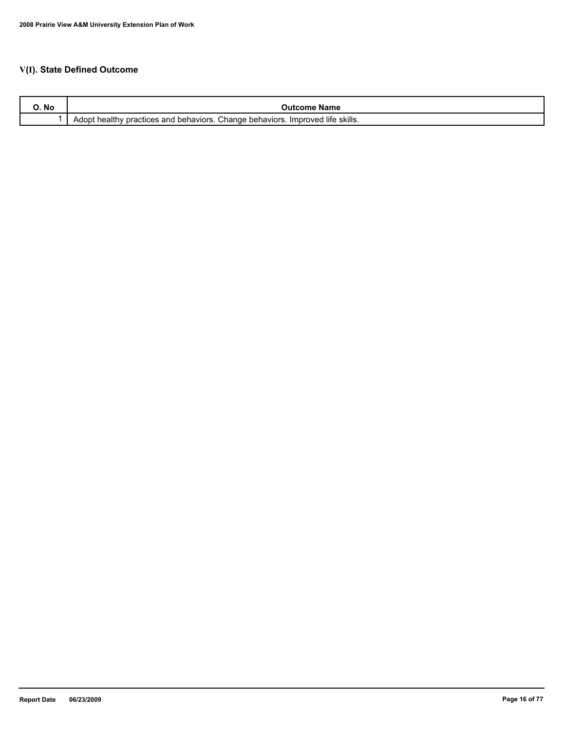# **V(I). State Defined Outcome**

| <b>IVU</b> | Name<br>- 1117                                                                                                                              |
|------------|---------------------------------------------------------------------------------------------------------------------------------------------|
|            | <sup>→</sup> skills.<br><br>Change<br>. life<br><sup>1</sup> behaviors.<br>behaviors.<br><i>I</i> mproved<br>actices and<br>Adopt<br>าeaitr |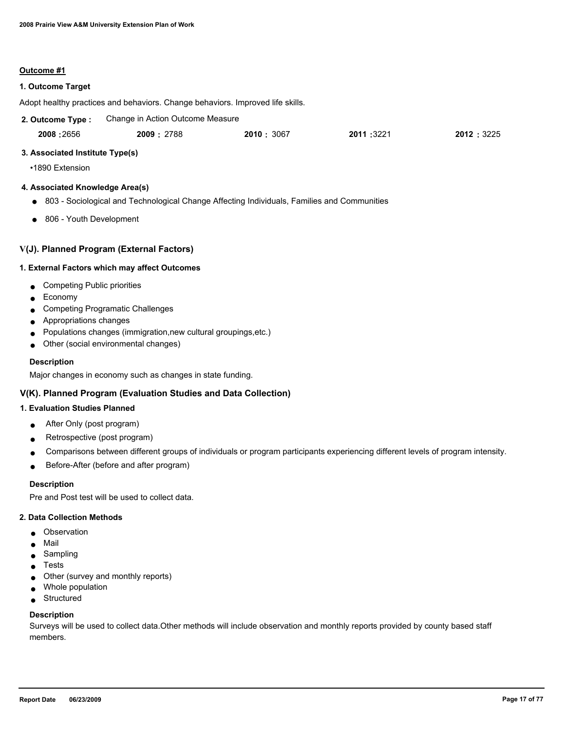#### **Outcome #1**

#### **1. Outcome Target**

Adopt healthy practices and behaviors. Change behaviors. Improved life skills.

| 2. Outcome Type : | Change in Action Outcome Measure |            |           |            |
|-------------------|----------------------------------|------------|-----------|------------|
| 2008:2656         | 2009: 2788                       | 2010: 3067 | 2011:3221 | 2012: 3225 |

#### **3. Associated Institute Type(s)**

•1890 Extension

#### **4. Associated Knowledge Area(s)**

- 803 Sociological and Technological Change Affecting Individuals, Families and Communities
- 806 Youth Development

#### **V(J). Planned Program (External Factors)**

#### **1. External Factors which may affect Outcomes**

- Competing Public priorities
- Economy
- Competing Programatic Challenges
- Appropriations changes
- Populations changes (immigration,new cultural groupings,etc.)
- Other (social environmental changes)

#### **Description**

Major changes in economy such as changes in state funding.

### **V(K). Planned Program (Evaluation Studies and Data Collection)**

### **1. Evaluation Studies Planned**

- After Only (post program)
- Retrospective (post program)
- Comparisons between different groups of individuals or program participants experiencing different levels of program intensity.
- Before-After (before and after program)

#### **Description**

Pre and Post test will be used to collect data.

#### **2. Data Collection Methods**

- Observation
- Mail
- Sampling
- Tests
- Other (survey and monthly reports)
- Whole population
- Structured

#### **Description**

Surveys will be used to collect data.Other methods will include observation and monthly reports provided by county based staff members.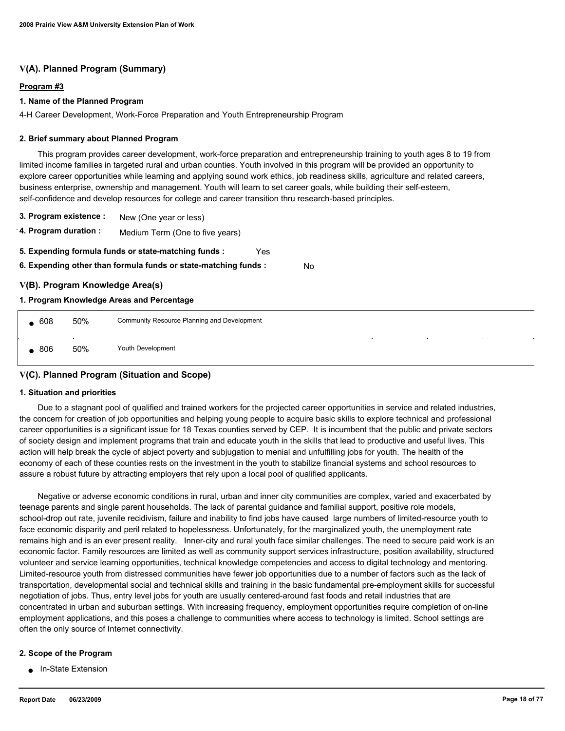### **V(A). Planned Program (Summary)**

#### **Program #3**

#### **1. Name of the Planned Program**

4-H Career Development, Work-Force Preparation and Youth Entrepreneurship Program

#### **2. Brief summary about Planned Program**

 This program provides career development, work-force preparation and entrepreneurship training to youth ages 8 to 19 from limited income families in targeted rural and urban counties. Youth involved in this program will be provided an opportunity to explore career opportunities while learning and applying sound work ethics, job readiness skills, agriculture and related careers, business enterprise, ownership and management. Youth will learn to set career goals, while building their self-esteem, self-confidence and develop resources for college and career transition thru research-based principles.

- **3. Program existence :** New (One year or less)
- **4. Program duration :** Medium Term (One to five years)
- **5. Expending formula funds or state-matching funds :** Yes
- **6. Expending other than formula funds or state-matching funds :** No

#### **V(B). Program Knowledge Area(s)**

#### **1. Program Knowledge Areas and Percentage**

| 608 | 50%           | Community Resource Planning and Development                                                                                                            |  |  |  |  |
|-----|---------------|--------------------------------------------------------------------------------------------------------------------------------------------------------|--|--|--|--|
| 806 | $\sim$<br>50% | the contract of the<br>the control of the con-<br><b>College</b><br><b>Contract Contract Contract</b><br><b>Contract Contract</b><br>Youth Development |  |  |  |  |

### **V(C). Planned Program (Situation and Scope)**

#### **1. Situation and priorities**

 Due to a stagnant pool of qualified and trained workers for the projected career opportunities in service and related industries, the concern for creation of job opportunities and helping young people to acquire basic skills to explore technical and professional career opportunities is a significant issue for 18 Texas counties served by CEP. It is incumbent that the public and private sectors of society design and implement programs that train and educate youth in the skills that lead to productive and useful lives. This action will help break the cycle of abject poverty and subjugation to menial and unfulfilling jobs for youth. The health of the economy of each of these counties rests on the investment in the youth to stabilize financial systems and school resources to assure a robust future by attracting employers that rely upon a local pool of qualified applicants.

 Negative or adverse economic conditions in rural, urban and inner city communities are complex, varied and exacerbated by teenage parents and single parent households. The lack of parental guidance and familial support, positive role models, school-drop out rate, juvenile recidivism, failure and inability to find jobs have caused large numbers of limited-resource youth to face economic disparity and peril related to hopelessness. Unfortunately, for the marginalized youth, the unemployment rate remains high and is an ever present reality. Inner-city and rural youth face similar challenges. The need to secure paid work is an economic factor. Family resources are limited as well as community support services infrastructure, position availability, structured volunteer and service learning opportunities, technical knowledge competencies and access to digital technology and mentoring. Limited-resource youth from distressed communities have fewer job opportunities due to a number of factors such as the lack of transportation, developmental social and technical skills and training in the basic fundamental pre-employment skills for successful negotiation of jobs. Thus, entry level jobs for youth are usually centered-around fast foods and retail industries that are concentrated in urban and suburban settings. With increasing frequency, employment opportunities require completion of on-line employment applications, and this poses a challenge to communities where access to technology is limited. School settings are often the only source of Internet connectivity.

#### **2. Scope of the Program**

● In-State Extension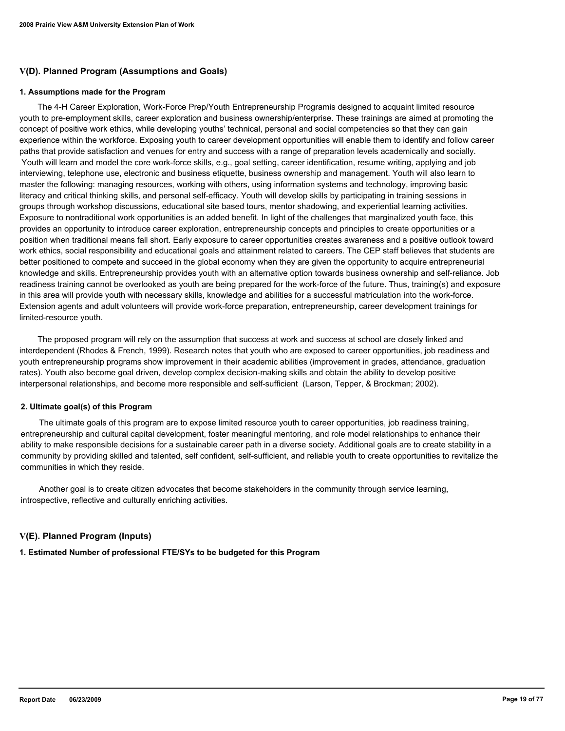### **V(D). Planned Program (Assumptions and Goals)**

#### **1. Assumptions made for the Program**

 The 4-H Career Exploration, Work-Force Prep/Youth Entrepreneurship Programis designed to acquaint limited resource youth to pre-employment skills, career exploration and business ownership/enterprise. These trainings are aimed at promoting the concept of positive work ethics, while developing youths' technical, personal and social competencies so that they can gain experience within the workforce. Exposing youth to career development opportunities will enable them to identify and follow career paths that provide satisfaction and venues for entry and success with a range of preparation levels academically and socially. Youth will learn and model the core work-force skills, e.g., goal setting, career identification, resume writing, applying and job interviewing, telephone use, electronic and business etiquette, business ownership and management. Youth will also learn to master the following: managing resources, working with others, using information systems and technology, improving basic literacy and critical thinking skills, and personal self-efficacy. Youth will develop skills by participating in training sessions in groups through workshop discussions, educational site based tours, mentor shadowing, and experiential learning activities. Exposure to nontraditional work opportunities is an added benefit. In light of the challenges that marginalized youth face, this provides an opportunity to introduce career exploration, entrepreneurship concepts and principles to create opportunities or a position when traditional means fall short. Early exposure to career opportunities creates awareness and a positive outlook toward work ethics, social responsibility and educational goals and attainment related to careers. The CEP staff believes that students are better positioned to compete and succeed in the global economy when they are given the opportunity to acquire entrepreneurial knowledge and skills. Entrepreneurship provides youth with an alternative option towards business ownership and self-reliance. Job readiness training cannot be overlooked as youth are being prepared for the work-force of the future. Thus, training(s) and exposure in this area will provide youth with necessary skills, knowledge and abilities for a successful matriculation into the work-force. Extension agents and adult volunteers will provide work-force preparation, entrepreneurship, career development trainings for limited-resource youth.

 The proposed program will rely on the assumption that success at work and success at school are closely linked and interdependent (Rhodes & French, 1999). Research notes that youth who are exposed to career opportunities, job readiness and youth entrepreneurship programs show improvement in their academic abilities (improvement in grades, attendance, graduation rates). Youth also become goal driven, develop complex decision-making skills and obtain the ability to develop positive interpersonal relationships, and become more responsible and self-sufficient (Larson, Tepper, & Brockman; 2002).

#### **2. Ultimate goal(s) of this Program**

 The ultimate goals of this program are to expose limited resource youth to career opportunities, job readiness training, entrepreneurship and cultural capital development, foster meaningful mentoring, and role model relationships to enhance their ability to make responsible decisions for a sustainable career path in a diverse society. Additional goals are to create stability in a community by providing skilled and talented, self confident, self-sufficient, and reliable youth to create opportunities to revitalize the communities in which they reside.

 Another goal is to create citizen advocates that become stakeholders in the community through service learning, introspective, reflective and culturally enriching activities.

### **V(E). Planned Program (Inputs)**

**1. Estimated Number of professional FTE/SYs to be budgeted for this Program**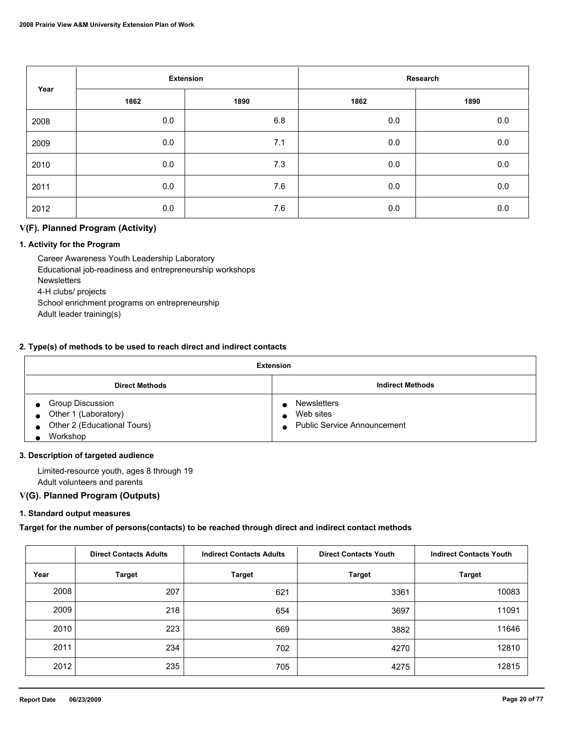| Year | <b>Extension</b> |      | Research |         |
|------|------------------|------|----------|---------|
|      | 1862             | 1890 | 1862     | 1890    |
| 2008 | 0.0              | 6.8  | $0.0\,$  | 0.0     |
| 2009 | 0.0              | 7.1  | 0.0      | $0.0\,$ |
| 2010 | 0.0              | 7.3  | 0.0      | $0.0\,$ |
| 2011 | 0.0              | 7.6  | 0.0      | 0.0     |
| 2012 | 0.0              | 7.6  | 0.0      | 0.0     |

### **V(F). Planned Program (Activity)**

### **1. Activity for the Program**

 Career Awareness Youth Leadership Laboratory Educational job-readiness and entrepreneurship workshops **Newsletters**  4-H clubs/ projects School enrichment programs on entrepreneurship Adult leader training(s)

#### **2. Type(s) of methods to be used to reach direct and indirect contacts**

| Extension                      |                               |  |  |  |
|--------------------------------|-------------------------------|--|--|--|
| <b>Direct Methods</b>          | <b>Indirect Methods</b>       |  |  |  |
| <b>Group Discussion</b>        | Newsletters                   |  |  |  |
| $\bullet$ Other 1 (Laboratory) | Web sites<br>$\bullet$        |  |  |  |
| • Other 2 (Educational Tours)  | • Public Service Announcement |  |  |  |
| Workshop                       |                               |  |  |  |

#### **3. Description of targeted audience**

 Limited-resource youth, ages 8 through 19 Adult volunteers and parents

### **V(G). Planned Program (Outputs)**

#### **1. Standard output measures**

**Target for the number of persons(contacts) to be reached through direct and indirect contact methods**

|      | <b>Direct Contacts Adults</b> | <b>Indirect Contacts Adults</b> | <b>Direct Contacts Youth</b> | <b>Indirect Contacts Youth</b> |
|------|-------------------------------|---------------------------------|------------------------------|--------------------------------|
| Year | <b>Target</b>                 | <b>Target</b>                   | <b>Target</b>                | <b>Target</b>                  |
| 2008 | 207                           | 621                             | 3361                         | 10083                          |
| 2009 | 218                           | 654                             | 3697                         | 11091                          |
| 2010 | 223                           | 669                             | 3882                         | 11646                          |
| 2011 | 234                           | 702                             | 4270                         | 12810                          |
| 2012 | 235                           | 705                             | 4275                         | 12815                          |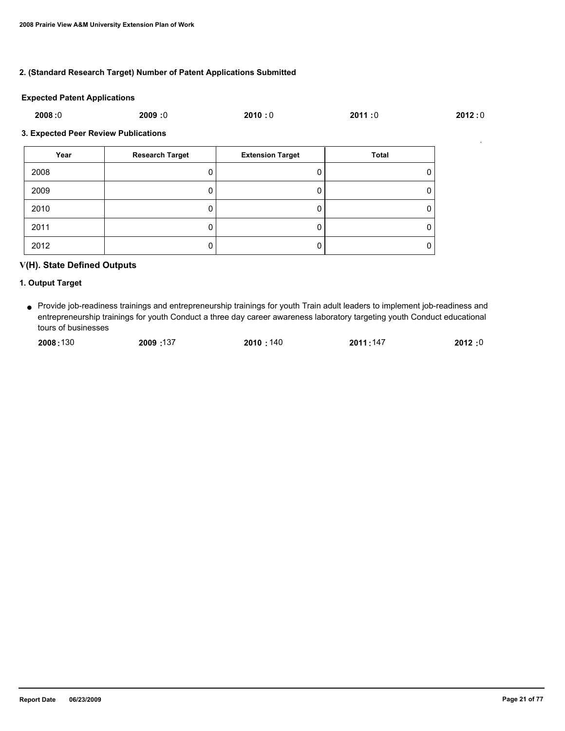#### **2. (Standard Research Target) Number of Patent Applications Submitted**

#### **Expected Patent Applications**

| 2008:0<br>2011:0<br>2010:0 |
|----------------------------|
|----------------------------|

#### **3. Expected Peer Review Publications**

| Year | <b>Research Target</b> | <b>Extension Target</b> | <b>Total</b> |
|------|------------------------|-------------------------|--------------|
| 2008 |                        |                         |              |
| 2009 |                        | υ                       | 0            |
| 2010 |                        |                         | 0            |
| 2011 |                        | υ                       | U            |
| 2012 |                        |                         | 0            |

### **V(H). State Defined Outputs**

#### **1. Output Target**

Provide job-readiness trainings and entrepreneurship trainings for youth Train adult leaders to implement job-readiness and ● entrepreneurship trainings for youth Conduct a three day career awareness laboratory targeting youth Conduct educational tours of businesses

| 2008:130 | 137: <b>2009</b> | 2010:140 | 2011:147 | 2012:0 |
|----------|------------------|----------|----------|--------|
|          |                  |          |          |        |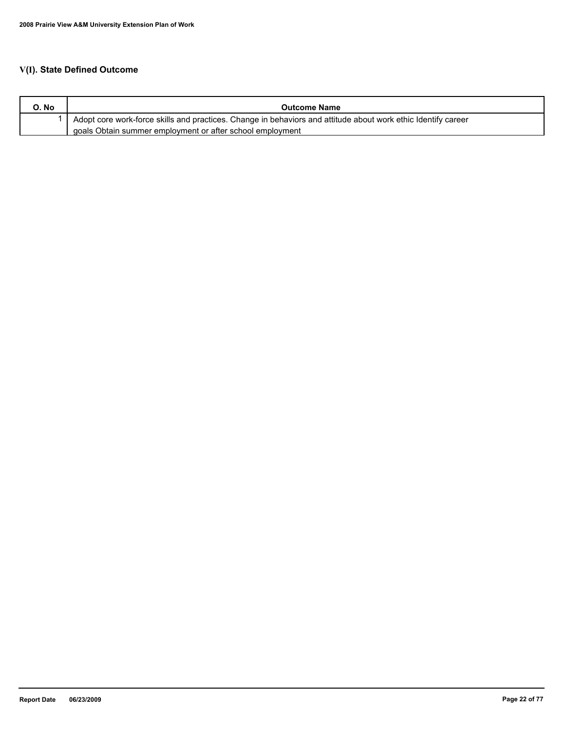# **V(I). State Defined Outcome**

| O. No | <b>Outcome Name</b>                                                                                           |
|-------|---------------------------------------------------------------------------------------------------------------|
|       | Adopt core work-force skills and practices. Change in behaviors and attitude about work ethic Identify career |
|       | goals Obtain summer employment or after school employment                                                     |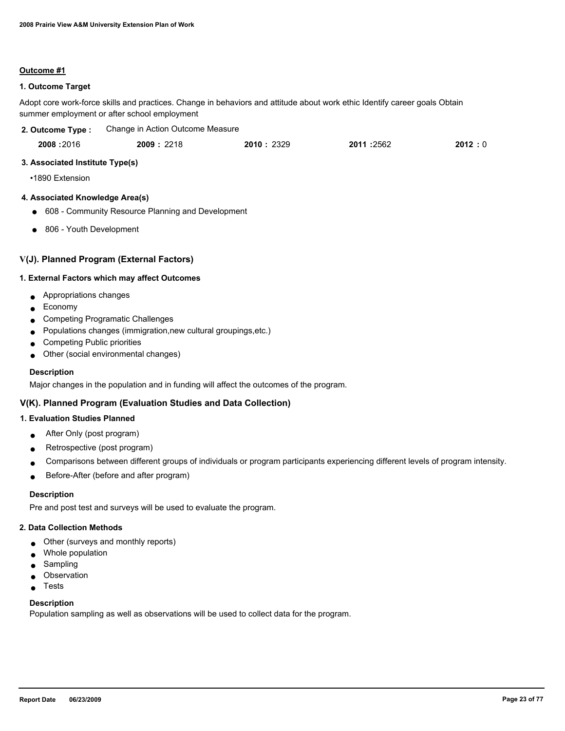#### **Outcome #1**

#### **1. Outcome Target**

Adopt core work-force skills and practices. Change in behaviors and attitude about work ethic Identify career goals Obtain summer employment or after school employment

| 2. Outcome Type : | Change in Action Outcome Measure |           |            |        |
|-------------------|----------------------------------|-----------|------------|--------|
| 2008:2016         | 2009:2218                        | 2010:2329 | 2011 :2562 | 2012:0 |

### **3. Associated Institute Type(s)**

•1890 Extension

### **4. Associated Knowledge Area(s)**

- 608 Community Resource Planning and Development
- 806 Youth Development

### **V(J). Planned Program (External Factors)**

#### **1. External Factors which may affect Outcomes**

- Appropriations changes
- Economy
- Competing Programatic Challenges
- Populations changes (immigration, new cultural groupings, etc.)
- Competing Public priorities
- Other (social environmental changes)

#### **Description**

Major changes in the population and in funding will affect the outcomes of the program.

### **V(K). Planned Program (Evaluation Studies and Data Collection)**

### **1. Evaluation Studies Planned**

- After Only (post program)
- Retrospective (post program)
- Comparisons between different groups of individuals or program participants experiencing different levels of program intensity.
- Before-After (before and after program)

#### **Description**

Pre and post test and surveys will be used to evaluate the program.

### **2. Data Collection Methods**

- Other (surveys and monthly reports)
- Whole population
- Sampling
- Observation
- **Tests**

### **Description**

Population sampling as well as observations will be used to collect data for the program.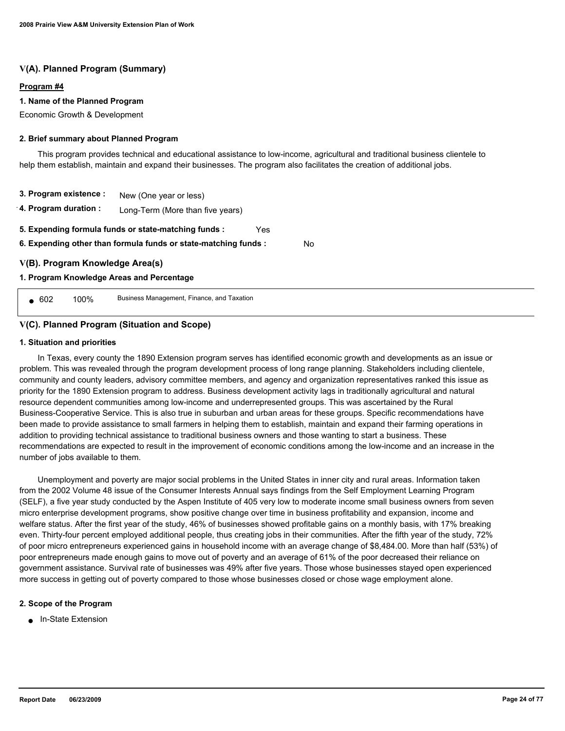### **V(A). Planned Program (Summary)**

#### **Program #4**

#### **1. Name of the Planned Program**

Economic Growth & Development

#### **2. Brief summary about Planned Program**

 This program provides technical and educational assistance to low-income, agricultural and traditional business clientele to help them establish, maintain and expand their businesses. The program also facilitates the creation of additional jobs.

**3. Program existence : 4. Program duration :** New (One year or less) Long-Term (More than five years) **6. Expending other than formula funds or state-matching funds : 5. Expending formula funds or state-matching funds :** Yes

No

#### **V(B). Program Knowledge Area(s)**

#### **1. Program Knowledge Areas and Percentage**

● 602 100% Business Management, Finance, and Taxation

#### **V(C). Planned Program (Situation and Scope)**

#### **1. Situation and priorities**

 In Texas, every county the 1890 Extension program serves has identified economic growth and developments as an issue or problem. This was revealed through the program development process of long range planning. Stakeholders including clientele, community and county leaders, advisory committee members, and agency and organization representatives ranked this issue as priority for the 1890 Extension program to address. Business development activity lags in traditionally agricultural and natural resource dependent communities among low-income and underrepresented groups. This was ascertained by the Rural Business-Cooperative Service. This is also true in suburban and urban areas for these groups. Specific recommendations have been made to provide assistance to small farmers in helping them to establish, maintain and expand their farming operations in addition to providing technical assistance to traditional business owners and those wanting to start a business. These recommendations are expected to result in the improvement of economic conditions among the low-income and an increase in the number of jobs available to them.

 Unemployment and poverty are major social problems in the United States in inner city and rural areas. Information taken from the 2002 Volume 48 issue of the Consumer Interests Annual says findings from the Self Employment Learning Program (SELF), a five year study conducted by the Aspen Institute of 405 very low to moderate income small business owners from seven micro enterprise development programs, show positive change over time in business profitability and expansion, income and welfare status. After the first year of the study, 46% of businesses showed profitable gains on a monthly basis, with 17% breaking even. Thirty-four percent employed additional people, thus creating jobs in their communities. After the fifth year of the study, 72% of poor micro entrepreneurs experienced gains in household income with an average change of \$8,484.00. More than half (53%) of poor entrepreneurs made enough gains to move out of poverty and an average of 61% of the poor decreased their reliance on government assistance. Survival rate of businesses was 49% after five years. Those whose businesses stayed open experienced more success in getting out of poverty compared to those whose businesses closed or chose wage employment alone.

#### **2. Scope of the Program**

■ In-State Extension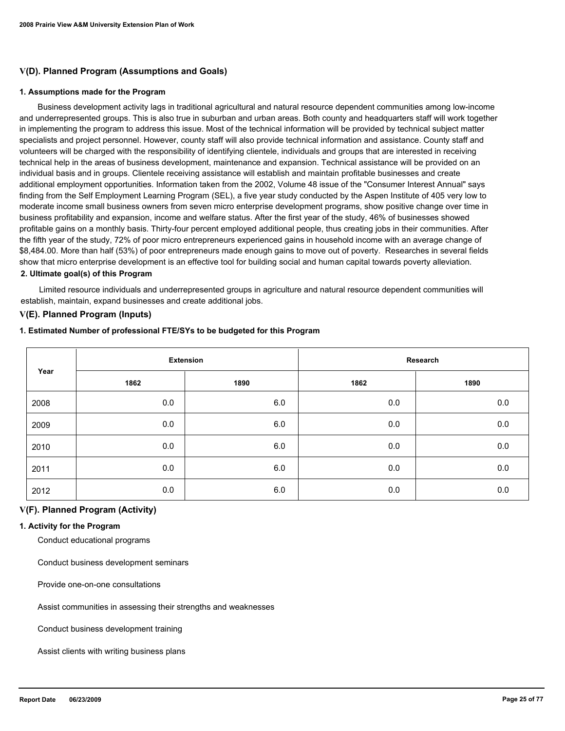### **V(D). Planned Program (Assumptions and Goals)**

#### **1. Assumptions made for the Program**

 Business development activity lags in traditional agricultural and natural resource dependent communities among low-income and underrepresented groups. This is also true in suburban and urban areas. Both county and headquarters staff will work together in implementing the program to address this issue. Most of the technical information will be provided by technical subject matter specialists and project personnel. However, county staff will also provide technical information and assistance. County staff and volunteers will be charged with the responsibility of identifying clientele, individuals and groups that are interested in receiving technical help in the areas of business development, maintenance and expansion. Technical assistance will be provided on an individual basis and in groups. Clientele receiving assistance will establish and maintain profitable businesses and create additional employment opportunities. Information taken from the 2002, Volume 48 issue of the "Consumer Interest Annual" says finding from the Self Employment Learning Program (SEL), a five year study conducted by the Aspen Institute of 405 very low to moderate income small business owners from seven micro enterprise development programs, show positive change over time in business profitability and expansion, income and welfare status. After the first year of the study, 46% of businesses showed profitable gains on a monthly basis. Thirty-four percent employed additional people, thus creating jobs in their communities. After the fifth year of the study, 72% of poor micro entrepreneurs experienced gains in household income with an average change of \$8,484.00. More than half (53%) of poor entrepreneurs made enough gains to move out of poverty. Researches in several fields show that micro enterprise development is an effective tool for building social and human capital towards poverty alleviation. **2. Ultimate goal(s) of this Program**

 Limited resource individuals and underrepresented groups in agriculture and natural resource dependent communities will establish, maintain, expand businesses and create additional jobs.

#### **V(E). Planned Program (Inputs)**

#### **1. Estimated Number of professional FTE/SYs to be budgeted for this Program**

| Year |      | <b>Extension</b> |      | Research |
|------|------|------------------|------|----------|
|      | 1862 | 1890             | 1862 | 1890     |
| 2008 | 0.0  | 6.0              | 0.0  | $0.0\,$  |
| 2009 | 0.0  | 6.0              | 0.0  | 0.0      |
| 2010 | 0.0  | 6.0              | 0.0  | 0.0      |
| 2011 | 0.0  | 6.0              | 0.0  | 0.0      |
| 2012 | 0.0  | 6.0              | 0.0  | 0.0      |

### **V(F). Planned Program (Activity)**

#### **1. Activity for the Program**

Conduct educational programs

Conduct business development seminars

Provide one-on-one consultations

Assist communities in assessing their strengths and weaknesses

Conduct business development training

Assist clients with writing business plans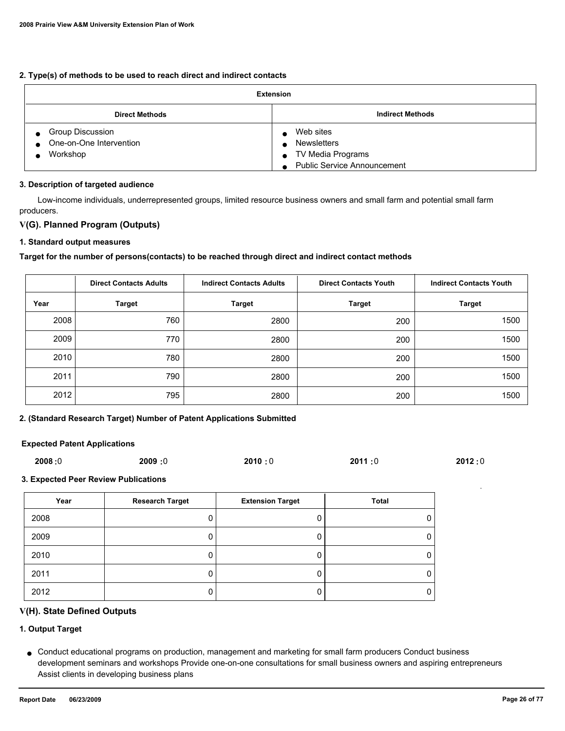#### **2. Type(s) of methods to be used to reach direct and indirect contacts**

| <b>Extension</b>                                                                         |                                                                                                  |  |
|------------------------------------------------------------------------------------------|--------------------------------------------------------------------------------------------------|--|
| <b>Direct Methods</b>                                                                    | <b>Indirect Methods</b>                                                                          |  |
| <b>Group Discussion</b><br>$\bullet$<br>One-on-One Intervention<br>$\bullet$<br>Workshop | Web sites<br>Newsletters<br>TV Media Programs<br><b>Public Service Announcement</b><br>$\bullet$ |  |

#### **3. Description of targeted audience**

 Low-income individuals, underrepresented groups, limited resource business owners and small farm and potential small farm producers.

### **V(G). Planned Program (Outputs)**

#### **1. Standard output measures**

#### **Target for the number of persons(contacts) to be reached through direct and indirect contact methods**

|      | <b>Direct Contacts Adults</b> | <b>Indirect Contacts Adults</b> | <b>Direct Contacts Youth</b> | <b>Indirect Contacts Youth</b> |
|------|-------------------------------|---------------------------------|------------------------------|--------------------------------|
| Year | <b>Target</b>                 | <b>Target</b>                   | <b>Target</b>                | <b>Target</b>                  |
| 2008 | 760                           | 2800                            | 200                          | 1500                           |
| 2009 | 770                           | 2800                            | 200                          | 1500                           |
| 2010 | 780                           | 2800                            | 200                          | 1500                           |
| 2011 | 790                           | 2800                            | 200                          | 1500                           |
| 2012 | 795                           | 2800                            | 200                          | 1500                           |

#### **2. (Standard Research Target) Number of Patent Applications Submitted**

#### **Expected Patent Applications**

| 2008:0 | <b>2009:0</b> | 2010:0 | 2011:0 | 2012:0 |
|--------|---------------|--------|--------|--------|
|        |               |        |        |        |

#### **3. Expected Peer Review Publications**

| Year | <b>Research Target</b> | <b>Extension Target</b> | <b>Total</b> |
|------|------------------------|-------------------------|--------------|
| 2008 |                        |                         | 0            |
| 2009 |                        |                         | 0            |
| 2010 |                        |                         | 0            |
| 2011 |                        |                         | 0            |
| 2012 |                        |                         | 0            |

### **V(H). State Defined Outputs**

### **1. Output Target**

Conduct educational programs on production, management and marketing for small farm producers Conduct business ● development seminars and workshops Provide one-on-one consultations for small business owners and aspiring entrepreneurs Assist clients in developing business plans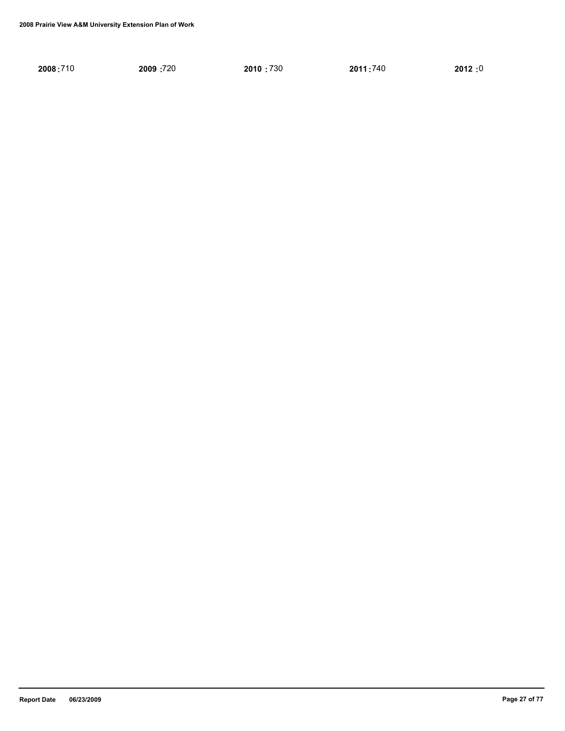| 2009:720<br>2010:730<br>2012:0<br>2008:710<br>2011:740 |
|--------------------------------------------------------|
|--------------------------------------------------------|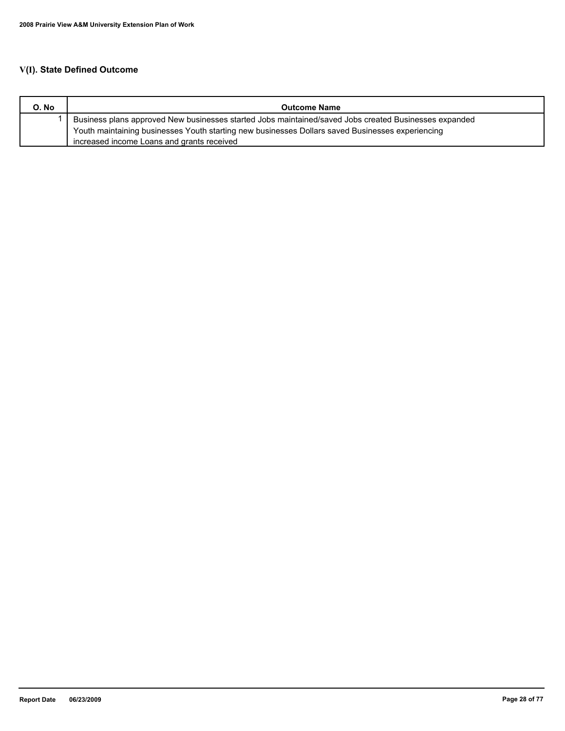# **V(I). State Defined Outcome**

| O. No | <b>Outcome Name</b>                                                                                   |
|-------|-------------------------------------------------------------------------------------------------------|
|       | Business plans approved New businesses started Jobs maintained/saved Jobs created Businesses expanded |
|       | Youth maintaining businesses Youth starting new businesses Dollars saved Businesses experiencing      |
|       | increased income Loans and grants received                                                            |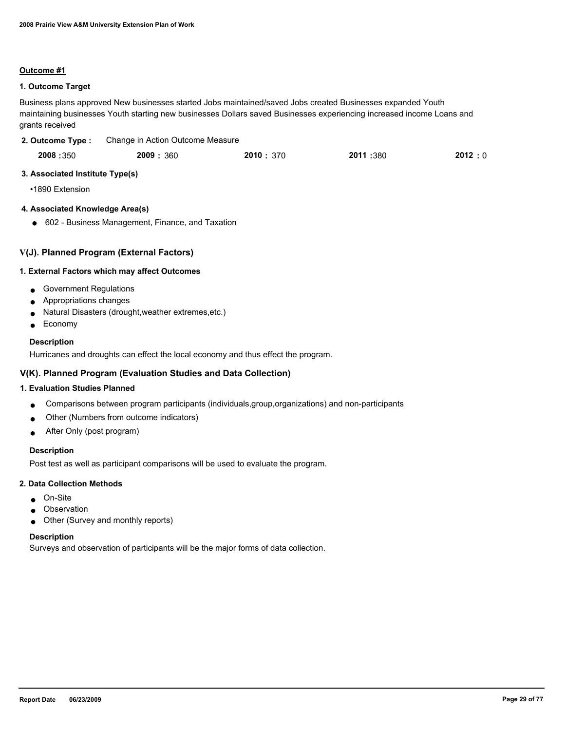#### **Outcome #1**

#### **1. Outcome Target**

Business plans approved New businesses started Jobs maintained/saved Jobs created Businesses expanded Youth maintaining businesses Youth starting new businesses Dollars saved Businesses experiencing increased income Loans and grants received

| 2. Outcome Type: | Change in Action Outcome Measure |
|------------------|----------------------------------|
|                  |                                  |

| 2008:350 | 2009: 360 | 2010: 370 | 2011 :380 | 2012:0 |
|----------|-----------|-----------|-----------|--------|
|          |           |           |           |        |

### **3. Associated Institute Type(s)**

•1890 Extension

#### **4. Associated Knowledge Area(s)**

● 602 - Business Management, Finance, and Taxation

### **V(J). Planned Program (External Factors)**

#### **1. External Factors which may affect Outcomes**

- Government Regulations
- Appropriations changes
- Natural Disasters (drought, weather extremes, etc.)
- Economy

#### **Description**

Hurricanes and droughts can effect the local economy and thus effect the program.

### **V(K). Planned Program (Evaluation Studies and Data Collection)**

#### **1. Evaluation Studies Planned**

- Comparisons between program participants (individuals,group,organizations) and non-participants
- Other (Numbers from outcome indicators)
- After Only (post program)

#### **Description**

Post test as well as participant comparisons will be used to evaluate the program.

#### **2. Data Collection Methods**

- On-Site
- Observation
- Other (Survey and monthly reports)

#### **Description**

Surveys and observation of participants will be the major forms of data collection.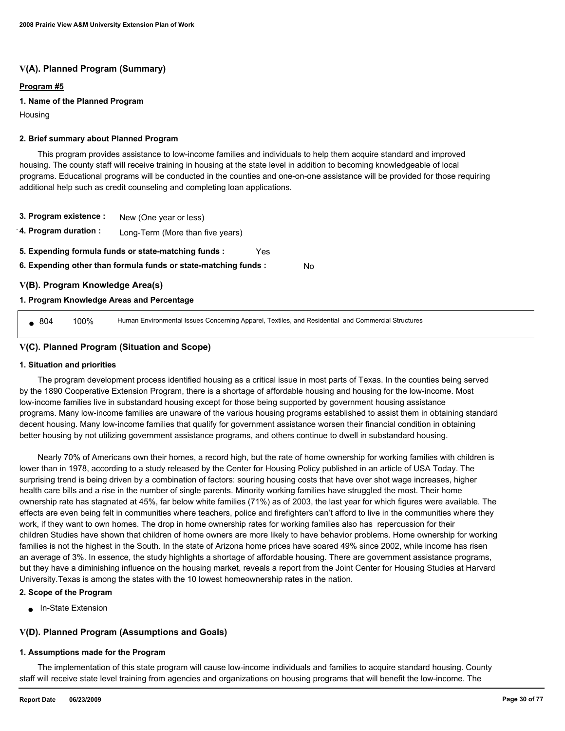### **V(A). Planned Program (Summary)**

#### **Program #5**

### **1. Name of the Planned Program**

Housing

#### **2. Brief summary about Planned Program**

 This program provides assistance to low-income families and individuals to help them acquire standard and improved housing. The county staff will receive training in housing at the state level in addition to becoming knowledgeable of local programs. Educational programs will be conducted in the counties and one-on-one assistance will be provided for those requiring additional help such as credit counseling and completing loan applications.

- **3. Program existence :** New (One year or less)
- **4. Program duration :** Long-Term (More than five years)
- **5. Expending formula funds or state-matching funds :** Yes
- **6. Expending other than formula funds or state-matching funds :** No

### **V(B). Program Knowledge Area(s)**

#### **1. Program Knowledge Areas and Percentage**

804 100% Human Environmental Issues Concerning Apparel, Textiles, and Residential and Commercial Structures

### **V(C). Planned Program (Situation and Scope)**

#### **1. Situation and priorities**

 The program development process identified housing as a critical issue in most parts of Texas. In the counties being served by the 1890 Cooperative Extension Program, there is a shortage of affordable housing and housing for the low-income. Most low-income families live in substandard housing except for those being supported by government housing assistance programs. Many low-income families are unaware of the various housing programs established to assist them in obtaining standard decent housing. Many low-income families that qualify for government assistance worsen their financial condition in obtaining better housing by not utilizing government assistance programs, and others continue to dwell in substandard housing.

 Nearly 70% of Americans own their homes, a record high, but the rate of home ownership for working families with children is lower than in 1978, according to a study released by the Center for Housing Policy published in an article of USA Today. The surprising trend is being driven by a combination of factors: souring housing costs that have over shot wage increases, higher health care bills and a rise in the number of single parents. Minority working families have struggled the most. Their home ownership rate has stagnated at 45%, far below white families (71%) as of 2003, the last year for which figures were available. The effects are even being felt in communities where teachers, police and firefighters can't afford to live in the communities where they work, if they want to own homes. The drop in home ownership rates for working families also has repercussion for their children Studies have shown that children of home owners are more likely to have behavior problems. Home ownership for working families is not the highest in the South. In the state of Arizona home prices have soared 49% since 2002, while income has risen an average of 3%. In essence, the study highlights a shortage of affordable housing. There are government assistance programs, but they have a diminishing influence on the housing market, reveals a report from the Joint Center for Housing Studies at Harvard University.Texas is among the states with the 10 lowest homeownership rates in the nation.

#### **2. Scope of the Program**

■ In-State Extension

### **V(D). Planned Program (Assumptions and Goals)**

#### **1. Assumptions made for the Program**

 The implementation of this state program will cause low-income individuals and families to acquire standard housing. County staff will receive state level training from agencies and organizations on housing programs that will benefit the low-income. The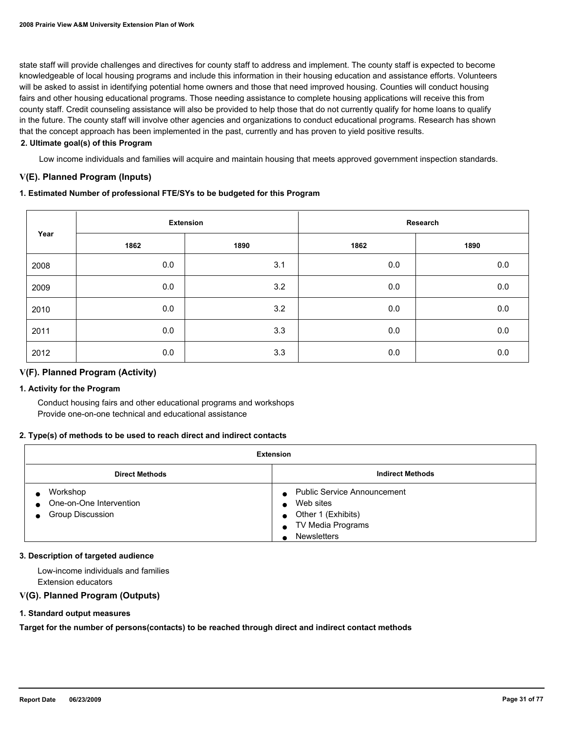state staff will provide challenges and directives for county staff to address and implement. The county staff is expected to become knowledgeable of local housing programs and include this information in their housing education and assistance efforts. Volunteers will be asked to assist in identifying potential home owners and those that need improved housing. Counties will conduct housing fairs and other housing educational programs. Those needing assistance to complete housing applications will receive this from county staff. Credit counseling assistance will also be provided to help those that do not currently qualify for home loans to qualify in the future. The county staff will involve other agencies and organizations to conduct educational programs. Research has shown that the concept approach has been implemented in the past, currently and has proven to yield positive results.

#### **2. Ultimate goal(s) of this Program**

Low income individuals and families will acquire and maintain housing that meets approved government inspection standards.

### **V(E). Planned Program (Inputs)**

#### **1. Estimated Number of professional FTE/SYs to be budgeted for this Program**

|      |      | <b>Extension</b> |         | Research |
|------|------|------------------|---------|----------|
| Year | 1862 | 1890             | 1862    | 1890     |
| 2008 | 0.0  | 3.1              | $0.0\,$ | $0.0\,$  |
| 2009 | 0.0  | 3.2              | 0.0     | $0.0\,$  |
| 2010 | 0.0  | 3.2              | 0.0     | $0.0\,$  |
| 2011 | 0.0  | 3.3              | 0.0     | 0.0      |
| 2012 | 0.0  | 3.3              | 0.0     | 0.0      |

### **V(F). Planned Program (Activity)**

#### **1. Activity for the Program**

 Conduct housing fairs and other educational programs and workshops Provide one-on-one technical and educational assistance

#### **2. Type(s) of methods to be used to reach direct and indirect contacts**

| <b>Extension</b>                                            |                                                                                                                  |  |  |
|-------------------------------------------------------------|------------------------------------------------------------------------------------------------------------------|--|--|
| <b>Indirect Methods</b><br><b>Direct Methods</b>            |                                                                                                                  |  |  |
| Workshop<br>• One-on-One Intervention<br>• Group Discussion | <b>Public Service Announcement</b><br>Web sites<br>Other 1 (Exhibits)<br>TV Media Programs<br><b>Newsletters</b> |  |  |

#### **3. Description of targeted audience**

 Low-income individuals and families Extension educators

### **V(G). Planned Program (Outputs)**

#### **1. Standard output measures**

**Target for the number of persons(contacts) to be reached through direct and indirect contact methods**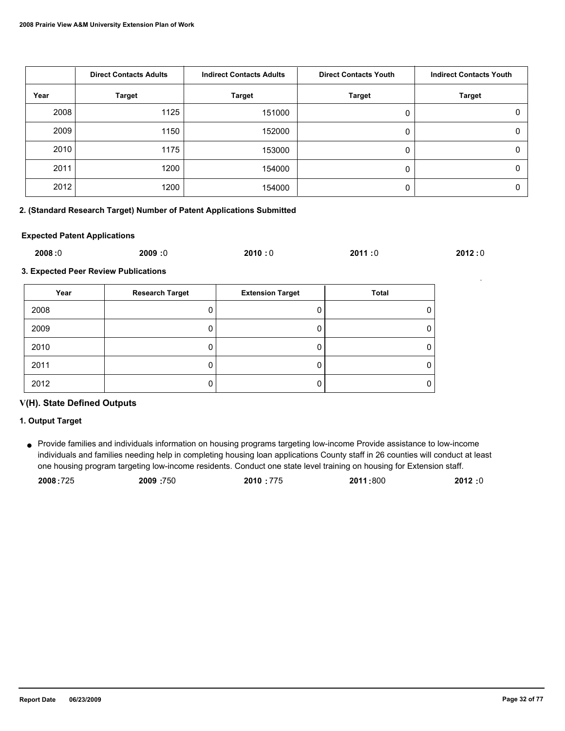|      | <b>Direct Contacts Adults</b> | <b>Indirect Contacts Adults</b> | <b>Direct Contacts Youth</b> | <b>Indirect Contacts Youth</b> |
|------|-------------------------------|---------------------------------|------------------------------|--------------------------------|
| Year | <b>Target</b>                 | <b>Target</b>                   | <b>Target</b>                | <b>Target</b>                  |
| 2008 | 1125                          | 151000                          |                              | 0                              |
| 2009 | 1150                          | 152000                          |                              | 0                              |
| 2010 | 1175                          | 153000                          |                              | 0                              |
| 2011 | 1200                          | 154000                          |                              | 0                              |
| 2012 | 1200                          | 154000                          |                              | O                              |

#### **2. (Standard Research Target) Number of Patent Applications Submitted**

#### **Expected Patent Applications**

| 2008:0 | 2009:0 | 2010:0 | 2011:0 | 2012:0 |
|--------|--------|--------|--------|--------|
|        |        |        |        |        |

**3. Expected Peer Review Publications**

| Year | <b>Research Target</b> | <b>Extension Target</b> | Total |
|------|------------------------|-------------------------|-------|
| 2008 | O                      | U                       |       |
| 2009 | υ                      | U                       |       |
| 2010 | 0                      | 0                       |       |
| 2011 | O                      | O                       |       |
| 2012 | 0                      | O                       |       |

### **V(H). State Defined Outputs**

#### **1. Output Target**

Provide families and individuals information on housing programs targeting low-income Provide assistance to low-income ● individuals and families needing help in completing housing loan applications County staff in 26 counties will conduct at least one housing program targeting low-income residents. Conduct one state level training on housing for Extension staff.

| 2008:725 | 2009:750 | 2010:775 | 2011:800 | 2012 :0 |
|----------|----------|----------|----------|---------|
|          |          |          |          |         |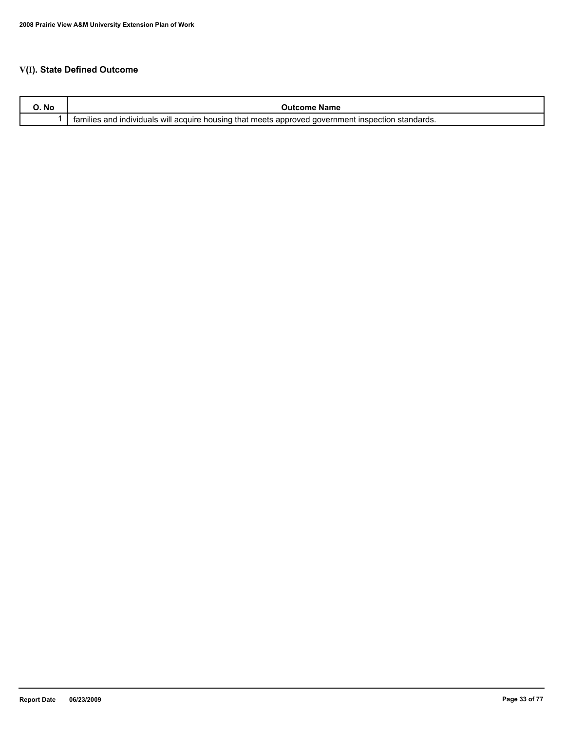# **V(I). State Defined Outcome**

| No | name<br>зонн                                                                                                                                                      |
|----|-------------------------------------------------------------------------------------------------------------------------------------------------------------------|
|    | <br>standards.<br>that meets<br>. Inspection<br>tamilies<br>acquire<br>housing<br><b>individuals</b><br>aover<br>≅rnmen⊾<br>over.<br>and<br>will<br>≅app.<br>,,,, |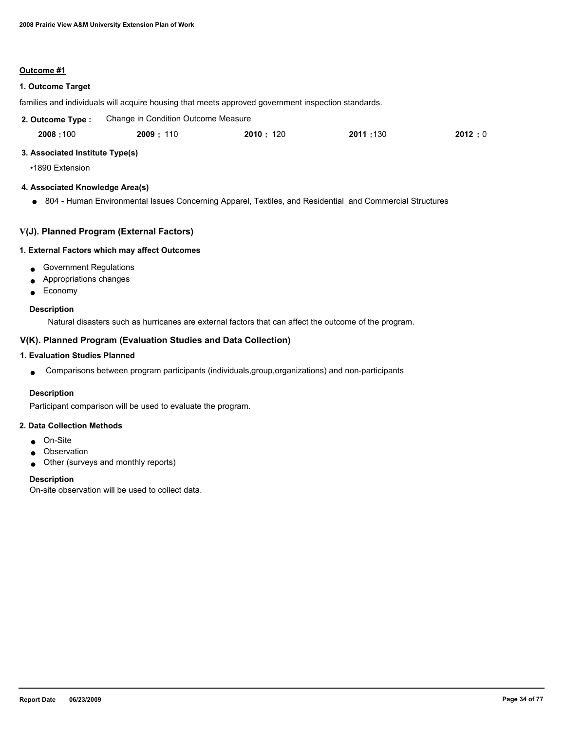#### **Outcome #1**

#### **1. Outcome Target**

families and individuals will acquire housing that meets approved government inspection standards.

| 2. Outcome Type: | Change in Condition Outcome Measure |            |           |        |
|------------------|-------------------------------------|------------|-----------|--------|
| 2008:100         | 2009:110                            | 2010 : 120 | 2011 :130 | 2012:0 |

#### **3. Associated Institute Type(s)**

•1890 Extension

#### **4. Associated Knowledge Area(s)**

● 804 - Human Environmental Issues Concerning Apparel, Textiles, and Residential and Commercial Structures

### **V(J). Planned Program (External Factors)**

#### **1. External Factors which may affect Outcomes**

- Government Regulations
- Appropriations changes
- Economy

#### **Description**

Natural disasters such as hurricanes are external factors that can affect the outcome of the program.

### **V(K). Planned Program (Evaluation Studies and Data Collection)**

### **1. Evaluation Studies Planned**

● Comparisons between program participants (individuals,group,organizations) and non-participants

#### **Description**

Participant comparison will be used to evaluate the program.

#### **2. Data Collection Methods**

- On-Site
- Observation
- Other (surveys and monthly reports)

#### **Description**

On-site observation will be used to collect data.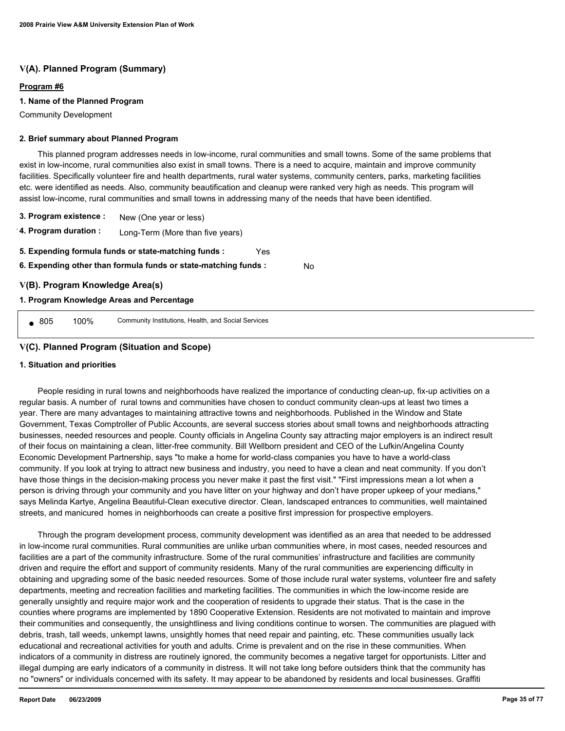### **V(A). Planned Program (Summary)**

#### **Program #6**

#### **1. Name of the Planned Program**

Community Development

#### **2. Brief summary about Planned Program**

 This planned program addresses needs in low-income, rural communities and small towns. Some of the same problems that exist in low-income, rural communities also exist in small towns. There is a need to acquire, maintain and improve community facilities. Specifically volunteer fire and health departments, rural water systems, community centers, parks, marketing facilities etc. were identified as needs. Also, community beautification and cleanup were ranked very high as needs. This program will assist low-income, rural communities and small towns in addressing many of the needs that have been identified.

No

- **3. Program existence :** New (One year or less)
- **4. Program duration :** Long-Term (More than five years)
- **5. Expending formula funds or state-matching funds :** Yes
- **6. Expending other than formula funds or state-matching funds :**

### **V(B). Program Knowledge Area(s)**

#### **1. Program Knowledge Areas and Percentage**

● 805 100% Community Institutions, Health, and Social Services

### **V(C). Planned Program (Situation and Scope)**

#### **1. Situation and priorities**

 People residing in rural towns and neighborhoods have realized the importance of conducting clean-up, fix-up activities on a regular basis. A number of rural towns and communities have chosen to conduct community clean-ups at least two times a year. There are many advantages to maintaining attractive towns and neighborhoods. Published in the Window and State Government, Texas Comptroller of Public Accounts, are several success stories about small towns and neighborhoods attracting businesses, needed resources and people. County officials in Angelina County say attracting major employers is an indirect result of their focus on maintaining a clean, litter-free community. Bill Wellborn president and CEO of the Lufkin/Angelina County Economic Development Partnership, says "to make a home for world-class companies you have to have a world-class community. If you look at trying to attract new business and industry, you need to have a clean and neat community. If you don't have those things in the decision-making process you never make it past the first visit." "First impressions mean a lot when a person is driving through your community and you have litter on your highway and don't have proper upkeep of your medians," says Melinda Kartye, Angelina Beautiful-Clean executive director. Clean, landscaped entrances to communities, well maintained streets, and manicured homes in neighborhoods can create a positive first impression for prospective employers.

 Through the program development process, community development was identified as an area that needed to be addressed in low-income rural communities. Rural communities are unlike urban communities where, in most cases, needed resources and facilities are a part of the community infrastructure. Some of the rural communities' infrastructure and facilities are community driven and require the effort and support of community residents. Many of the rural communities are experiencing difficulty in obtaining and upgrading some of the basic needed resources. Some of those include rural water systems, volunteer fire and safety departments, meeting and recreation facilities and marketing facilities. The communities in which the low-income reside are generally unsightly and require major work and the cooperation of residents to upgrade their status. That is the case in the counties where programs are implemented by 1890 Cooperative Extension. Residents are not motivated to maintain and improve their communities and consequently, the unsightliness and living conditions continue to worsen. The communities are plagued with debris, trash, tall weeds, unkempt lawns, unsightly homes that need repair and painting, etc. These communities usually lack educational and recreational activities for youth and adults. Crime is prevalent and on the rise in these communities. When indicators of a community in distress are routinely ignored, the community becomes a negative target for opportunists. Litter and illegal dumping are early indicators of a community in distress. It will not take long before outsiders think that the community has no "owners" or individuals concerned with its safety. It may appear to be abandoned by residents and local businesses. Graffiti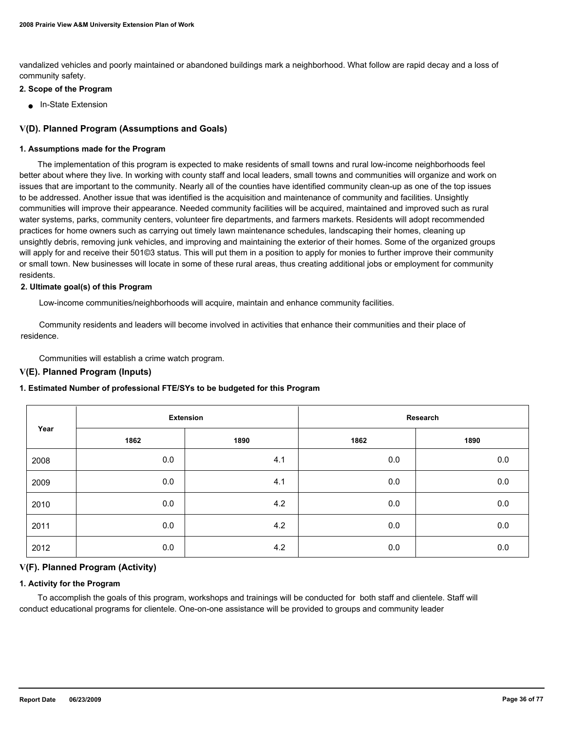vandalized vehicles and poorly maintained or abandoned buildings mark a neighborhood. What follow are rapid decay and a loss of community safety.

#### **2. Scope of the Program**

■ In-State Extension

#### **V(D). Planned Program (Assumptions and Goals)**

#### **1. Assumptions made for the Program**

 The implementation of this program is expected to make residents of small towns and rural low-income neighborhoods feel better about where they live. In working with county staff and local leaders, small towns and communities will organize and work on issues that are important to the community. Nearly all of the counties have identified community clean-up as one of the top issues to be addressed. Another issue that was identified is the acquisition and maintenance of community and facilities. Unsightly communities will improve their appearance. Needed community facilities will be acquired, maintained and improved such as rural water systems, parks, community centers, volunteer fire departments, and farmers markets. Residents will adopt recommended practices for home owners such as carrying out timely lawn maintenance schedules, landscaping their homes, cleaning up unsightly debris, removing junk vehicles, and improving and maintaining the exterior of their homes. Some of the organized groups will apply for and receive their 501©3 status. This will put them in a position to apply for monies to further improve their community or small town. New businesses will locate in some of these rural areas, thus creating additional jobs or employment for community residents.

#### **2. Ultimate goal(s) of this Program**

Low-income communities/neighborhoods will acquire, maintain and enhance community facilities.

 Community residents and leaders will become involved in activities that enhance their communities and their place of residence.

Communities will establish a crime watch program.

#### **V(E). Planned Program (Inputs)**

#### **1. Estimated Number of professional FTE/SYs to be budgeted for this Program**

|      |      | <b>Extension</b> |      | Research |
|------|------|------------------|------|----------|
| Year | 1862 | 1890             | 1862 | 1890     |
| 2008 | 0.0  | 4.1              | 0.0  | 0.0      |
| 2009 | 0.0  | 4.1              | 0.0  | $0.0\,$  |
| 2010 | 0.0  | 4.2              | 0.0  | $0.0\,$  |
| 2011 | 0.0  | 4.2              | 0.0  | 0.0      |
| 2012 | 0.0  | 4.2              | 0.0  | 0.0      |

#### **V(F). Planned Program (Activity)**

#### **1. Activity for the Program**

 To accomplish the goals of this program, workshops and trainings will be conducted for both staff and clientele. Staff will conduct educational programs for clientele. One-on-one assistance will be provided to groups and community leader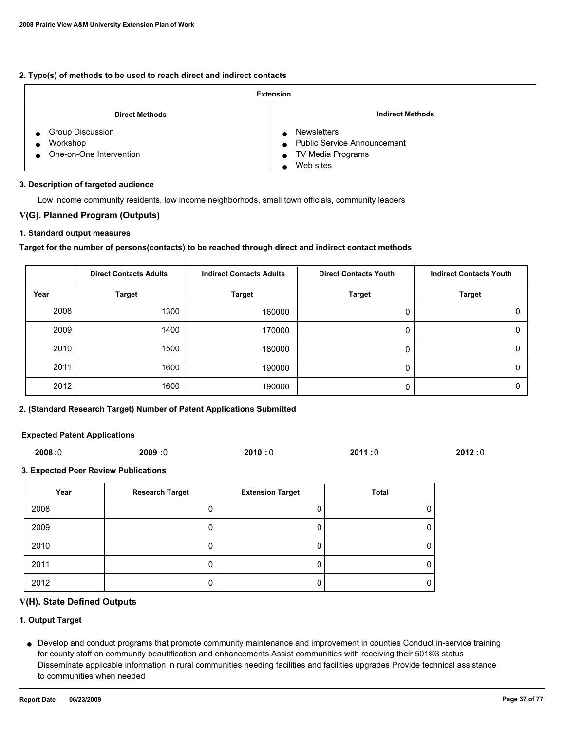### **2. Type(s) of methods to be used to reach direct and indirect contacts**

| <b>Extension</b>                                        |                                                                                                    |
|---------------------------------------------------------|----------------------------------------------------------------------------------------------------|
| <b>Direct Methods</b>                                   | <b>Indirect Methods</b>                                                                            |
| Group Discussion<br>Workshop<br>One-on-One Intervention | <b>Newsletters</b><br>• Public Service Announcement<br>TV Media Programs<br>$\bullet$<br>Web sites |

#### **3. Description of targeted audience**

Low income community residents, low income neighborhods, small town officials, community leaders

# **V(G). Planned Program (Outputs)**

#### **1. Standard output measures**

### **Target for the number of persons(contacts) to be reached through direct and indirect contact methods**

|      | <b>Direct Contacts Adults</b> | <b>Indirect Contacts Adults</b> | <b>Direct Contacts Youth</b> | <b>Indirect Contacts Youth</b> |
|------|-------------------------------|---------------------------------|------------------------------|--------------------------------|
| Year | <b>Target</b>                 | <b>Target</b>                   | <b>Target</b>                | <b>Target</b>                  |
| 2008 | 1300                          | 160000                          | 0                            |                                |
| 2009 | 1400                          | 170000                          | 0                            |                                |
| 2010 | 1500                          | 180000                          | 0                            |                                |
| 2011 | 1600                          | 190000                          | 0                            |                                |
| 2012 | 1600                          | 190000                          |                              |                                |

## **2. (Standard Research Target) Number of Patent Applications Submitted**

### **Expected Patent Applications**

| 2008:0 | <b>2009:0</b> | 2010:0 | 2011:0 | 2012:0 |
|--------|---------------|--------|--------|--------|

### **3. Expected Peer Review Publications**

| Year | <b>Research Target</b> | <b>Extension Target</b> | Total |
|------|------------------------|-------------------------|-------|
| 2008 |                        |                         |       |
| 2009 |                        |                         |       |
| 2010 |                        |                         |       |
| 2011 |                        |                         |       |
| 2012 |                        |                         |       |

### **V(H). State Defined Outputs**

# **1. Output Target**

Develop and conduct programs that promote community maintenance and improvement in counties Conduct in-service training ● for county staff on community beautification and enhancements Assist communities with receiving their 501©3 status Disseminate applicable information in rural communities needing facilities and facilities upgrades Provide technical assistance to communities when needed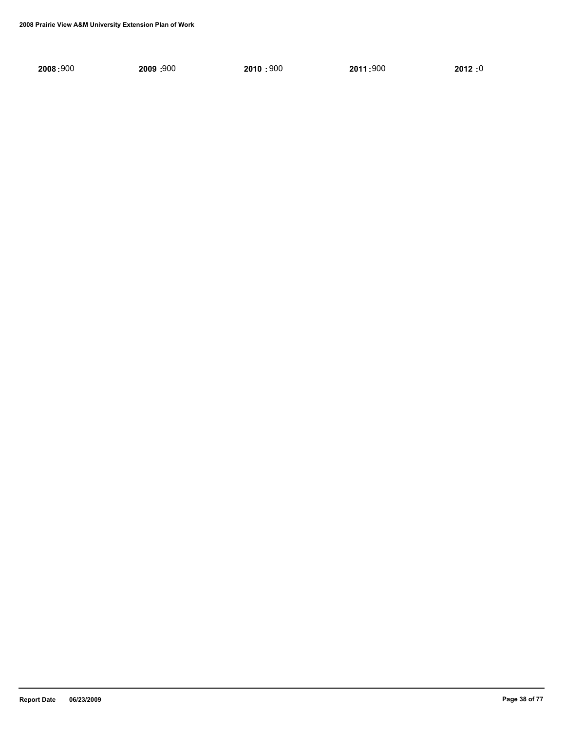| 2008:900 |  |  |  |
|----------|--|--|--|
|          |  |  |  |

 **2008 :** 900 **2009** 900 **: 2010 :** 900 **2011 :** 900 **2012 :** 0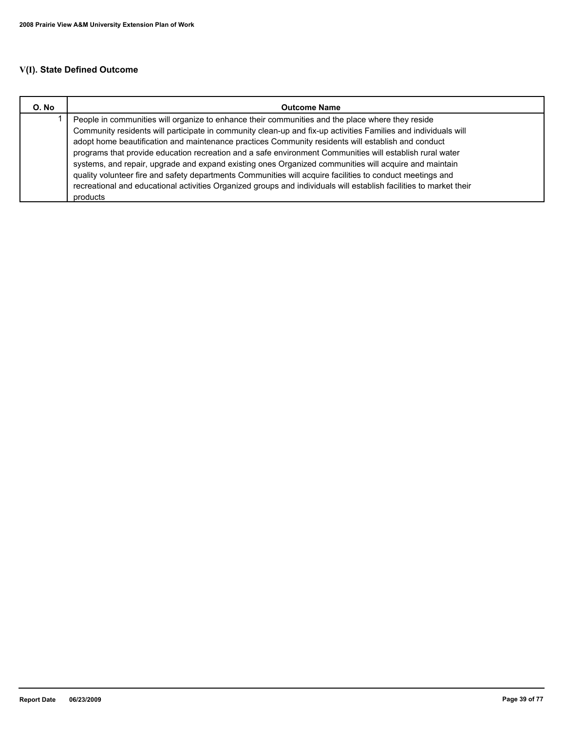| O. No | <b>Outcome Name</b>                                                                                                                                                                                                                                                                                                                                                                                                                                                                                                                           |
|-------|-----------------------------------------------------------------------------------------------------------------------------------------------------------------------------------------------------------------------------------------------------------------------------------------------------------------------------------------------------------------------------------------------------------------------------------------------------------------------------------------------------------------------------------------------|
|       | People in communities will organize to enhance their communities and the place where they reside<br>Community residents will participate in community clean-up and fix-up activities Families and individuals will<br>adopt home beautification and maintenance practices Community residents will establish and conduct<br>programs that provide education recreation and a safe environment Communities will establish rural water<br>systems, and repair, upgrade and expand existing ones Organized communities will acquire and maintain |
|       | quality volunteer fire and safety departments Communities will acquire facilities to conduct meetings and<br>recreational and educational activities Organized groups and individuals will establish facilities to market their<br>products                                                                                                                                                                                                                                                                                                   |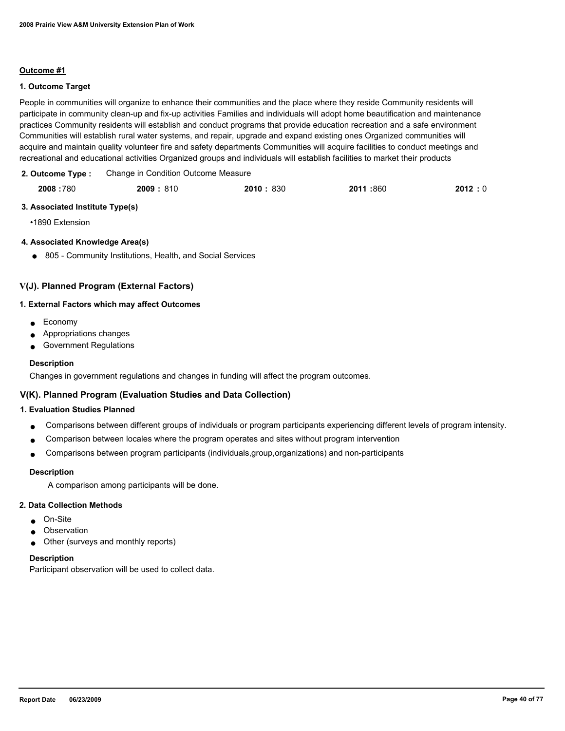# **1. Outcome Target**

People in communities will organize to enhance their communities and the place where they reside Community residents will participate in community clean-up and fix-up activities Families and individuals will adopt home beautification and maintenance practices Community residents will establish and conduct programs that provide education recreation and a safe environment Communities will establish rural water systems, and repair, upgrade and expand existing ones Organized communities will acquire and maintain quality volunteer fire and safety departments Communities will acquire facilities to conduct meetings and recreational and educational activities Organized groups and individuals will establish facilities to market their products

| 2. Outcome Type: | Change in Condition Outcome Measure |
|------------------|-------------------------------------|
|                  |                                     |

|  | 2008:780 | 2009:810 | 2010: 830 | 2011 :860 | 2012:0 |
|--|----------|----------|-----------|-----------|--------|
|--|----------|----------|-----------|-----------|--------|

# **3. Associated Institute Type(s)**

•1890 Extension

# **4. Associated Knowledge Area(s)**

● 805 - Community Institutions, Health, and Social Services

# **V(J). Planned Program (External Factors)**

### **1. External Factors which may affect Outcomes**

- Economy
- Appropriations changes
- Government Regulations

### **Description**

Changes in government regulations and changes in funding will affect the program outcomes.

# **V(K). Planned Program (Evaluation Studies and Data Collection)**

### **1. Evaluation Studies Planned**

- Comparisons between different groups of individuals or program participants experiencing different levels of program intensity.
- Comparison between locales where the program operates and sites without program intervention
- Comparisons between program participants (individuals,group,organizations) and non-participants

### **Description**

A comparison among participants will be done.

### **2. Data Collection Methods**

- On-Site
- Observation
- Other (surveys and monthly reports)

### **Description**

Participant observation will be used to collect data.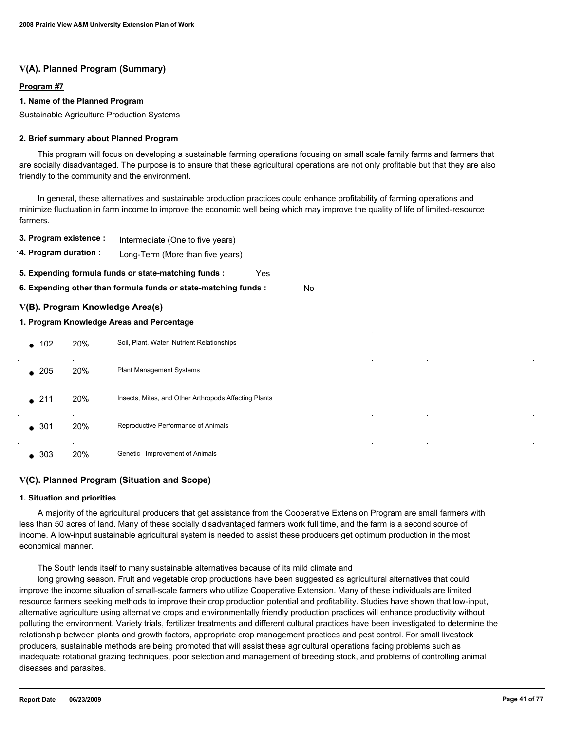# **V(A). Planned Program (Summary)**

## **Program #7**

### **1. Name of the Planned Program**

Sustainable Agriculture Production Systems

### **2. Brief summary about Planned Program**

 This program will focus on developing a sustainable farming operations focusing on small scale family farms and farmers that are socially disadvantaged. The purpose is to ensure that these agricultural operations are not only profitable but that they are also friendly to the community and the environment.

 In general, these alternatives and sustainable production practices could enhance profitability of farming operations and minimize fluctuation in farm income to improve the economic well being which may improve the quality of life of limited-resource farmers.

**3. Program existence :** Intermediate (One to five years)

**4. Program duration :** Long-Term (More than five years)

**5. Expending formula funds or state-matching funds :** Yes

**6. Expending other than formula funds or state-matching funds :** No

# **V(B). Program Knowledge Area(s)**

# **1. Program Knowledge Areas and Percentage**

| $\bullet$ 102 | 20%                 | Soil, Plant, Water, Nutrient Relationships                                                             |
|---------------|---------------------|--------------------------------------------------------------------------------------------------------|
| $\bullet$ 205 | $\mathbf{r}$<br>20% | $\sim$<br>$\sim$<br>$\epsilon$<br>$\bullet$<br>Plant Management Systems                                |
| $\bullet$ 211 | $\bullet$<br>20%    | $\sim$<br>$\bullet$<br>$\bullet$<br>$\bullet$<br>Insects, Mites, and Other Arthropods Affecting Plants |
| $\bullet$ 301 | $\sim$<br>20%       | $\sim$<br>$\blacksquare$<br>$\bullet$<br>$\bullet$<br>Reproductive Performance of Animals              |
| $\bullet$ 303 | $\sim$<br>20%       | $\bullet$<br>$\blacksquare$<br>$\bullet$<br>$\bullet$<br>Genetic Improvement of Animals                |

# **V(C). Planned Program (Situation and Scope)**

### **1. Situation and priorities**

 A majority of the agricultural producers that get assistance from the Cooperative Extension Program are small farmers with less than 50 acres of land. Many of these socially disadvantaged farmers work full time, and the farm is a second source of income. A low-input sustainable agricultural system is needed to assist these producers get optimum production in the most economical manner.

The South lends itself to many sustainable alternatives because of its mild climate and

 long growing season. Fruit and vegetable crop productions have been suggested as agricultural alternatives that could improve the income situation of small-scale farmers who utilize Cooperative Extension. Many of these individuals are limited resource farmers seeking methods to improve their crop production potential and profitability. Studies have shown that low-input, alternative agriculture using alternative crops and environmentally friendly production practices will enhance productivity without polluting the environment. Variety trials, fertilizer treatments and different cultural practices have been investigated to determine the relationship between plants and growth factors, appropriate crop management practices and pest control. For small livestock producers, sustainable methods are being promoted that will assist these agricultural operations facing problems such as inadequate rotational grazing techniques, poor selection and management of breeding stock, and problems of controlling animal diseases and parasites.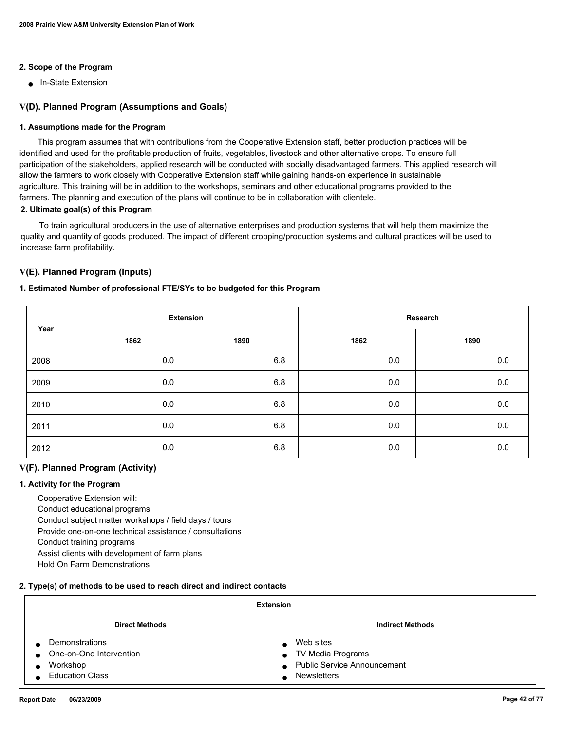# **2. Scope of the Program**

■ In-State Extension

# **V(D). Planned Program (Assumptions and Goals)**

## **1. Assumptions made for the Program**

 This program assumes that with contributions from the Cooperative Extension staff, better production practices will be identified and used for the profitable production of fruits, vegetables, livestock and other alternative crops. To ensure full participation of the stakeholders, applied research will be conducted with socially disadvantaged farmers. This applied research will allow the farmers to work closely with Cooperative Extension staff while gaining hands-on experience in sustainable agriculture. This training will be in addition to the workshops, seminars and other educational programs provided to the farmers. The planning and execution of the plans will continue to be in collaboration with clientele.

### **2. Ultimate goal(s) of this Program**

 To train agricultural producers in the use of alternative enterprises and production systems that will help them maximize the quality and quantity of goods produced. The impact of different cropping/production systems and cultural practices will be used to increase farm profitability.

# **V(E). Planned Program (Inputs)**

# **1. Estimated Number of professional FTE/SYs to be budgeted for this Program**

|      |      | <b>Extension</b> |         | Research |
|------|------|------------------|---------|----------|
| Year | 1862 | 1890             | 1862    | 1890     |
| 2008 | 0.0  | 6.8              | 0.0     | 0.0      |
| 2009 | 0.0  | 6.8              | 0.0     | 0.0      |
| 2010 | 0.0  | 6.8              | 0.0     | 0.0      |
| 2011 | 0.0  | 6.8              | 0.0     | 0.0      |
| 2012 | 0.0  | 6.8              | $0.0\,$ | 0.0      |

# **V(F). Planned Program (Activity)**

### **1. Activity for the Program**

 Cooperative Extension will: Conduct educational programs Conduct subject matter workshops / field days / tours Provide one-on-one technical assistance / consultations Conduct training programs Assist clients with development of farm plans Hold On Farm Demonstrations

### **2. Type(s) of methods to be used to reach direct and indirect contacts**

| Extension                                                                                    |                                                                                                         |
|----------------------------------------------------------------------------------------------|---------------------------------------------------------------------------------------------------------|
| <b>Direct Methods</b>                                                                        | <b>Indirect Methods</b>                                                                                 |
| Demonstrations<br>One-on-One Intervention<br>$\bullet$<br>Workshop<br><b>Education Class</b> | Web sites<br>TV Media Programs<br><b>Public Service Announcement</b><br>$\bullet$<br><b>Newsletters</b> |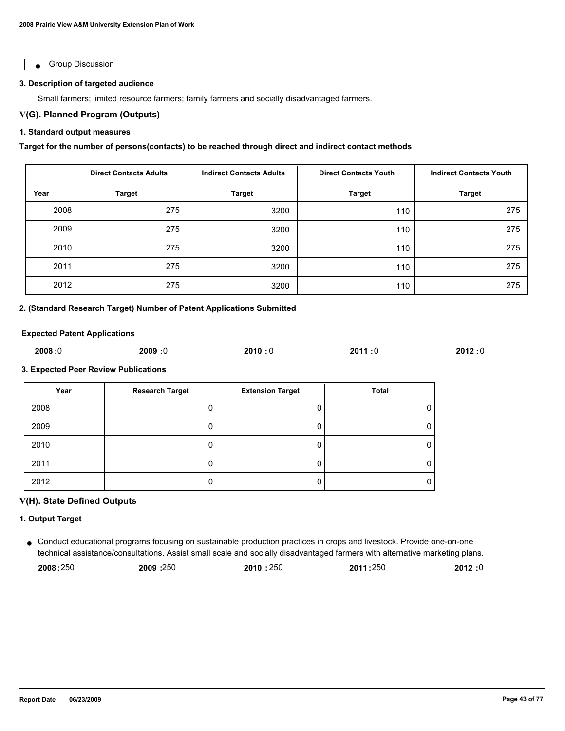| ີ`∩⊔∟<br>SIO. |  |
|---------------|--|

## **3. Description of targeted audience**

Small farmers; limited resource farmers; family farmers and socially disadvantaged farmers.

# **V(G). Planned Program (Outputs)**

# **1. Standard output measures**

# **Target for the number of persons(contacts) to be reached through direct and indirect contact methods**

|      | <b>Direct Contacts Adults</b> | <b>Indirect Contacts Adults</b> | <b>Direct Contacts Youth</b> | <b>Indirect Contacts Youth</b> |
|------|-------------------------------|---------------------------------|------------------------------|--------------------------------|
| Year | <b>Target</b>                 | <b>Target</b>                   | <b>Target</b>                | <b>Target</b>                  |
| 2008 | 275                           | 3200                            | 110                          | 275                            |
| 2009 | 275                           | 3200                            | 110                          | 275                            |
| 2010 | 275                           | 3200                            | 110                          | 275                            |
| 2011 | 275                           | 3200                            | 110                          | 275                            |
| 2012 | 275                           | 3200                            | 110                          | 275                            |

### **2. (Standard Research Target) Number of Patent Applications Submitted**

### **Expected Patent Applications**

| 2008:0 | 2009:0 | 2010:0 | 2011:0 | 2012:0 |
|--------|--------|--------|--------|--------|
|        |        |        |        |        |

# **3. Expected Peer Review Publications**

| Year | <b>Research Target</b> | <b>Extension Target</b> | Total |
|------|------------------------|-------------------------|-------|
| 2008 |                        | υ                       |       |
| 2009 |                        |                         |       |
| 2010 |                        | υ                       |       |
| 2011 |                        | U                       |       |
| 2012 |                        |                         |       |

# **V(H). State Defined Outputs**

### **1. Output Target**

Conduct educational programs focusing on sustainable production practices in crops and livestock. Provide one-on-one ● technical assistance/consultations. Assist small scale and socially disadvantaged farmers with alternative marketing plans.

| 2008:250 | 2009:250 | 2010:250 | 2011:250 | 2012:0 |
|----------|----------|----------|----------|--------|
|----------|----------|----------|----------|--------|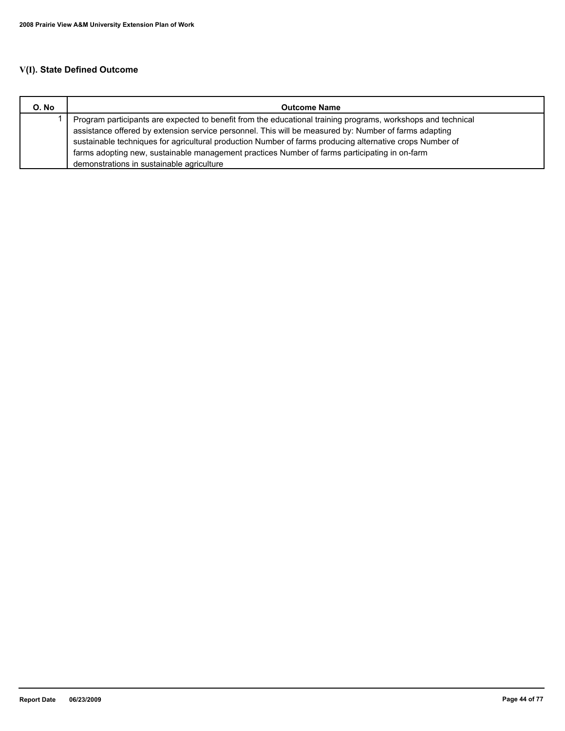| O. No | <b>Outcome Name</b>                                                                                          |
|-------|--------------------------------------------------------------------------------------------------------------|
|       | Program participants are expected to benefit from the educational training programs, workshops and technical |
|       | assistance offered by extension service personnel. This will be measured by: Number of farms adapting        |
|       | sustainable techniques for agricultural production Number of farms producing alternative crops Number of     |
|       | farms adopting new, sustainable management practices Number of farms participating in on-farm                |
|       | demonstrations in sustainable agriculture                                                                    |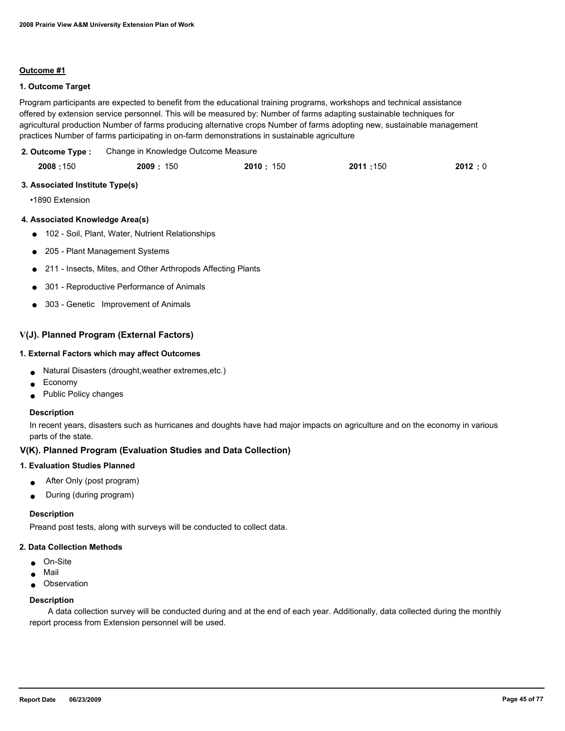# **1. Outcome Target**

Program participants are expected to benefit from the educational training programs, workshops and technical assistance offered by extension service personnel. This will be measured by: Number of farms adapting sustainable techniques for agricultural production Number of farms producing alternative crops Number of farms adopting new, sustainable management practices Number of farms participating in on-farm demonstrations in sustainable agriculture

Change in Knowledge Outcome Measure **2. Outcome Type :**

|  | 2008:150 | 2009: 150 | 2010: 150 | 2011:150 | 2012:0 |
|--|----------|-----------|-----------|----------|--------|
|--|----------|-----------|-----------|----------|--------|

#### **3. Associated Institute Type(s)**

•1890 Extension

### **4. Associated Knowledge Area(s)**

- 102 Soil, Plant, Water, Nutrient Relationships
- 205 Plant Management Systems
- 211 Insects, Mites, and Other Arthropods Affecting Plants
- 301 Reproductive Performance of Animals
- 303 Genetic Improvement of Animals

## **V(J). Planned Program (External Factors)**

# **1. External Factors which may affect Outcomes**

- Natural Disasters (drought,weather extremes,etc.)
- Economy
- Public Policy changes

#### **Description**

In recent years, disasters such as hurricanes and doughts have had major impacts on agriculture and on the economy in various parts of the state.

### **V(K). Planned Program (Evaluation Studies and Data Collection)**

#### **1. Evaluation Studies Planned**

- After Only (post program)
- During (during program)

#### **Description**

Preand post tests, along with surveys will be conducted to collect data.

### **2. Data Collection Methods**

- On-Site
- Mail
- Observation

#### **Description**

 A data collection survey will be conducted during and at the end of each year. Additionally, data collected during the monthly report process from Extension personnel will be used.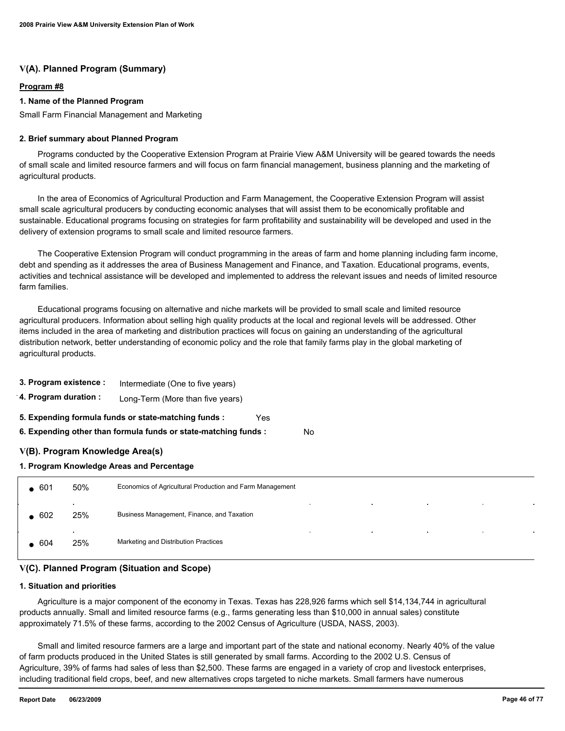# **V(A). Planned Program (Summary)**

## **Program #8**

### **1. Name of the Planned Program**

Small Farm Financial Management and Marketing

### **2. Brief summary about Planned Program**

 Programs conducted by the Cooperative Extension Program at Prairie View A&M University will be geared towards the needs of small scale and limited resource farmers and will focus on farm financial management, business planning and the marketing of agricultural products.

 In the area of Economics of Agricultural Production and Farm Management, the Cooperative Extension Program will assist small scale agricultural producers by conducting economic analyses that will assist them to be economically profitable and sustainable. Educational programs focusing on strategies for farm profitability and sustainability will be developed and used in the delivery of extension programs to small scale and limited resource farmers.

 The Cooperative Extension Program will conduct programming in the areas of farm and home planning including farm income, debt and spending as it addresses the area of Business Management and Finance, and Taxation. Educational programs, events, activities and technical assistance will be developed and implemented to address the relevant issues and needs of limited resource farm families.

 Educational programs focusing on alternative and niche markets will be provided to small scale and limited resource agricultural producers. Information about selling high quality products at the local and regional levels will be addressed. Other items included in the area of marketing and distribution practices will focus on gaining an understanding of the agricultural distribution network, better understanding of economic policy and the role that family farms play in the global marketing of agricultural products.

| 3. Program existence :                                          | Intermediate (One to five years) |  |  |  |  |  |
|-----------------------------------------------------------------|----------------------------------|--|--|--|--|--|
| 4. Program duration :<br>Long-Term (More than five years)       |                                  |  |  |  |  |  |
| 5. Expending formula funds or state-matching funds :<br>Yes     |                                  |  |  |  |  |  |
| 6. Expending other than formula funds or state-matching funds : |                                  |  |  |  |  |  |
| V(B). Program Knowledge Area(s)                                 |                                  |  |  |  |  |  |

**1. Program Knowledge Areas and Percentage**

| $-601$ | 50%                             | Economics of Agricultural Production and Farm Management                                                 |
|--------|---------------------------------|----------------------------------------------------------------------------------------------------------|
| 602    | $\bullet$<br>25%                | <b>Contractor</b><br><b>Contractor</b><br>$\sim$<br>$\sim$<br>Business Management, Finance, and Taxation |
| 604    | $\overline{\phantom{a}}$<br>25% | $\sim$<br>$\sim$<br>$\sim$<br>$\sim$<br>Marketing and Distribution Practices                             |

No

# **V(C). Planned Program (Situation and Scope)**

### **1. Situation and priorities**

 Agriculture is a major component of the economy in Texas. Texas has 228,926 farms which sell \$14,134,744 in agricultural products annually. Small and limited resource farms (e.g., farms generating less than \$10,000 in annual sales) constitute approximately 71.5% of these farms, according to the 2002 Census of Agriculture (USDA, NASS, 2003).

 Small and limited resource farmers are a large and important part of the state and national economy. Nearly 40% of the value of farm products produced in the United States is still generated by small farms. According to the 2002 U.S. Census of Agriculture, 39% of farms had sales of less than \$2,500. These farms are engaged in a variety of crop and livestock enterprises, including traditional field crops, beef, and new alternatives crops targeted to niche markets. Small farmers have numerous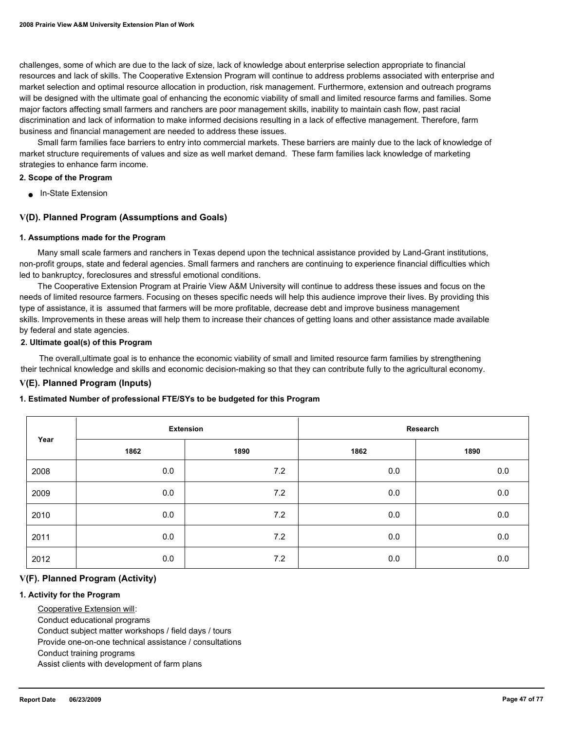challenges, some of which are due to the lack of size, lack of knowledge about enterprise selection appropriate to financial resources and lack of skills. The Cooperative Extension Program will continue to address problems associated with enterprise and market selection and optimal resource allocation in production, risk management. Furthermore, extension and outreach programs will be designed with the ultimate goal of enhancing the economic viability of small and limited resource farms and families. Some major factors affecting small farmers and ranchers are poor management skills, inability to maintain cash flow, past racial discrimination and lack of information to make informed decisions resulting in a lack of effective management. Therefore, farm business and financial management are needed to address these issues.

 Small farm families face barriers to entry into commercial markets. These barriers are mainly due to the lack of knowledge of market structure requirements of values and size as well market demand. These farm families lack knowledge of marketing strategies to enhance farm income.

#### **2. Scope of the Program**

■ In-State Extension

# **V(D). Planned Program (Assumptions and Goals)**

#### **1. Assumptions made for the Program**

 Many small scale farmers and ranchers in Texas depend upon the technical assistance provided by Land-Grant institutions, non-profit groups, state and federal agencies. Small farmers and ranchers are continuing to experience financial difficulties which led to bankruptcy, foreclosures and stressful emotional conditions.

 The Cooperative Extension Program at Prairie View A&M University will continue to address these issues and focus on the needs of limited resource farmers. Focusing on theses specific needs will help this audience improve their lives. By providing this type of assistance, it is assumed that farmers will be more profitable, decrease debt and improve business management skills. Improvements in these areas will help them to increase their chances of getting loans and other assistance made available by federal and state agencies.

### **2. Ultimate goal(s) of this Program**

 The overall,ultimate goal is to enhance the economic viability of small and limited resource farm families by strengthening their technical knowledge and skills and economic decision-making so that they can contribute fully to the agricultural economy.

# **V(E). Planned Program (Inputs)**

### **1. Estimated Number of professional FTE/SYs to be budgeted for this Program**

| Year |      | <b>Extension</b> | Research |      |  |
|------|------|------------------|----------|------|--|
|      | 1862 | 1890             | 1862     | 1890 |  |
| 2008 | 0.0  | 7.2              | 0.0      | 0.0  |  |
| 2009 | 0.0  | 7.2              | 0.0      | 0.0  |  |
| 2010 | 0.0  | 7.2              | 0.0      | 0.0  |  |
| 2011 | 0.0  | 7.2              | 0.0      | 0.0  |  |
| 2012 | 0.0  | 7.2              | 0.0      | 0.0  |  |

### **V(F). Planned Program (Activity)**

### **1. Activity for the Program**

Cooperative Extension will:

Conduct educational programs

Conduct subject matter workshops / field days / tours

Provide one-on-one technical assistance / consultations

Conduct training programs

Assist clients with development of farm plans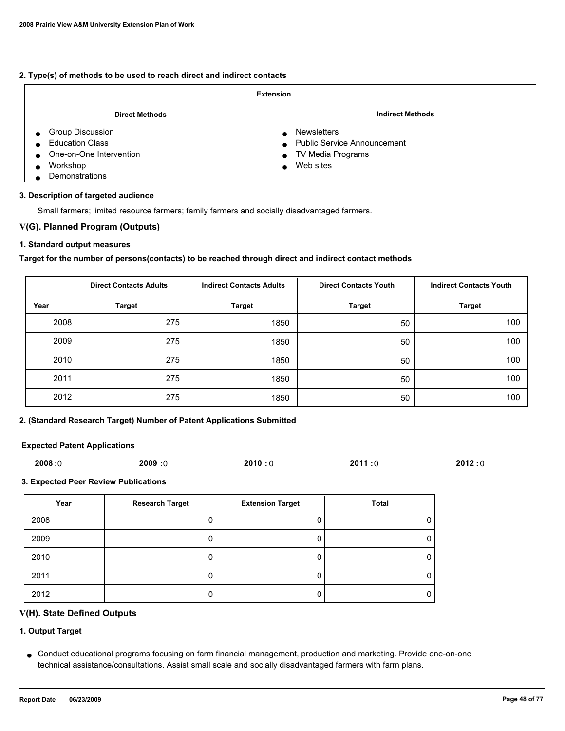# **2. Type(s) of methods to be used to reach direct and indirect contacts**

| <b>Extension</b>                                                                                           |                                                                                                                 |  |  |
|------------------------------------------------------------------------------------------------------------|-----------------------------------------------------------------------------------------------------------------|--|--|
| <b>Direct Methods</b>                                                                                      | <b>Indirect Methods</b>                                                                                         |  |  |
| Group Discussion<br><b>Education Class</b><br>One-on-One Intervention<br>Workshop<br><b>Demonstrations</b> | <b>Newsletters</b><br>• Public Service Announcement<br>TV Media Programs<br>$\bullet$<br>Web sites<br>$\bullet$ |  |  |

# **3. Description of targeted audience**

Small farmers; limited resource farmers; family farmers and socially disadvantaged farmers.

# **V(G). Planned Program (Outputs)**

# **1. Standard output measures**

# **Target for the number of persons(contacts) to be reached through direct and indirect contact methods**

|      | <b>Direct Contacts Adults</b> | <b>Indirect Contacts Adults</b> | <b>Direct Contacts Youth</b> | <b>Indirect Contacts Youth</b> |
|------|-------------------------------|---------------------------------|------------------------------|--------------------------------|
| Year | <b>Target</b>                 | <b>Target</b>                   | <b>Target</b>                | <b>Target</b>                  |
| 2008 | 275                           | 1850                            | 50                           | 100                            |
| 2009 | 275                           | 1850                            | 50                           | 100                            |
| 2010 | 275                           | 1850                            | 50                           | 100                            |
| 2011 | 275                           | 1850                            | 50                           | 100                            |
| 2012 | 275                           | 1850                            | 50                           | 100                            |

# **2. (Standard Research Target) Number of Patent Applications Submitted**

## **Expected Patent Applications**

|  | 2008:0 | <b>2009:0</b> | 2010:0 | 2011:0 | 2012:0 |
|--|--------|---------------|--------|--------|--------|
|--|--------|---------------|--------|--------|--------|

### **3. Expected Peer Review Publications**

| Year | <b>Research Target</b> | <b>Extension Target</b> | Total |
|------|------------------------|-------------------------|-------|
| 2008 |                        |                         |       |
| 2009 |                        |                         |       |
| 2010 |                        |                         |       |
| 2011 |                        |                         |       |
| 2012 |                        | υ                       |       |

# **V(H). State Defined Outputs**

# **1. Output Target**

Conduct educational programs focusing on farm financial management, production and marketing. Provide one-on-one ● technical assistance/consultations. Assist small scale and socially disadvantaged farmers with farm plans.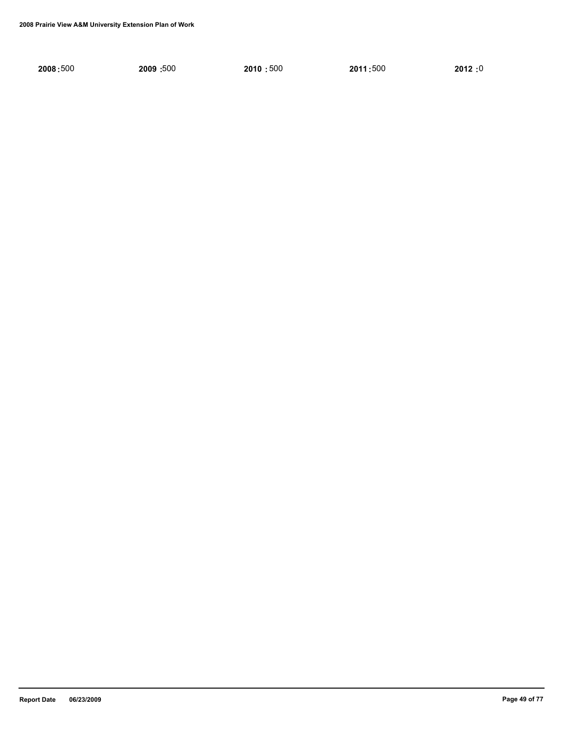| 2008:500 | 2009: 500 | 2010:500 | 2011:500 | 2012:0 |
|----------|-----------|----------|----------|--------|
|          |           |          |          |        |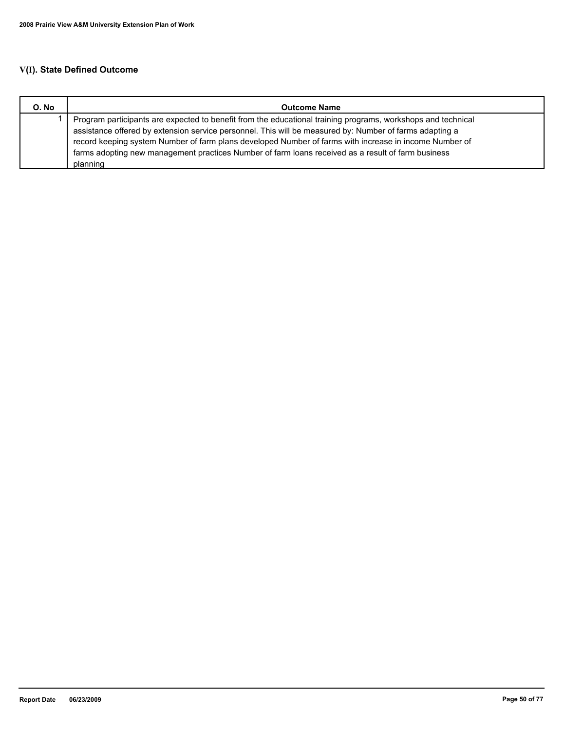| O. No | <b>Outcome Name</b>                                                                                          |
|-------|--------------------------------------------------------------------------------------------------------------|
|       | Program participants are expected to benefit from the educational training programs, workshops and technical |
|       | assistance offered by extension service personnel. This will be measured by: Number of farms adapting a      |
|       | record keeping system Number of farm plans developed Number of farms with increase in income Number of       |
|       | farms adopting new management practices Number of farm loans received as a result of farm business           |
|       | planning                                                                                                     |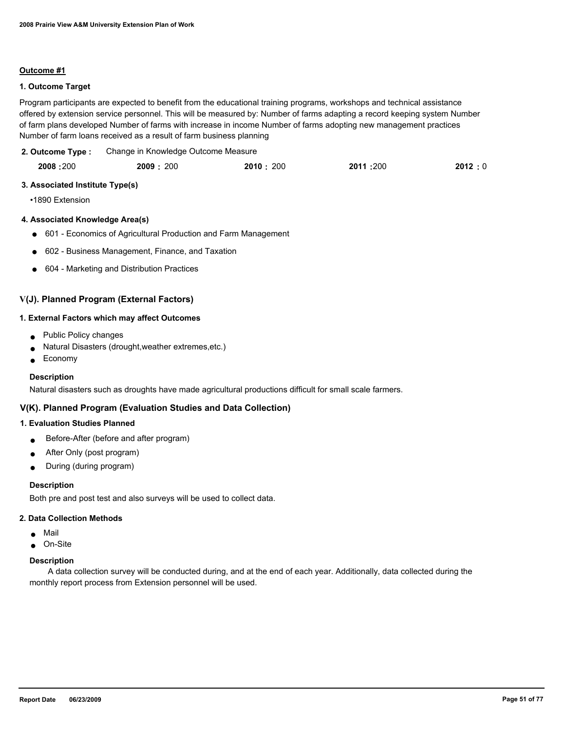## **1. Outcome Target**

Program participants are expected to benefit from the educational training programs, workshops and technical assistance offered by extension service personnel. This will be measured by: Number of farms adapting a record keeping system Number of farm plans developed Number of farms with increase in income Number of farms adopting new management practices Number of farm loans received as a result of farm business planning

Change in Knowledge Outcome Measure **2. Outcome Type :**

| 2008:200 | 2009: 200 | 2010: 200 | 2011 :200 | 2012:0 |
|----------|-----------|-----------|-----------|--------|
|          |           |           |           |        |

#### **3. Associated Institute Type(s)**

•1890 Extension

### **4. Associated Knowledge Area(s)**

- 601 Economics of Agricultural Production and Farm Management
- 602 Business Management, Finance, and Taxation
- 604 Marketing and Distribution Practices

# **V(J). Planned Program (External Factors)**

#### **1. External Factors which may affect Outcomes**

- Public Policy changes
- Natural Disasters (drought, weather extremes, etc.)
- **Economy**

### **Description**

Natural disasters such as droughts have made agricultural productions difficult for small scale farmers.

# **V(K). Planned Program (Evaluation Studies and Data Collection)**

## **1. Evaluation Studies Planned**

- Before-After (before and after program)
- After Only (post program)
- During (during program)

#### **Description**

Both pre and post test and also surveys will be used to collect data.

#### **2. Data Collection Methods**

- Mail
- On-Site

#### **Description**

 A data collection survey will be conducted during, and at the end of each year. Additionally, data collected during the monthly report process from Extension personnel will be used.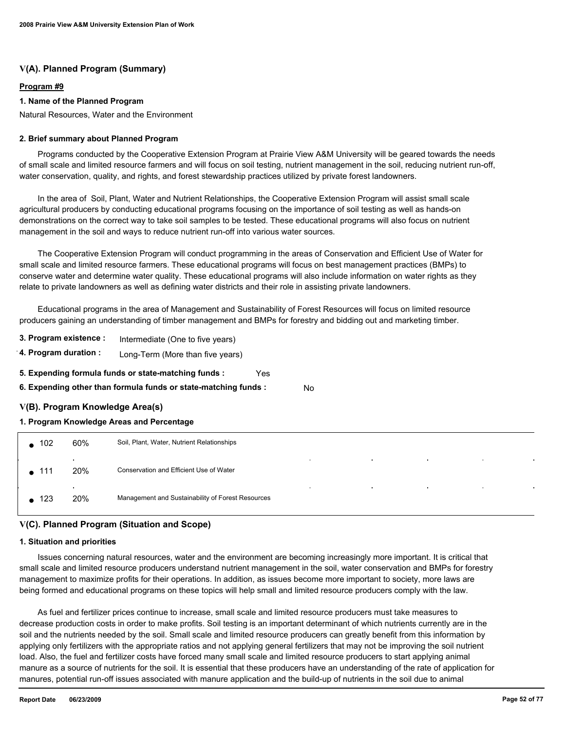# **V(A). Planned Program (Summary)**

## **Program #9**

# **1. Name of the Planned Program**

Natural Resources, Water and the Environment

### **2. Brief summary about Planned Program**

 Programs conducted by the Cooperative Extension Program at Prairie View A&M University will be geared towards the needs of small scale and limited resource farmers and will focus on soil testing, nutrient management in the soil, reducing nutrient run-off, water conservation, quality, and rights, and forest stewardship practices utilized by private forest landowners.

 In the area of Soil, Plant, Water and Nutrient Relationships, the Cooperative Extension Program will assist small scale agricultural producers by conducting educational programs focusing on the importance of soil testing as well as hands-on demonstrations on the correct way to take soil samples to be tested. These educational programs will also focus on nutrient management in the soil and ways to reduce nutrient run-off into various water sources.

 The Cooperative Extension Program will conduct programming in the areas of Conservation and Efficient Use of Water for small scale and limited resource farmers. These educational programs will focus on best management practices (BMPs) to conserve water and determine water quality. These educational programs will also include information on water rights as they relate to private landowners as well as defining water districts and their role in assisting private landowners.

 Educational programs in the area of Management and Sustainability of Forest Resources will focus on limited resource producers gaining an understanding of timber management and BMPs for forestry and bidding out and marketing timber.

- **3. Program existence :** Intermediate (One to five years)
- **4. Program duration :** Long-Term (More than five years)
- **5. Expending formula funds or state-matching funds :** Yes
- **6. Expending other than formula funds or state-matching funds :** No

# **V(B). Program Knowledge Area(s)**

### **1. Program Knowledge Areas and Percentage**

| $\bullet$ 102 | 60%                 | Soil, Plant, Water, Nutrient Relationships                                                |
|---------------|---------------------|-------------------------------------------------------------------------------------------|
| $\bullet$ 111 | $\mathbf{r}$<br>20% | $\sim$<br>$\sim$<br>$\sim$<br>$\cdot$<br>Conservation and Efficient Use of Water          |
| $\bullet$ 123 | $\bullet$<br>20%    | $\sim$<br>$\sim$<br>$\sim$<br>$\sim$<br>Management and Sustainability of Forest Resources |

# **V(C). Planned Program (Situation and Scope)**

### **1. Situation and priorities**

 Issues concerning natural resources, water and the environment are becoming increasingly more important. It is critical that small scale and limited resource producers understand nutrient management in the soil, water conservation and BMPs for forestry management to maximize profits for their operations. In addition, as issues become more important to society, more laws are being formed and educational programs on these topics will help small and limited resource producers comply with the law.

 As fuel and fertilizer prices continue to increase, small scale and limited resource producers must take measures to decrease production costs in order to make profits. Soil testing is an important determinant of which nutrients currently are in the soil and the nutrients needed by the soil. Small scale and limited resource producers can greatly benefit from this information by applying only fertilizers with the appropriate ratios and not applying general fertilizers that may not be improving the soil nutrient load. Also, the fuel and fertilizer costs have forced many small scale and limited resource producers to start applying animal manure as a source of nutrients for the soil. It is essential that these producers have an understanding of the rate of application for manures, potential run-off issues associated with manure application and the build-up of nutrients in the soil due to animal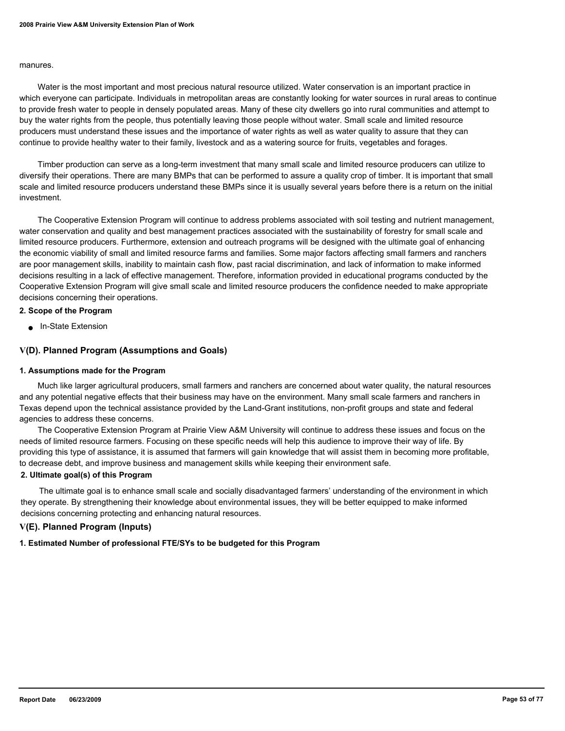#### manures.

 Water is the most important and most precious natural resource utilized. Water conservation is an important practice in which everyone can participate. Individuals in metropolitan areas are constantly looking for water sources in rural areas to continue to provide fresh water to people in densely populated areas. Many of these city dwellers go into rural communities and attempt to buy the water rights from the people, thus potentially leaving those people without water. Small scale and limited resource producers must understand these issues and the importance of water rights as well as water quality to assure that they can continue to provide healthy water to their family, livestock and as a watering source for fruits, vegetables and forages.

 Timber production can serve as a long-term investment that many small scale and limited resource producers can utilize to diversify their operations. There are many BMPs that can be performed to assure a quality crop of timber. It is important that small scale and limited resource producers understand these BMPs since it is usually several years before there is a return on the initial investment.

 The Cooperative Extension Program will continue to address problems associated with soil testing and nutrient management, water conservation and quality and best management practices associated with the sustainability of forestry for small scale and limited resource producers. Furthermore, extension and outreach programs will be designed with the ultimate goal of enhancing the economic viability of small and limited resource farms and families. Some major factors affecting small farmers and ranchers are poor management skills, inability to maintain cash flow, past racial discrimination, and lack of information to make informed decisions resulting in a lack of effective management. Therefore, information provided in educational programs conducted by the Cooperative Extension Program will give small scale and limited resource producers the confidence needed to make appropriate decisions concerning their operations.

### **2. Scope of the Program**

■ In-State Extension

### **V(D). Planned Program (Assumptions and Goals)**

#### **1. Assumptions made for the Program**

 Much like larger agricultural producers, small farmers and ranchers are concerned about water quality, the natural resources and any potential negative effects that their business may have on the environment. Many small scale farmers and ranchers in Texas depend upon the technical assistance provided by the Land-Grant institutions, non-profit groups and state and federal agencies to address these concerns.

 The Cooperative Extension Program at Prairie View A&M University will continue to address these issues and focus on the needs of limited resource farmers. Focusing on these specific needs will help this audience to improve their way of life. By providing this type of assistance, it is assumed that farmers will gain knowledge that will assist them in becoming more profitable, to decrease debt, and improve business and management skills while keeping their environment safe.

# **2. Ultimate goal(s) of this Program**

 The ultimate goal is to enhance small scale and socially disadvantaged farmers' understanding of the environment in which they operate. By strengthening their knowledge about environmental issues, they will be better equipped to make informed decisions concerning protecting and enhancing natural resources.

# **V(E). Planned Program (Inputs)**

### **1. Estimated Number of professional FTE/SYs to be budgeted for this Program**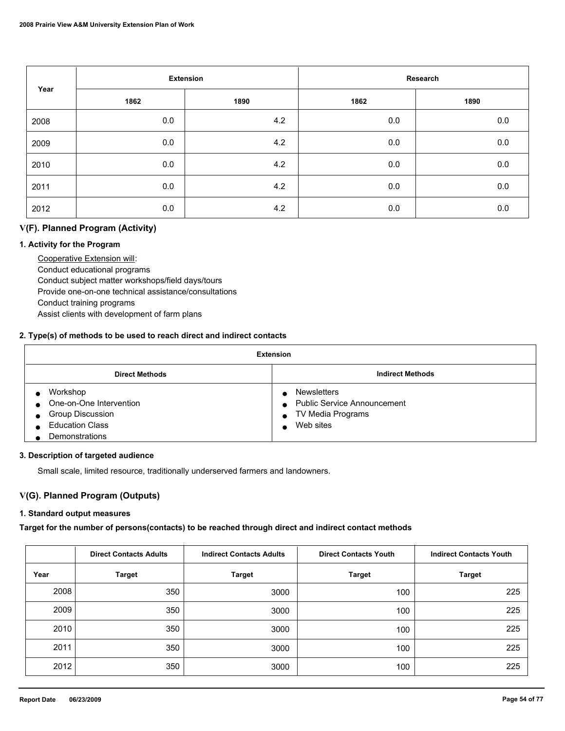| Year |      | <b>Extension</b> |      | Research |  |
|------|------|------------------|------|----------|--|
|      | 1862 | 1890             | 1862 | 1890     |  |
| 2008 | 0.0  | 4.2              | 0.0  | 0.0      |  |
| 2009 | 0.0  | 4.2              | 0.0  | $0.0\,$  |  |
| 2010 | 0.0  | 4.2              | 0.0  | 0.0      |  |
| 2011 | 0.0  | 4.2              | 0.0  | 0.0      |  |
| 2012 | 0.0  | 4.2              | 0.0  | 0.0      |  |

# **V(F). Planned Program (Activity)**

# **1. Activity for the Program**

 Cooperative Extension will: Conduct educational programs Conduct subject matter workshops/field days/tours Provide one-on-one technical assistance/consultations Conduct training programs Assist clients with development of farm plans

# **2. Type(s) of methods to be used to reach direct and indirect contacts**

| <b>Extension</b>                                                                                    |                                                                                            |  |
|-----------------------------------------------------------------------------------------------------|--------------------------------------------------------------------------------------------|--|
| <b>Direct Methods</b>                                                                               | <b>Indirect Methods</b>                                                                    |  |
| Workshop<br>One-on-One Intervention<br>Group Discussion<br><b>Education Class</b><br>Demonstrations | <b>Newsletters</b><br><b>Public Service Announcement</b><br>TV Media Programs<br>Web sites |  |

### **3. Description of targeted audience**

Small scale, limited resource, traditionally underserved farmers and landowners.

# **V(G). Planned Program (Outputs)**

## **1. Standard output measures**

**Target for the number of persons(contacts) to be reached through direct and indirect contact methods**

|      | <b>Direct Contacts Adults</b> | <b>Indirect Contacts Adults</b> | <b>Direct Contacts Youth</b> | <b>Indirect Contacts Youth</b> |
|------|-------------------------------|---------------------------------|------------------------------|--------------------------------|
| Year | <b>Target</b>                 | <b>Target</b>                   | <b>Target</b>                | <b>Target</b>                  |
| 2008 | 350                           | 3000                            | 100                          | 225                            |
| 2009 | 350                           | 3000                            | 100                          | 225                            |
| 2010 | 350                           | 3000                            | 100                          | 225                            |
| 2011 | 350                           | 3000                            | 100                          | 225                            |
| 2012 | 350                           | 3000                            | 100                          | 225                            |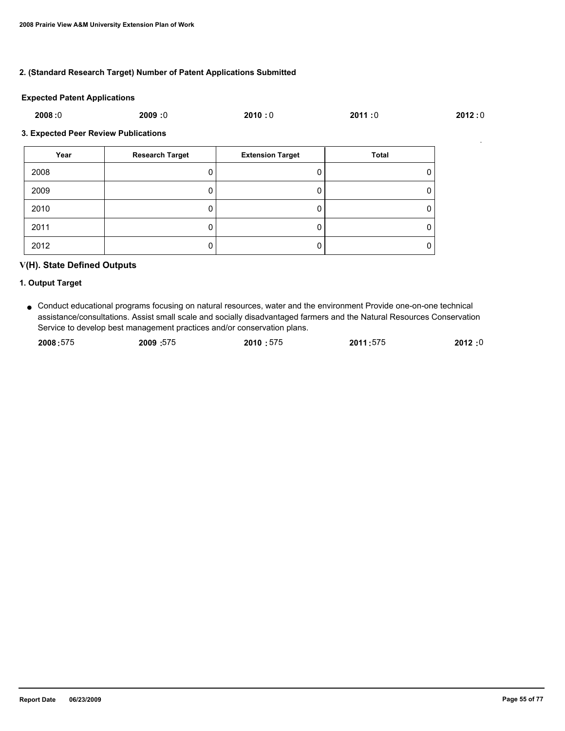# **2. (Standard Research Target) Number of Patent Applications Submitted**

#### **Expected Patent Applications**

| 2008:0 | 2009:0 | 2010:0 | 2011:0 | 2012:0 |
|--------|--------|--------|--------|--------|
|        |        |        |        |        |

### **3. Expected Peer Review Publications**

| Year | <b>Research Target</b> | <b>Extension Target</b> | <b>Total</b> |
|------|------------------------|-------------------------|--------------|
| 2008 |                        |                         | 0            |
| 2009 | υ                      |                         | 0            |
| 2010 |                        |                         | 0            |
| 2011 | υ                      |                         | 0            |
| 2012 | U                      |                         | 0            |

# **V(H). State Defined Outputs**

### **1. Output Target**

● Conduct educational programs focusing on natural resources, water and the environment Provide one-on-one technical assistance/consultations. Assist small scale and socially disadvantaged farmers and the Natural Resources Conservation Service to develop best management practices and/or conservation plans.

| 2008:575 | 2009:575 | 2010:575 | 2011:575 | 2012:0 |
|----------|----------|----------|----------|--------|
|          |          |          |          |        |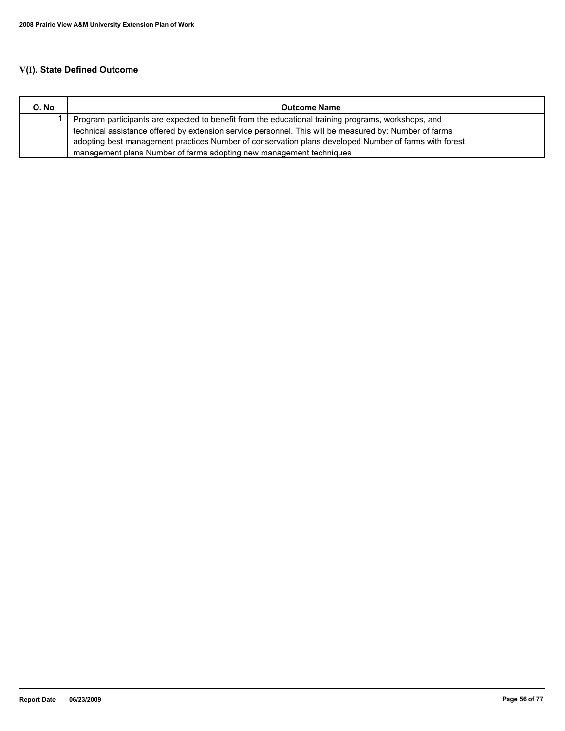| O. No | <b>Outcome Name</b>                                                                                    |
|-------|--------------------------------------------------------------------------------------------------------|
|       | Program participants are expected to benefit from the educational training programs, workshops, and    |
|       | technical assistance offered by extension service personnel. This will be measured by: Number of farms |
|       | adopting best management practices Number of conservation plans developed Number of farms with forest  |
|       | management plans Number of farms adopting new management techniques                                    |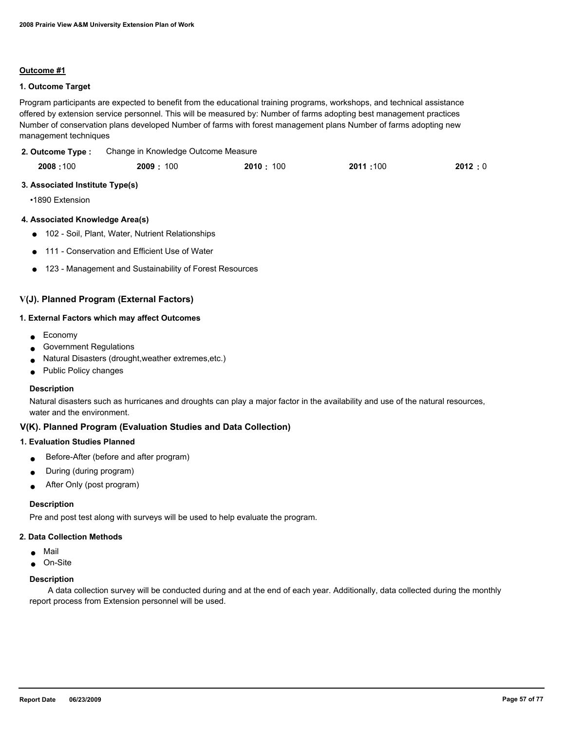## **1. Outcome Target**

Program participants are expected to benefit from the educational training programs, workshops, and technical assistance offered by extension service personnel. This will be measured by: Number of farms adopting best management practices Number of conservation plans developed Number of farms with forest management plans Number of farms adopting new management techniques

Change in Knowledge Outcome Measure **2. Outcome Type :**

| 2008:100 | 2009: 100 | 2010:100 | 2011:100 | 2012:0 |
|----------|-----------|----------|----------|--------|
|          |           |          |          |        |

#### **3. Associated Institute Type(s)**

•1890 Extension

### **4. Associated Knowledge Area(s)**

- 102 Soil, Plant, Water, Nutrient Relationships
- 111 Conservation and Efficient Use of Water
- 123 Management and Sustainability of Forest Resources

# **V(J). Planned Program (External Factors)**

#### **1. External Factors which may affect Outcomes**

- Economy
- Government Regulations
- Natural Disasters (drought, weather extremes, etc.)
- Public Policy changes

#### **Description**

Natural disasters such as hurricanes and droughts can play a major factor in the availability and use of the natural resources, water and the environment.

# **V(K). Planned Program (Evaluation Studies and Data Collection)**

### **1. Evaluation Studies Planned**

- Before-After (before and after program)
- During (during program)
- After Only (post program)

#### **Description**

Pre and post test along with surveys will be used to help evaluate the program.

#### **2. Data Collection Methods**

- Mail
- On-Site

#### **Description**

 A data collection survey will be conducted during and at the end of each year. Additionally, data collected during the monthly report process from Extension personnel will be used.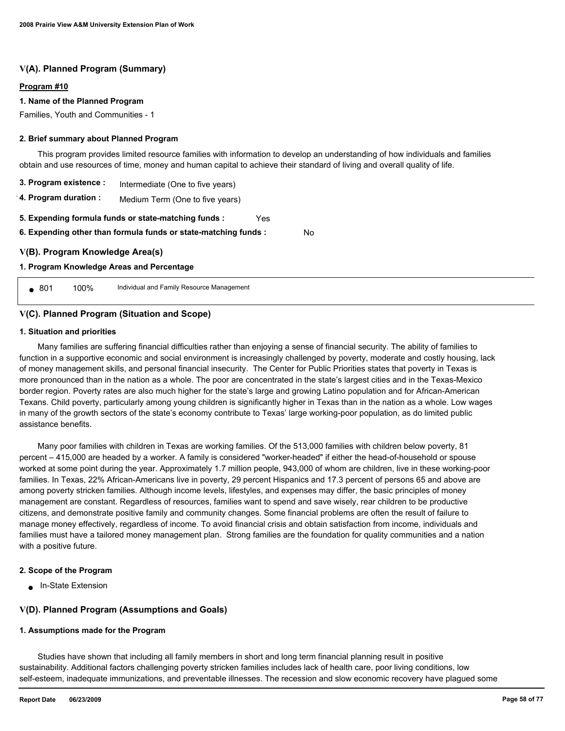# **V(A). Planned Program (Summary)**

### **Program #10**

### **1. Name of the Planned Program**

Families, Youth and Communities - 1

### **2. Brief summary about Planned Program**

 This program provides limited resource families with information to develop an understanding of how individuals and families obtain and use resources of time, money and human capital to achieve their standard of living and overall quality of life.

No

| 3. Program existence :<br>Intermediate (One to five years)                                                                     |                                 |  |  |  |
|--------------------------------------------------------------------------------------------------------------------------------|---------------------------------|--|--|--|
| 4. Program duration :                                                                                                          | Medium Term (One to five years) |  |  |  |
| 5. Expending formula funds or state-matching funds :<br>Yes<br>6. Expending other than formula funds or state-matching funds : |                                 |  |  |  |
| V(B). Program Knowledge Area(s)                                                                                                |                                 |  |  |  |
| 1. Program Knowledge Areas and Percentage                                                                                      |                                 |  |  |  |

● 801 100% Individual and Family Resource Management

### **V(C). Planned Program (Situation and Scope)**

#### **1. Situation and priorities**

 Many families are suffering financial difficulties rather than enjoying a sense of financial security. The ability of families to function in a supportive economic and social environment is increasingly challenged by poverty, moderate and costly housing, lack of money management skills, and personal financial insecurity. The Center for Public Priorities states that poverty in Texas is more pronounced than in the nation as a whole. The poor are concentrated in the state's largest cities and in the Texas-Mexico border region. Poverty rates are also much higher for the state's large and growing Latino population and for African-American Texans. Child poverty, particularly among young children is significantly higher in Texas than in the nation as a whole. Low wages in many of the growth sectors of the state's economy contribute to Texas' large working-poor population, as do limited public assistance benefits.

 Many poor families with children in Texas are working families. Of the 513,000 families with children below poverty, 81 percent – 415,000 are headed by a worker. A family is considered "worker-headed" if either the head-of-household or spouse worked at some point during the year. Approximately 1.7 million people, 943,000 of whom are children, live in these working-poor families. In Texas, 22% African-Americans live in poverty, 29 percent Hispanics and 17.3 percent of persons 65 and above are among poverty stricken families. Although income levels, lifestyles, and expenses may differ, the basic principles of money management are constant. Regardless of resources, families want to spend and save wisely, rear children to be productive citizens, and demonstrate positive family and community changes. Some financial problems are often the result of failure to manage money effectively, regardless of income. To avoid financial crisis and obtain satisfaction from income, individuals and families must have a tailored money management plan. Strong families are the foundation for quality communities and a nation with a positive future.

### **2. Scope of the Program**

● In-State Extension

# **V(D). Planned Program (Assumptions and Goals)**

#### **1. Assumptions made for the Program**

 Studies have shown that including all family members in short and long term financial planning result in positive sustainability. Additional factors challenging poverty stricken families includes lack of health care, poor living conditions, low self-esteem, inadequate immunizations, and preventable illnesses. The recession and slow economic recovery have plagued some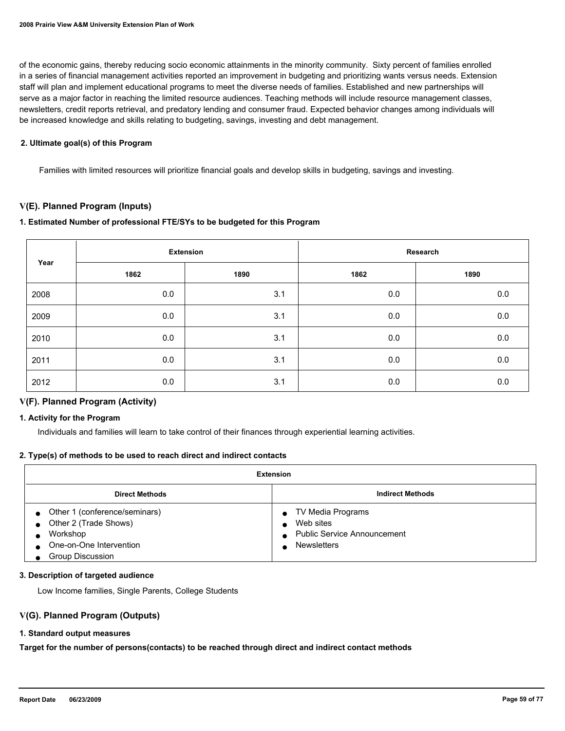of the economic gains, thereby reducing socio economic attainments in the minority community. Sixty percent of families enrolled in a series of financial management activities reported an improvement in budgeting and prioritizing wants versus needs. Extension staff will plan and implement educational programs to meet the diverse needs of families. Established and new partnerships will serve as a major factor in reaching the limited resource audiences. Teaching methods will include resource management classes, newsletters, credit reports retrieval, and predatory lending and consumer fraud. Expected behavior changes among individuals will be increased knowledge and skills relating to budgeting, savings, investing and debt management.

## **2. Ultimate goal(s) of this Program**

Families with limited resources will prioritize financial goals and develop skills in budgeting, savings and investing.

# **V(E). Planned Program (Inputs)**

# **1. Estimated Number of professional FTE/SYs to be budgeted for this Program**

| Year |      | <b>Extension</b> |      | Research |
|------|------|------------------|------|----------|
|      | 1862 | 1890             | 1862 | 1890     |
| 2008 | 0.0  | 3.1              | 0.0  | 0.0      |
| 2009 | 0.0  | 3.1              | 0.0  | 0.0      |
| 2010 | 0.0  | 3.1              | 0.0  | 0.0      |
| 2011 | 0.0  | 3.1              | 0.0  | 0.0      |
| 2012 | 0.0  | 3.1              | 0.0  | 0.0      |

# **V(F). Planned Program (Activity)**

### **1. Activity for the Program**

Individuals and families will learn to take control of their finances through experiential learning activities.

### **2. Type(s) of methods to be used to reach direct and indirect contacts**

| Extension                                                                                                         |                                                                                            |  |
|-------------------------------------------------------------------------------------------------------------------|--------------------------------------------------------------------------------------------|--|
| <b>Indirect Methods</b><br><b>Direct Methods</b>                                                                  |                                                                                            |  |
| Other 1 (conference/seminars)<br>Other 2 (Trade Shows)<br>Workshop<br>One-on-One Intervention<br>Group Discussion | TV Media Programs<br>Web sites<br><b>Public Service Announcement</b><br><b>Newsletters</b> |  |

### **3. Description of targeted audience**

Low Income families, Single Parents, College Students

### **V(G). Planned Program (Outputs)**

### **1. Standard output measures**

**Target for the number of persons(contacts) to be reached through direct and indirect contact methods**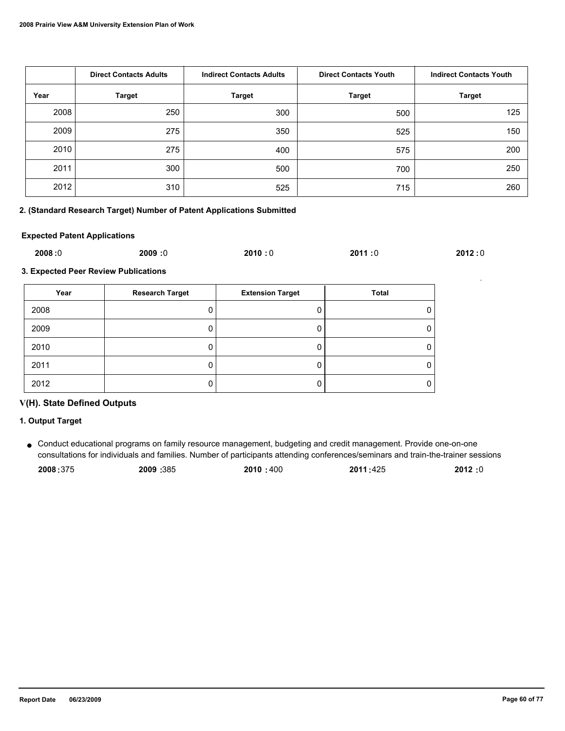|      | <b>Direct Contacts Adults</b> | <b>Indirect Contacts Adults</b> | <b>Direct Contacts Youth</b> | <b>Indirect Contacts Youth</b> |
|------|-------------------------------|---------------------------------|------------------------------|--------------------------------|
| Year | <b>Target</b>                 | <b>Target</b>                   | <b>Target</b>                | <b>Target</b>                  |
| 2008 | 250                           | 300                             | 500                          | 125                            |
| 2009 | 275                           | 350                             | 525                          | 150                            |
| 2010 | 275                           | 400                             | 575                          | 200                            |
| 2011 | 300                           | 500                             | 700                          | 250                            |
| 2012 | 310                           | 525                             | 715                          | 260                            |

# **2. (Standard Research Target) Number of Patent Applications Submitted**

### **Expected Patent Applications**

| 2008:0 | 2009:0 | 2010:0 | 2011:0 | 2012:0 |
|--------|--------|--------|--------|--------|
|        |        |        |        |        |

**3. Expected Peer Review Publications**

| Year | <b>Research Target</b> | <b>Extension Target</b> | <b>Total</b> |
|------|------------------------|-------------------------|--------------|
| 2008 |                        |                         |              |
| 2009 |                        |                         |              |
| 2010 |                        |                         |              |
| 2011 |                        |                         |              |
| 2012 |                        |                         |              |

# **V(H). State Defined Outputs**

# **1. Output Target**

Conduct educational programs on family resource management, budgeting and credit management. Provide one-on-one ● consultations for individuals and families. Number of participants attending conferences/seminars and train-the-trainer sessions

| 2008:375 | 2009:385 | 2010 : 400 | 2011:425 | 2012:0 |
|----------|----------|------------|----------|--------|
|          |          |            |          |        |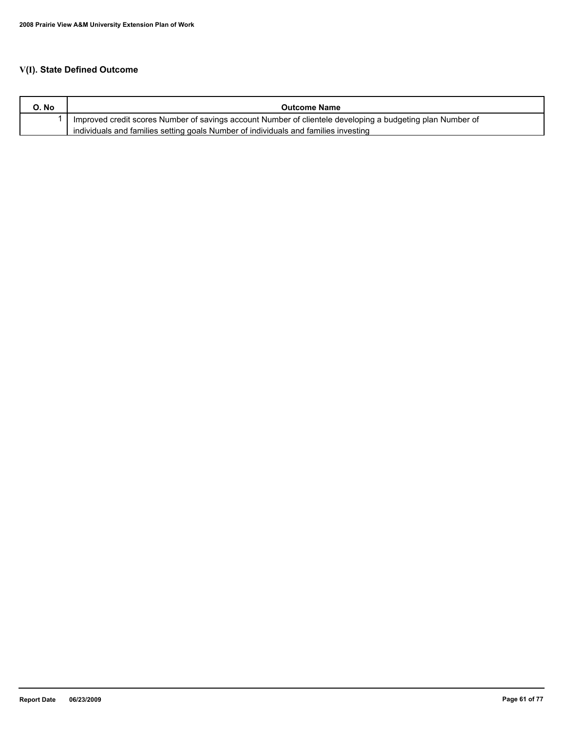| O. No | <b>Outcome Name</b>                                                                                        |
|-------|------------------------------------------------------------------------------------------------------------|
|       | Improved credit scores Number of savings account Number of clientele developing a budgeting plan Number of |
|       | individuals and families setting goals Number of individuals and families investing                        |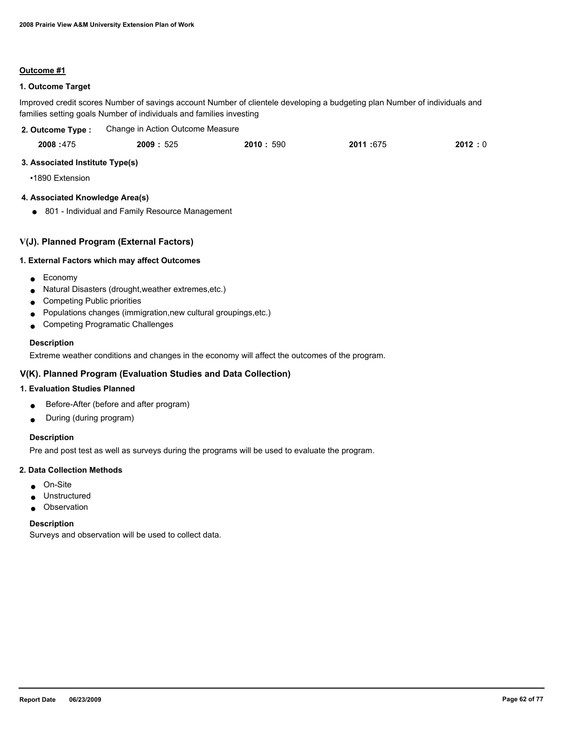# **1. Outcome Target**

Improved credit scores Number of savings account Number of clientele developing a budgeting plan Number of individuals and families setting goals Number of individuals and families investing

| 2. Outcome Type : | Change in Action Outcome Measure |
|-------------------|----------------------------------|
|-------------------|----------------------------------|

| 2008:475<br>2011:675<br>2009: 525<br>2010:590 | 2012:0 |
|-----------------------------------------------|--------|
|-----------------------------------------------|--------|

# **3. Associated Institute Type(s)**

•1890 Extension

# **4. Associated Knowledge Area(s)**

● 801 - Individual and Family Resource Management

# **V(J). Planned Program (External Factors)**

# **1. External Factors which may affect Outcomes**

- Economy
- Natural Disasters (drought,weather extremes,etc.)
- Competing Public priorities
- Populations changes (immigration,new cultural groupings,etc.)
- Competing Programatic Challenges

# **Description**

Extreme weather conditions and changes in the economy will affect the outcomes of the program.

# **V(K). Planned Program (Evaluation Studies and Data Collection)**

# **1. Evaluation Studies Planned**

- Before-After (before and after program)
- During (during program)

# **Description**

Pre and post test as well as surveys during the programs will be used to evaluate the program.

### **2. Data Collection Methods**

- On-Site
- Unstructured
- Observation

### **Description**

Surveys and observation will be used to collect data.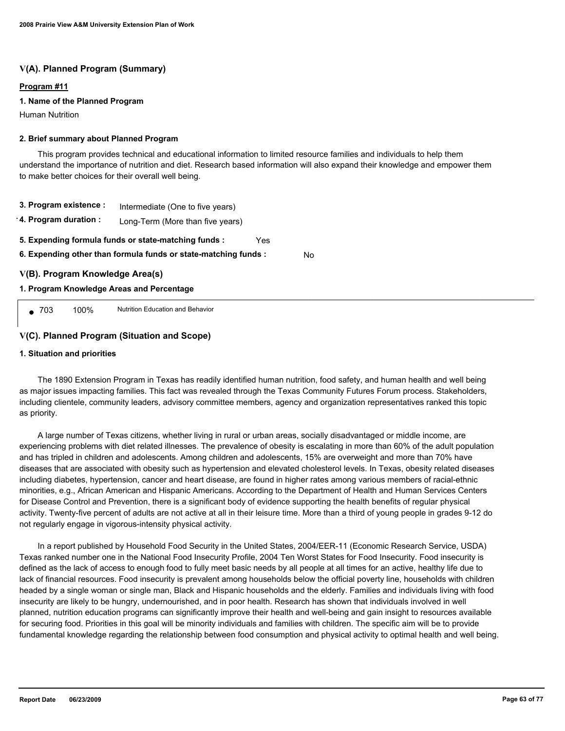# **V(A). Planned Program (Summary)**

## **Program #11**

## **1. Name of the Planned Program**

Human Nutrition

### **2. Brief summary about Planned Program**

 This program provides technical and educational information to limited resource families and individuals to help them understand the importance of nutrition and diet. Research based information will also expand their knowledge and empower them to make better choices for their overall well being.

- **3. Program existence :** Intermediate (One to five years)
- **4. Program duration :** Long-Term (More than five years)
- **5. Expending formula funds or state-matching funds :** Yes

**6. Expending other than formula funds or state-matching funds :** No

# **V(B). Program Knowledge Area(s)**

## **1. Program Knowledge Areas and Percentage**

● 703 100% Nutrition Education and Behavior

# **V(C). Planned Program (Situation and Scope)**

### **1. Situation and priorities**

 The 1890 Extension Program in Texas has readily identified human nutrition, food safety, and human health and well being as major issues impacting families. This fact was revealed through the Texas Community Futures Forum process. Stakeholders, including clientele, community leaders, advisory committee members, agency and organization representatives ranked this topic as priority.

 A large number of Texas citizens, whether living in rural or urban areas, socially disadvantaged or middle income, are experiencing problems with diet related illnesses. The prevalence of obesity is escalating in more than 60% of the adult population and has tripled in children and adolescents. Among children and adolescents, 15% are overweight and more than 70% have diseases that are associated with obesity such as hypertension and elevated cholesterol levels. In Texas, obesity related diseases including diabetes, hypertension, cancer and heart disease, are found in higher rates among various members of racial-ethnic minorities, e.g., African American and Hispanic Americans. According to the Department of Health and Human Services Centers for Disease Control and Prevention, there is a significant body of evidence supporting the health benefits of regular physical activity. Twenty-five percent of adults are not active at all in their leisure time. More than a third of young people in grades 9-12 do not regularly engage in vigorous-intensity physical activity.

 In a report published by Household Food Security in the United States, 2004/EER-11 (Economic Research Service, USDA) Texas ranked number one in the National Food Insecurity Profile, 2004 Ten Worst States for Food Insecurity. Food insecurity is defined as the lack of access to enough food to fully meet basic needs by all people at all times for an active, healthy life due to lack of financial resources. Food insecurity is prevalent among households below the official poverty line, households with children headed by a single woman or single man, Black and Hispanic households and the elderly. Families and individuals living with food insecurity are likely to be hungry, undernourished, and in poor health. Research has shown that individuals involved in well planned, nutrition education programs can significantly improve their health and well-being and gain insight to resources available for securing food. Priorities in this goal will be minority individuals and families with children. The specific aim will be to provide fundamental knowledge regarding the relationship between food consumption and physical activity to optimal health and well being.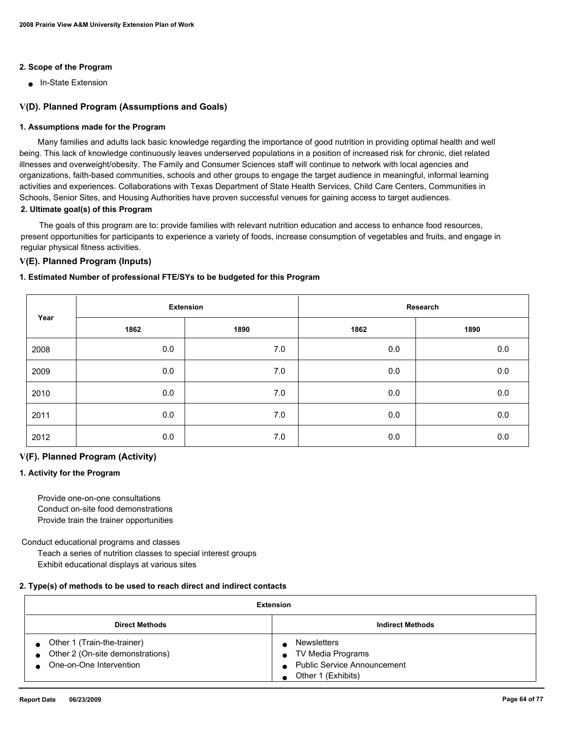# **2. Scope of the Program**

■ In-State Extension

# **V(D). Planned Program (Assumptions and Goals)**

### **1. Assumptions made for the Program**

 Many families and adults lack basic knowledge regarding the importance of good nutrition in providing optimal health and well being. This lack of knowledge continuously leaves underserved populations in a position of increased risk for chronic, diet related illnesses and overweight/obesity. The Family and Consumer Sciences staff will continue to network with local agencies and organizations, faith-based communities, schools and other groups to engage the target audience in meaningful, informal learning activities and experiences. Collaborations with Texas Department of State Health Services, Child Care Centers, Communities in Schools, Senior Sites, and Housing Authorities have proven successful venues for gaining access to target audiences. **2. Ultimate goal(s) of this Program**

 The goals of this program are to: provide families with relevant nutrition education and access to enhance food resources, present opportunities for participants to experience a variety of foods, increase consumption of vegetables and fruits, and engage in regular physical fitness activities.

# **V(E). Planned Program (Inputs)**

### **1. Estimated Number of professional FTE/SYs to be budgeted for this Program**

|      |      | <b>Extension</b> | Research |         |
|------|------|------------------|----------|---------|
| Year | 1862 | 1890             | 1862     | 1890    |
| 2008 | 0.0  | 7.0              | 0.0      | 0.0     |
| 2009 | 0.0  | 7.0              | 0.0      | $0.0\,$ |
| 2010 | 0.0  | 7.0              | 0.0      | 0.0     |
| 2011 | 0.0  | 7.0              | 0.0      | 0.0     |
| 2012 | 0.0  | 7.0              | 0.0      | $0.0\,$ |

### **V(F). Planned Program (Activity)**

### **1. Activity for the Program**

 Provide one-on-one consultations Conduct on-site food demonstrations Provide train the trainer opportunities

Conduct educational programs and classes

 Teach a series of nutrition classes to special interest groups Exhibit educational displays at various sites

### **2. Type(s) of methods to be used to reach direct and indirect contacts**

| Extension                                                                                      |                                                                                                     |  |
|------------------------------------------------------------------------------------------------|-----------------------------------------------------------------------------------------------------|--|
| <b>Indirect Methods</b><br><b>Direct Methods</b>                                               |                                                                                                     |  |
| • Other 1 (Train-the-trainer)<br>• Other 2 (On-site demonstrations)<br>One-on-One Intervention | <b>Newsletters</b><br>TV Media Programs<br><b>Public Service Announcement</b><br>Other 1 (Exhibits) |  |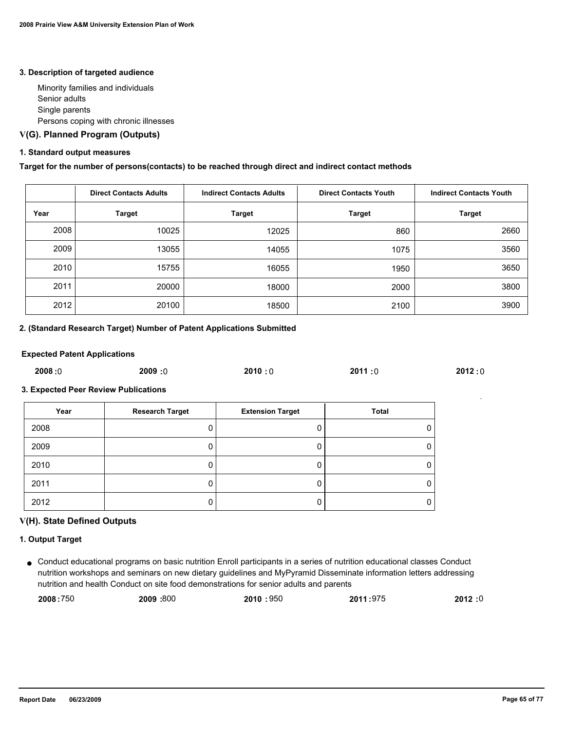#### **3. Description of targeted audience**

 Minority families and individuals Senior adults Single parents Persons coping with chronic illnesses

# **V(G). Planned Program (Outputs)**

# **1. Standard output measures**

# **Target for the number of persons(contacts) to be reached through direct and indirect contact methods**

|      | <b>Direct Contacts Adults</b> | <b>Indirect Contacts Adults</b> | <b>Direct Contacts Youth</b> | <b>Indirect Contacts Youth</b> |
|------|-------------------------------|---------------------------------|------------------------------|--------------------------------|
| Year | Target                        | <b>Target</b>                   | Target                       | <b>Target</b>                  |
| 2008 | 10025                         | 12025                           | 860                          | 2660                           |
| 2009 | 13055                         | 14055                           | 1075                         | 3560                           |
| 2010 | 15755                         | 16055                           | 1950                         | 3650                           |
| 2011 | 20000                         | 18000                           | 2000                         | 3800                           |
| 2012 | 20100                         | 18500                           | 2100                         | 3900                           |

### **2. (Standard Research Target) Number of Patent Applications Submitted**

#### **Expected Patent Applications**

| 2008:0 | 2009:0 | 2010:0 | 2011:0 | 2012:0 |
|--------|--------|--------|--------|--------|
|        |        |        |        |        |

### **3. Expected Peer Review Publications**

| Year | <b>Research Target</b> | <b>Extension Target</b> | Total |
|------|------------------------|-------------------------|-------|
| 2008 |                        |                         |       |
| 2009 |                        |                         |       |
| 2010 |                        |                         |       |
| 2011 |                        |                         |       |
| 2012 |                        |                         |       |

### **V(H). State Defined Outputs**

# **1. Output Target**

● Conduct educational programs on basic nutrition Enroll participants in a series of nutrition educational classes Conduct nutrition workshops and seminars on new dietary guidelines and MyPyramid Disseminate information letters addressing nutrition and health Conduct on site food demonstrations for senior adults and parents

| 2008:750 | 2009: 800 | 2010:950 | 2011:975 | 2012:0 |
|----------|-----------|----------|----------|--------|
|          |           |          |          |        |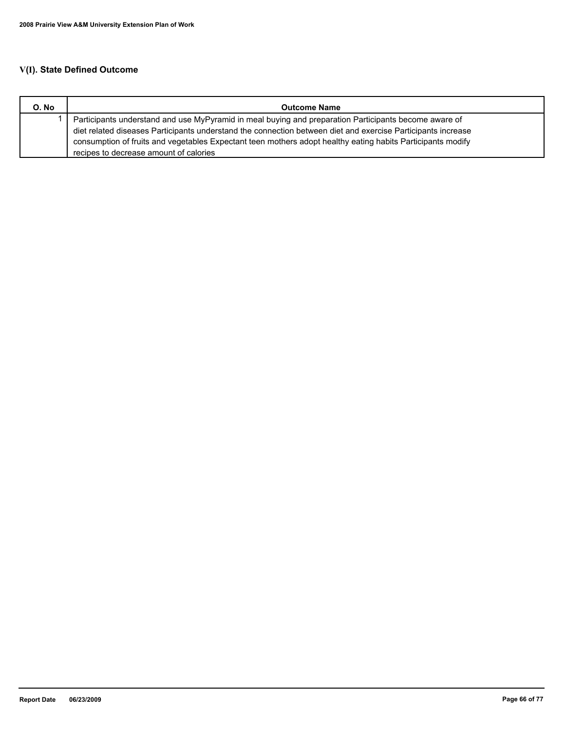| O. No | <b>Outcome Name</b>                                                                                          |
|-------|--------------------------------------------------------------------------------------------------------------|
|       | Participants understand and use MyPyramid in meal buying and preparation Participants become aware of        |
|       | diet related diseases Participants understand the connection between diet and exercise Participants increase |
|       | consumption of fruits and vegetables Expectant teen mothers adopt healthy eating habits Participants modify  |
|       | recipes to decrease amount of calories                                                                       |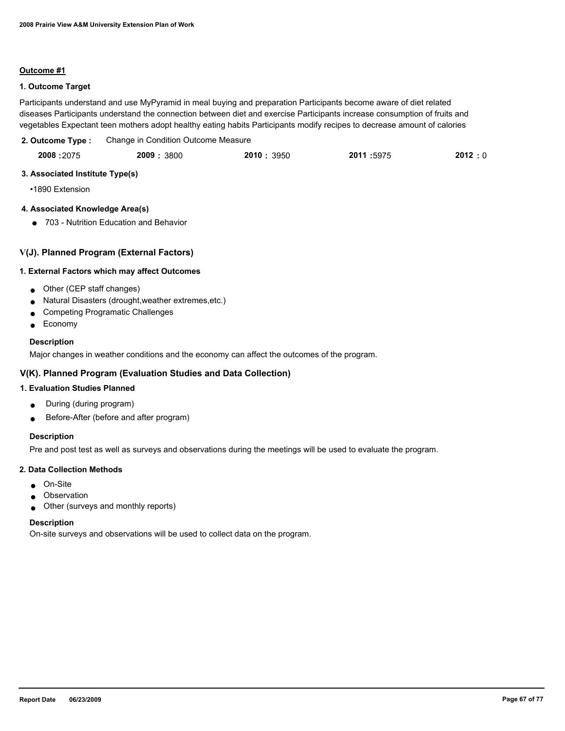# **1. Outcome Target**

Participants understand and use MyPyramid in meal buying and preparation Participants become aware of diet related diseases Participants understand the connection between diet and exercise Participants increase consumption of fruits and vegetables Expectant teen mothers adopt healthy eating habits Participants modify recipes to decrease amount of calories

| 2. Outcome Type : |           | Change in Condition Outcome Measure |           |       |
|-------------------|-----------|-------------------------------------|-----------|-------|
| 2008:2075         | 2009:3800 | 2010:3950                           | 2011:5975 | 2012: |

| 3. Associated Institute Type(s) |  |  |
|---------------------------------|--|--|

•1890 Extension

# **4. Associated Knowledge Area(s)**

● 703 - Nutrition Education and Behavior

# **V(J). Planned Program (External Factors)**

# **1. External Factors which may affect Outcomes**

- Other (CEP staff changes)
- Natural Disasters (drought,weather extremes,etc.)
- Competing Programatic Challenges
- Economy

# **Description**

Major changes in weather conditions and the economy can affect the outcomes of the program.

# **V(K). Planned Program (Evaluation Studies and Data Collection)**

# **1. Evaluation Studies Planned**

- During (during program)
- Before-After (before and after program)

# **Description**

Pre and post test as well as surveys and observations during the meetings will be used to evaluate the program.

### **2. Data Collection Methods**

- On-Site
- Observation
- Other (surveys and monthly reports)

### **Description**

On-site surveys and observations will be used to collect data on the program.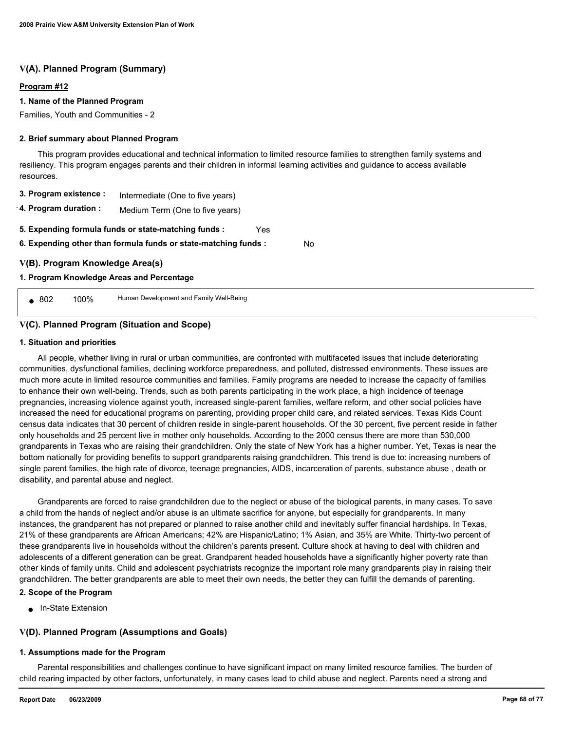# **V(A). Planned Program (Summary)**

### **Program #12**

# **1. Name of the Planned Program**

Families, Youth and Communities - 2

### **2. Brief summary about Planned Program**

 This program provides educational and technical information to limited resource families to strengthen family systems and resiliency. This program engages parents and their children in informal learning activities and guidance to access available resources.

| 3. Program existence : | Intermediate (One to five years) |
|------------------------|----------------------------------|
|------------------------|----------------------------------|

**4. Program duration :** Medium Term (One to five years)

**5. Expending formula funds or state-matching funds :** Yes

**6. Expending other than formula funds or state-matching funds :** No

# **V(B). Program Knowledge Area(s)**

### **1. Program Knowledge Areas and Percentage**

■ 802 100% Human Development and Family Well-Being

# **V(C). Planned Program (Situation and Scope)**

### **1. Situation and priorities**

 All people, whether living in rural or urban communities, are confronted with multifaceted issues that include deteriorating communities, dysfunctional families, declining workforce preparedness, and polluted, distressed environments. These issues are much more acute in limited resource communities and families. Family programs are needed to increase the capacity of families to enhance their own well-being. Trends, such as both parents participating in the work place, a high incidence of teenage pregnancies, increasing violence against youth, increased single-parent families, welfare reform, and other social policies have increased the need for educational programs on parenting, providing proper child care, and related services. Texas Kids Count census data indicates that 30 percent of children reside in single-parent households. Of the 30 percent, five percent reside in father only households and 25 percent live in mother only households. According to the 2000 census there are more than 530,000 grandparents in Texas who are raising their grandchildren. Only the state of New York has a higher number. Yet, Texas is near the bottom nationally for providing benefits to support grandparents raising grandchildren. This trend is due to: increasing numbers of single parent families, the high rate of divorce, teenage pregnancies, AIDS, incarceration of parents, substance abuse , death or disability, and parental abuse and neglect.

 Grandparents are forced to raise grandchildren due to the neglect or abuse of the biological parents, in many cases. To save a child from the hands of neglect and/or abuse is an ultimate sacrifice for anyone, but especially for grandparents. In many instances, the grandparent has not prepared or planned to raise another child and inevitably suffer financial hardships. In Texas, 21% of these grandparents are African Americans; 42% are Hispanic/Latino; 1% Asian, and 35% are White. Thirty-two percent of these grandparents live in households without the children's parents present. Culture shock at having to deal with children and adolescents of a different generation can be great. Grandparent headed households have a significantly higher poverty rate than other kinds of family units. Child and adolescent psychiatrists recognize the important role many grandparents play in raising their grandchildren. The better grandparents are able to meet their own needs, the better they can fulfill the demands of parenting.

## **2. Scope of the Program**

● In-State Extension

# **V(D). Planned Program (Assumptions and Goals)**

### **1. Assumptions made for the Program**

 Parental responsibilities and challenges continue to have significant impact on many limited resource families. The burden of child rearing impacted by other factors, unfortunately, in many cases lead to child abuse and neglect. Parents need a strong and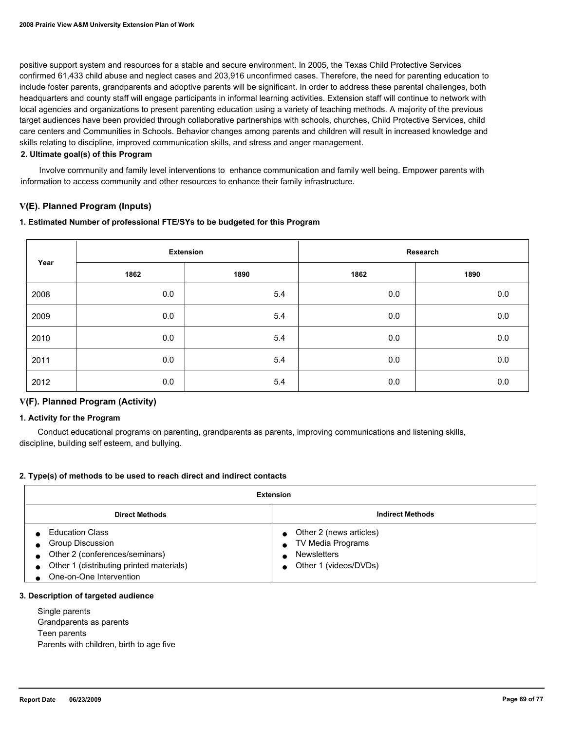positive support system and resources for a stable and secure environment. In 2005, the Texas Child Protective Services confirmed 61,433 child abuse and neglect cases and 203,916 unconfirmed cases. Therefore, the need for parenting education to include foster parents, grandparents and adoptive parents will be significant. In order to address these parental challenges, both headquarters and county staff will engage participants in informal learning activities. Extension staff will continue to network with local agencies and organizations to present parenting education using a variety of teaching methods. A majority of the previous target audiences have been provided through collaborative partnerships with schools, churches, Child Protective Services, child care centers and Communities in Schools. Behavior changes among parents and children will result in increased knowledge and skills relating to discipline, improved communication skills, and stress and anger management.

## **2. Ultimate goal(s) of this Program**

 Involve community and family level interventions to enhance communication and family well being. Empower parents with information to access community and other resources to enhance their family infrastructure.

# **V(E). Planned Program (Inputs)**

# **1. Estimated Number of professional FTE/SYs to be budgeted for this Program**

| Year |      | <b>Extension</b> |      | Research |
|------|------|------------------|------|----------|
|      | 1862 | 1890             | 1862 | 1890     |
| 2008 | 0.0  | 5.4              | 0.0  | 0.0      |
| 2009 | 0.0  | 5.4              | 0.0  | 0.0      |
| 2010 | 0.0  | 5.4              | 0.0  | 0.0      |
| 2011 | 0.0  | 5.4              | 0.0  | 0.0      |
| 2012 | 0.0  | 5.4              | 0.0  | 0.0      |

# **V(F). Planned Program (Activity)**

### **1. Activity for the Program**

 Conduct educational programs on parenting, grandparents as parents, improving communications and listening skills, discipline, building self esteem, and bullying.

# **2. Type(s) of methods to be used to reach direct and indirect contacts**

| Extension                                                                                                                                                               |                                                                                                          |  |
|-------------------------------------------------------------------------------------------------------------------------------------------------------------------------|----------------------------------------------------------------------------------------------------------|--|
| <b>Indirect Methods</b><br><b>Direct Methods</b>                                                                                                                        |                                                                                                          |  |
| <b>Education Class</b><br><b>Group Discussion</b><br>Other 2 (conferences/seminars)<br>Other 1 (distributing printed materials)<br>$\bullet$<br>One-on-One Intervention | Other 2 (news articles)<br>TV Media Programs<br>$\bullet$<br><b>Newsletters</b><br>Other 1 (videos/DVDs) |  |

### **3. Description of targeted audience**

 Single parents Grandparents as parents Teen parents Parents with children, birth to age five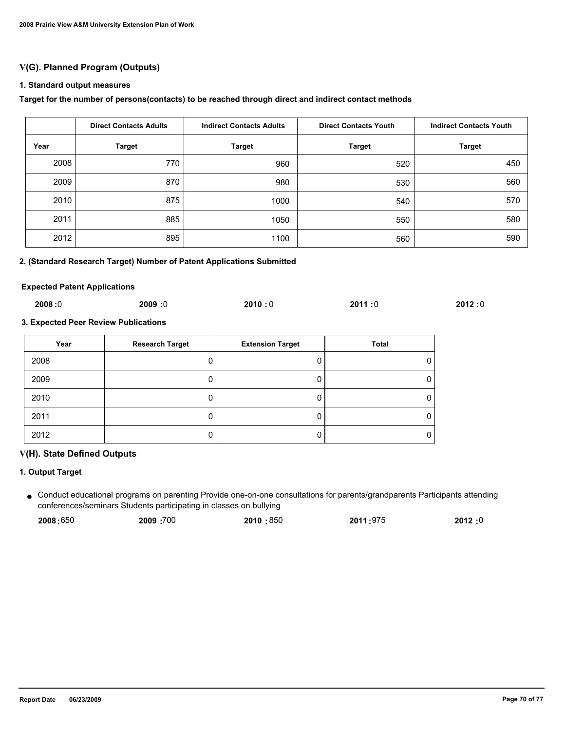# **V(G). Planned Program (Outputs)**

#### **1. Standard output measures**

#### **Target for the number of persons(contacts) to be reached through direct and indirect contact methods**

|      | <b>Direct Contacts Adults</b> | <b>Indirect Contacts Adults</b> | <b>Direct Contacts Youth</b> | <b>Indirect Contacts Youth</b> |
|------|-------------------------------|---------------------------------|------------------------------|--------------------------------|
| Year | <b>Target</b>                 | <b>Target</b>                   | <b>Target</b>                | <b>Target</b>                  |
| 2008 | 770                           | 960                             | 520                          | 450                            |
| 2009 | 870                           | 980                             | 530                          | 560                            |
| 2010 | 875                           | 1000                            | 540                          | 570                            |
| 2011 | 885                           | 1050                            | 550                          | 580                            |
| 2012 | 895                           | 1100                            | 560                          | 590                            |

# **2. (Standard Research Target) Number of Patent Applications Submitted**

#### **Expected Patent Applications**

| 2008:0 | 2009:0 | 2010:0 | 2011:0 | 2012:0 |
|--------|--------|--------|--------|--------|
|        |        |        |        |        |

# **3. Expected Peer Review Publications**

| Year | <b>Research Target</b> | <b>Extension Target</b> | <b>Total</b> |
|------|------------------------|-------------------------|--------------|
| 2008 |                        |                         |              |
| 2009 |                        |                         |              |
| 2010 |                        |                         |              |
| 2011 |                        |                         |              |
| 2012 |                        |                         |              |

## **V(H). State Defined Outputs**

# **1. Output Target**

Conduct educational programs on parenting Provide one-on-one consultations for parents/grandparents Participants attending ● conferences/seminars Students participating in classes on bullying

| 2008:650 | 2009: 700 | 2010:850 | 2011:975 | 2012:0 |
|----------|-----------|----------|----------|--------|
|----------|-----------|----------|----------|--------|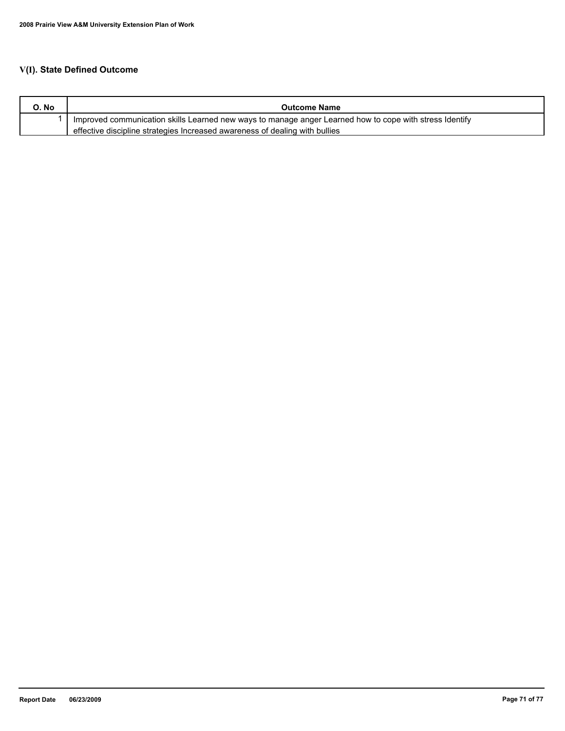| O. No | <b>Outcome Name</b>                                                                                     |
|-------|---------------------------------------------------------------------------------------------------------|
|       | Improved communication skills Learned new ways to manage anger Learned how to cope with stress Identify |
|       | effective discipline strategies Increased awareness of dealing with bullies                             |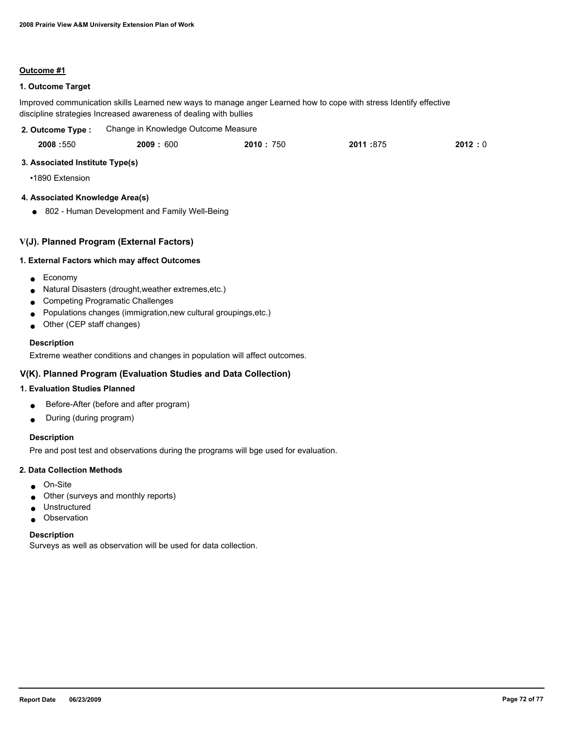# **1. Outcome Target**

Improved communication skills Learned new ways to manage anger Learned how to cope with stress Identify effective discipline strategies Increased awareness of dealing with bullies

| 2. Outcome Type : | Change in Knowledge Outcome Measure |
|-------------------|-------------------------------------|
|-------------------|-------------------------------------|

| 2008:550 | 2009: 600 | 2010 : 750 | 2011:875 | 2012:0 |
|----------|-----------|------------|----------|--------|
|          |           |            |          |        |

# **3. Associated Institute Type(s)**

•1890 Extension

# **4. Associated Knowledge Area(s)**

● 802 - Human Development and Family Well-Being

# **V(J). Planned Program (External Factors)**

### **1. External Factors which may affect Outcomes**

- Economy
- Natural Disasters (drought,weather extremes,etc.)
- Competing Programatic Challenges
- Populations changes (immigration,new cultural groupings,etc.)
- Other (CEP staff changes)

# **Description**

Extreme weather conditions and changes in population will affect outcomes.

# **V(K). Planned Program (Evaluation Studies and Data Collection)**

# **1. Evaluation Studies Planned**

- Before-After (before and after program)
- During (during program)

# **Description**

Pre and post test and observations during the programs will bge used for evaluation.

### **2. Data Collection Methods**

- On-Site
- Other (surveys and monthly reports)
- Unstructured
- Observation

### **Description**

Surveys as well as observation will be used for data collection.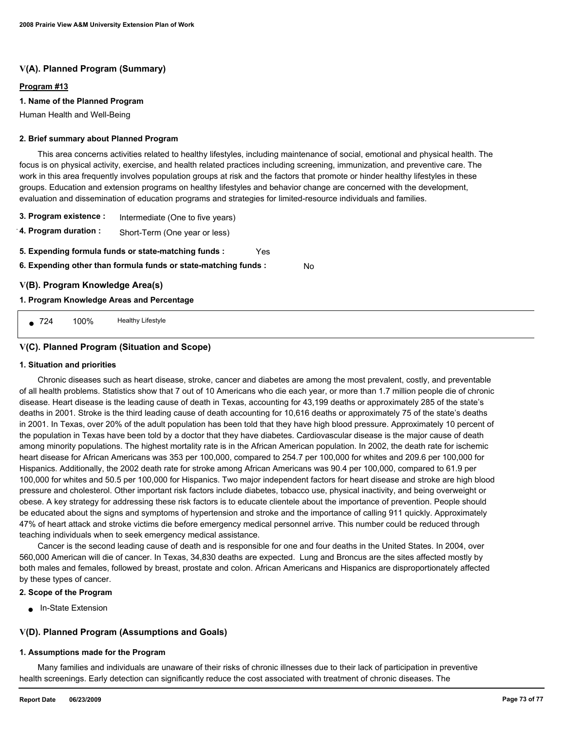# **V(A). Planned Program (Summary)**

## **Program #13**

## **1. Name of the Planned Program**

Human Health and Well-Being

#### **2. Brief summary about Planned Program**

 This area concerns activities related to healthy lifestyles, including maintenance of social, emotional and physical health. The focus is on physical activity, exercise, and health related practices including screening, immunization, and preventive care. The work in this area frequently involves population groups at risk and the factors that promote or hinder healthy lifestyles in these groups. Education and extension programs on healthy lifestyles and behavior change are concerned with the development, evaluation and dissemination of education programs and strategies for limited-resource individuals and families.

No

**3. Program existence :** Intermediate (One to five years)

**4. Program duration :** Short-Term (One year or less)

- **5. Expending formula funds or state-matching funds :** Yes
- **6. Expending other than formula funds or state-matching funds :**

# **V(B). Program Knowledge Area(s)**

## **1. Program Knowledge Areas and Percentage**

■ 724 100% Healthy Lifestyle

# **V(C). Planned Program (Situation and Scope)**

#### **1. Situation and priorities**

 Chronic diseases such as heart disease, stroke, cancer and diabetes are among the most prevalent, costly, and preventable of all health problems. Statistics show that 7 out of 10 Americans who die each year, or more than 1.7 million people die of chronic disease. Heart disease is the leading cause of death in Texas, accounting for 43,199 deaths or approximately 285 of the state's deaths in 2001. Stroke is the third leading cause of death accounting for 10,616 deaths or approximately 75 of the state's deaths in 2001. In Texas, over 20% of the adult population has been told that they have high blood pressure. Approximately 10 percent of the population in Texas have been told by a doctor that they have diabetes. Cardiovascular disease is the major cause of death among minority populations. The highest mortality rate is in the African American population. In 2002, the death rate for ischemic heart disease for African Americans was 353 per 100,000, compared to 254.7 per 100,000 for whites and 209.6 per 100,000 for Hispanics. Additionally, the 2002 death rate for stroke among African Americans was 90.4 per 100,000, compared to 61.9 per 100,000 for whites and 50.5 per 100,000 for Hispanics. Two major independent factors for heart disease and stroke are high blood pressure and cholesterol. Other important risk factors include diabetes, tobacco use, physical inactivity, and being overweight or obese. A key strategy for addressing these risk factors is to educate clientele about the importance of prevention. People should be educated about the signs and symptoms of hypertension and stroke and the importance of calling 911 quickly. Approximately 47% of heart attack and stroke victims die before emergency medical personnel arrive. This number could be reduced through teaching individuals when to seek emergency medical assistance.

 Cancer is the second leading cause of death and is responsible for one and four deaths in the United States. In 2004, over 560,000 American will die of cancer. In Texas, 34,830 deaths are expected. Lung and Broncus are the sites affected mostly by both males and females, followed by breast, prostate and colon. African Americans and Hispanics are disproportionately affected by these types of cancer.

## **2. Scope of the Program**

■ In-State Extension

# **V(D). Planned Program (Assumptions and Goals)**

## **1. Assumptions made for the Program**

 Many families and individuals are unaware of their risks of chronic illnesses due to their lack of participation in preventive health screenings. Early detection can significantly reduce the cost associated with treatment of chronic diseases. The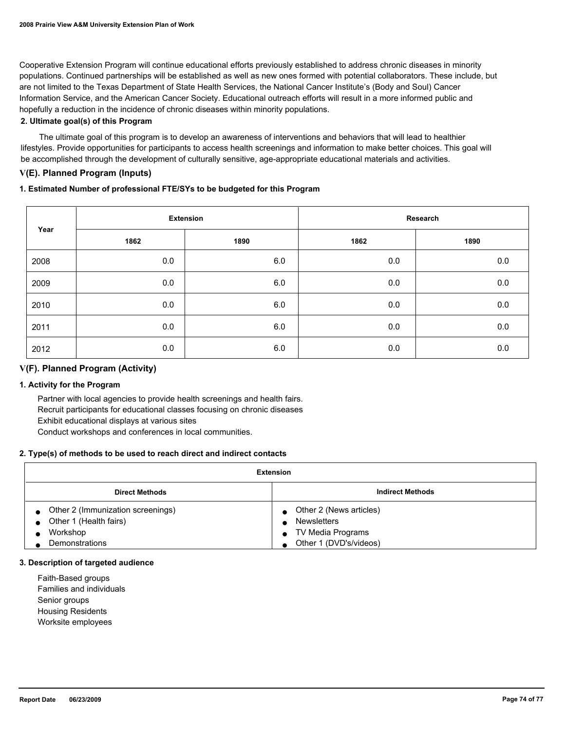Cooperative Extension Program will continue educational efforts previously established to address chronic diseases in minority populations. Continued partnerships will be established as well as new ones formed with potential collaborators. These include, but are not limited to the Texas Department of State Health Services, the National Cancer Institute's (Body and Soul) Cancer Information Service, and the American Cancer Society. Educational outreach efforts will result in a more informed public and hopefully a reduction in the incidence of chronic diseases within minority populations.

## **2. Ultimate goal(s) of this Program**

 The ultimate goal of this program is to develop an awareness of interventions and behaviors that will lead to healthier lifestyles. Provide opportunities for participants to access health screenings and information to make better choices. This goal will be accomplished through the development of culturally sensitive, age-appropriate educational materials and activities.

# **V(E). Planned Program (Inputs)**

# **1. Estimated Number of professional FTE/SYs to be budgeted for this Program**

| Year | <b>Extension</b> |      | Research |      |
|------|------------------|------|----------|------|
|      | 1862             | 1890 | 1862     | 1890 |
| 2008 | 0.0              | 6.0  | 0.0      | 0.0  |
| 2009 | 0.0              | 6.0  | 0.0      | 0.0  |
| 2010 | 0.0              | 6.0  | 0.0      | 0.0  |
| 2011 | 0.0              | 6.0  | 0.0      | 0.0  |
| 2012 | 0.0              | 6.0  | 0.0      | 0.0  |

# **V(F). Planned Program (Activity)**

## **1. Activity for the Program**

 Partner with local agencies to provide health screenings and health fairs. Recruit participants for educational classes focusing on chronic diseases Exhibit educational displays at various sites Conduct workshops and conferences in local communities.

## **2. Type(s) of methods to be used to reach direct and indirect contacts**

| Extension                                                               |                                                                    |  |  |
|-------------------------------------------------------------------------|--------------------------------------------------------------------|--|--|
| <b>Direct Methods</b>                                                   | <b>Indirect Methods</b>                                            |  |  |
| Other 2 (Immunization screenings)<br>Other 1 (Health fairs)<br>Workshop | Other 2 (News articles)<br><b>Newsletters</b><br>TV Media Programs |  |  |
| Demonstrations                                                          | Other 1 (DVD's/videos)                                             |  |  |

#### **3. Description of targeted audience**

 Faith-Based groups Families and individuals Senior groups Housing Residents Worksite employees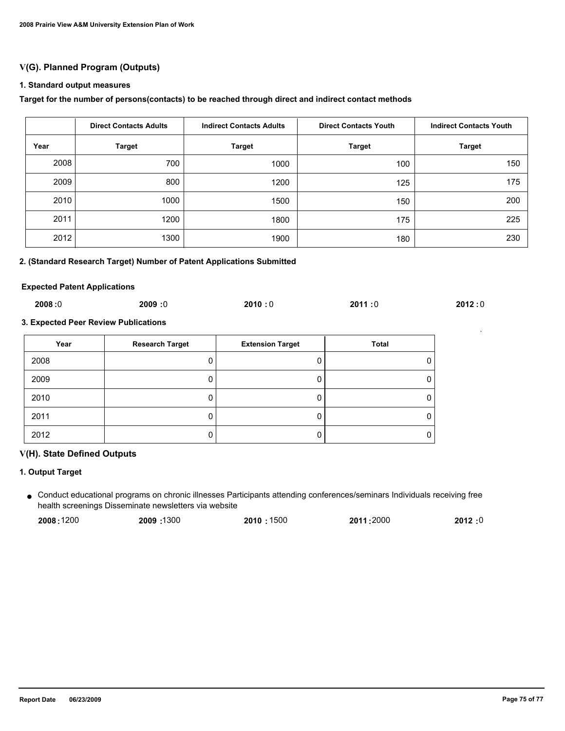# **V(G). Planned Program (Outputs)**

#### **1. Standard output measures**

#### **Target for the number of persons(contacts) to be reached through direct and indirect contact methods**

|      | <b>Direct Contacts Adults</b> | <b>Indirect Contacts Adults</b> | <b>Direct Contacts Youth</b> | <b>Indirect Contacts Youth</b> |
|------|-------------------------------|---------------------------------|------------------------------|--------------------------------|
| Year | <b>Target</b>                 | <b>Target</b>                   | <b>Target</b>                | <b>Target</b>                  |
| 2008 | 700                           | 1000                            | 100                          | 150                            |
| 2009 | 800                           | 1200                            | 125                          | 175                            |
| 2010 | 1000                          | 1500                            | 150                          | 200                            |
| 2011 | 1200                          | 1800                            | 175                          | 225                            |
| 2012 | 1300                          | 1900                            | 180                          | 230                            |

## **2. (Standard Research Target) Number of Patent Applications Submitted**

#### **Expected Patent Applications**

| 2008:0 | 2009:0 | 2010:0 | 2011:0 | 2012:0 |
|--------|--------|--------|--------|--------|
|        |        |        |        |        |

# **3. Expected Peer Review Publications**

| Year | <b>Research Target</b> | <b>Extension Target</b> | <b>Total</b> |
|------|------------------------|-------------------------|--------------|
| 2008 |                        |                         |              |
| 2009 |                        |                         |              |
| 2010 |                        |                         |              |
| 2011 |                        |                         |              |
| 2012 |                        |                         |              |

## **V(H). State Defined Outputs**

## **1. Output Target**

Conduct educational programs on chronic illnesses Participants attending conferences/seminars Individuals receiving free ● health screenings Disseminate newsletters via website

| 2008:1200 | 2009:1300 | 2010:1500 | 2011:2000 | 2012:0 |
|-----------|-----------|-----------|-----------|--------|
|           |           |           |           |        |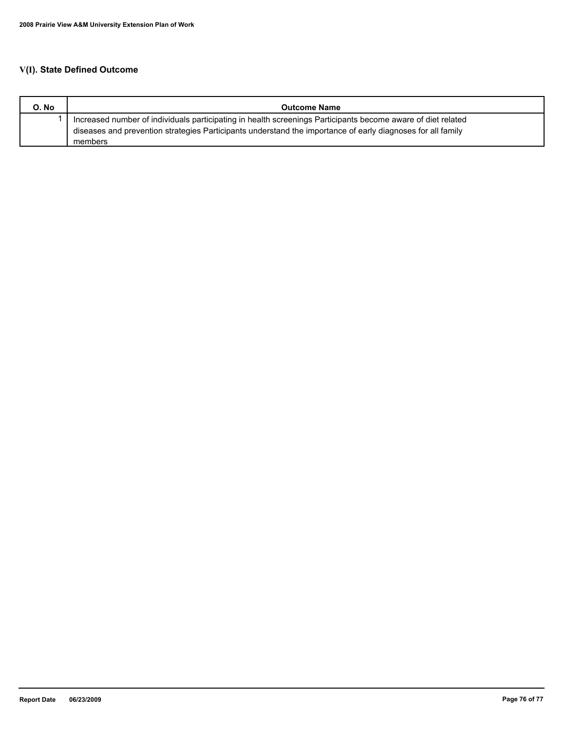# **V(I). State Defined Outcome**

| O. No | <b>Outcome Name</b>                                                                                          |
|-------|--------------------------------------------------------------------------------------------------------------|
|       | Increased number of individuals participating in health screenings Participants become aware of diet related |
|       | diseases and prevention strategies Participants understand the importance of early diagnoses for all family  |
|       | members                                                                                                      |